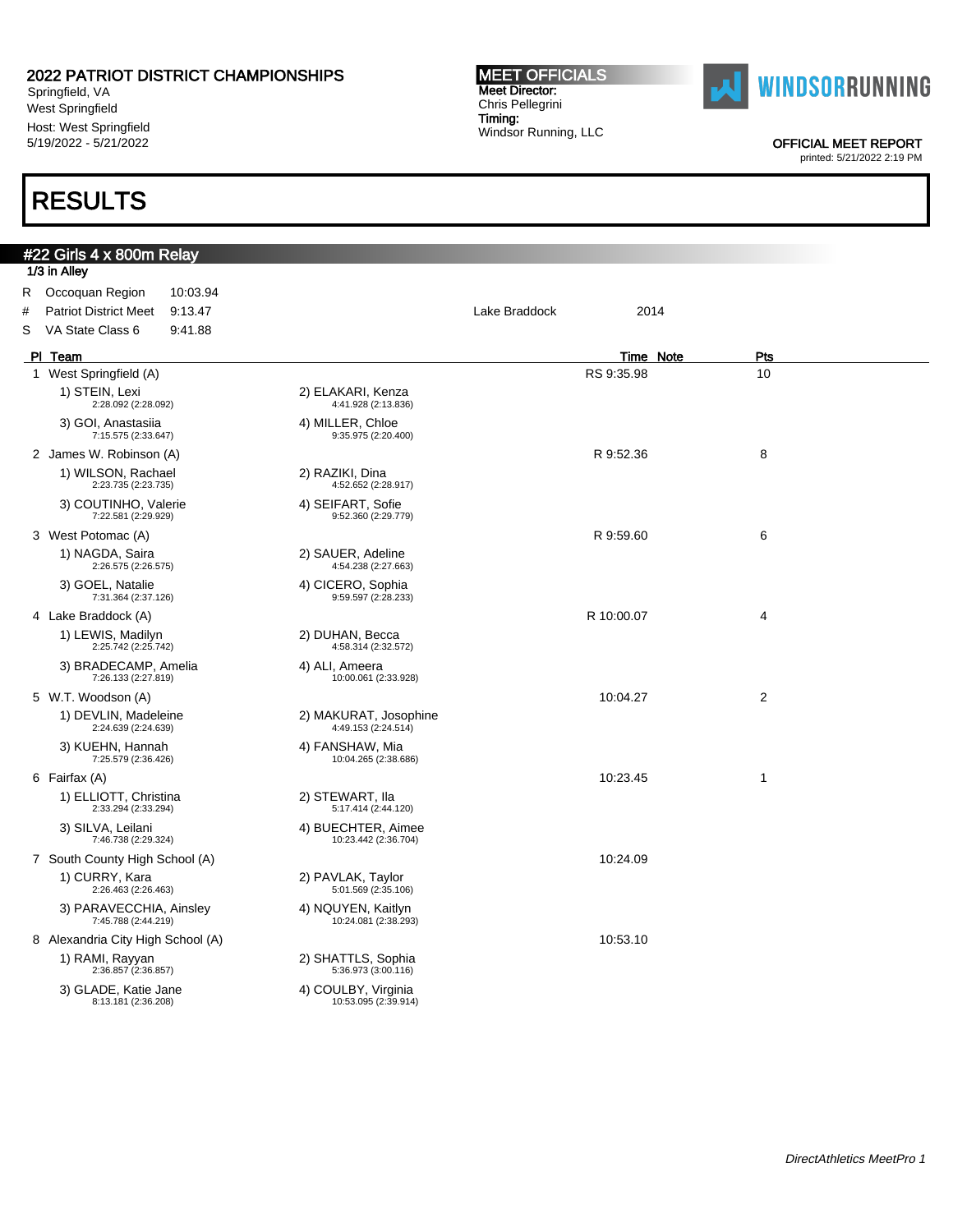Springfield, VA West Springfield Host: West Springfield 5/19/2022 - 5/21/2022

## RESULTS

#### MEET OFFICIALS Meet Director: Chris Pellegrini Timing: Windsor Running, LLC



OFFICIAL MEET REPORT

|   | #22 Girls 4 x 800m Relay                       |                                              |               |           |                |
|---|------------------------------------------------|----------------------------------------------|---------------|-----------|----------------|
|   | 1/3 in Alley                                   |                                              |               |           |                |
|   | R Occoquan Region<br>10:03.94                  |                                              |               |           |                |
| # | <b>Patriot District Meet</b><br>9.13.47        |                                              | Lake Braddock | 2014      |                |
| S | VA State Class 6<br>9:41.88                    |                                              |               |           |                |
|   | PI Team                                        |                                              |               | Time Note | Pts            |
|   | 1 West Springfield (A)                         |                                              | RS 9:35.98    |           | 10             |
|   | 1) STEIN, Lexi<br>2:28.092 (2:28.092)          | 2) ELAKARI, Kenza<br>4:41.928 (2:13.836)     |               |           |                |
|   | 3) GOI, Anastasiia<br>7:15.575 (2:33.647)      | 4) MILLER, Chloe<br>9:35.975 (2:20.400)      |               |           |                |
|   | 2 James W. Robinson (A)                        |                                              | R 9:52.36     |           | 8              |
|   | 1) WILSON, Rachael<br>2:23.735 (2:23.735)      | 2) RAZIKI, Dina<br>4:52.652 (2:28.917)       |               |           |                |
|   | 3) COUTINHO, Valerie<br>7:22.581 (2:29.929)    | 4) SEIFART, Sofie<br>9:52.360 (2:29.779)     |               |           |                |
|   | 3 West Potomac (A)                             |                                              | R 9:59.60     |           | 6              |
|   | 1) NAGDA, Saira<br>2:26.575 (2:26.575)         | 2) SAUER, Adeline<br>4:54.238 (2:27.663)     |               |           |                |
|   | 3) GOEL, Natalie<br>7:31.364 (2:37.126)        | 4) CICERO, Sophia<br>9:59.597 (2:28.233)     |               |           |                |
|   | 4 Lake Braddock (A)                            |                                              | R 10:00.07    |           | 4              |
|   | 1) LEWIS, Madilyn<br>2:25.742 (2:25.742)       | 2) DUHAN, Becca<br>4:58.314 (2:32.572)       |               |           |                |
|   | 3) BRADECAMP, Amelia<br>7:26.133 (2:27.819)    | 4) ALI, Ameera<br>10:00.061 (2:33.928)       |               |           |                |
|   | 5 W.T. Woodson (A)                             |                                              | 10:04.27      |           | $\overline{2}$ |
|   | 1) DEVLIN, Madeleine<br>2:24.639 (2:24.639)    | 2) MAKURAT, Josophine<br>4:49.153 (2:24.514) |               |           |                |
|   | 3) KUEHN, Hannah<br>7:25.579 (2:36.426)        | 4) FANSHAW, Mia<br>10:04.265 (2:38.686)      |               |           |                |
|   | 6 Fairfax (A)                                  |                                              | 10:23.45      |           | 1              |
|   | 1) ELLIOTT, Christina<br>2:33.294 (2:33.294)   | 2) STEWART, Ila<br>5:17.414 (2:44.120)       |               |           |                |
|   | 3) SILVA, Leilani<br>7:46.738 (2:29.324)       | 4) BUECHTER, Aimee<br>10:23.442 (2:36.704)   |               |           |                |
|   | 7 South County High School (A)                 |                                              | 10:24.09      |           |                |
|   | 1) CURRY, Kara<br>2:26.463 (2:26.463)          | 2) PAVLAK, Taylor<br>5:01.569 (2:35.106)     |               |           |                |
|   | 3) PARAVECCHIA, Ainsley<br>7:45.788 (2:44.219) | 4) NQUYEN, Kaitlyn<br>10:24.081 (2:38.293)   |               |           |                |
|   | 8 Alexandria City High School (A)              |                                              | 10:53.10      |           |                |
|   | 1) RAMI, Rayyan<br>2:36.857 (2:36.857)         | 2) SHATTLS, Sophia<br>5:36.973 (3:00.116)    |               |           |                |
|   | 3) GLADE, Katie Jane<br>8:13.181 (2:36.208)    | 4) COULBY, Virginia<br>10:53.095 (2:39.914)  |               |           |                |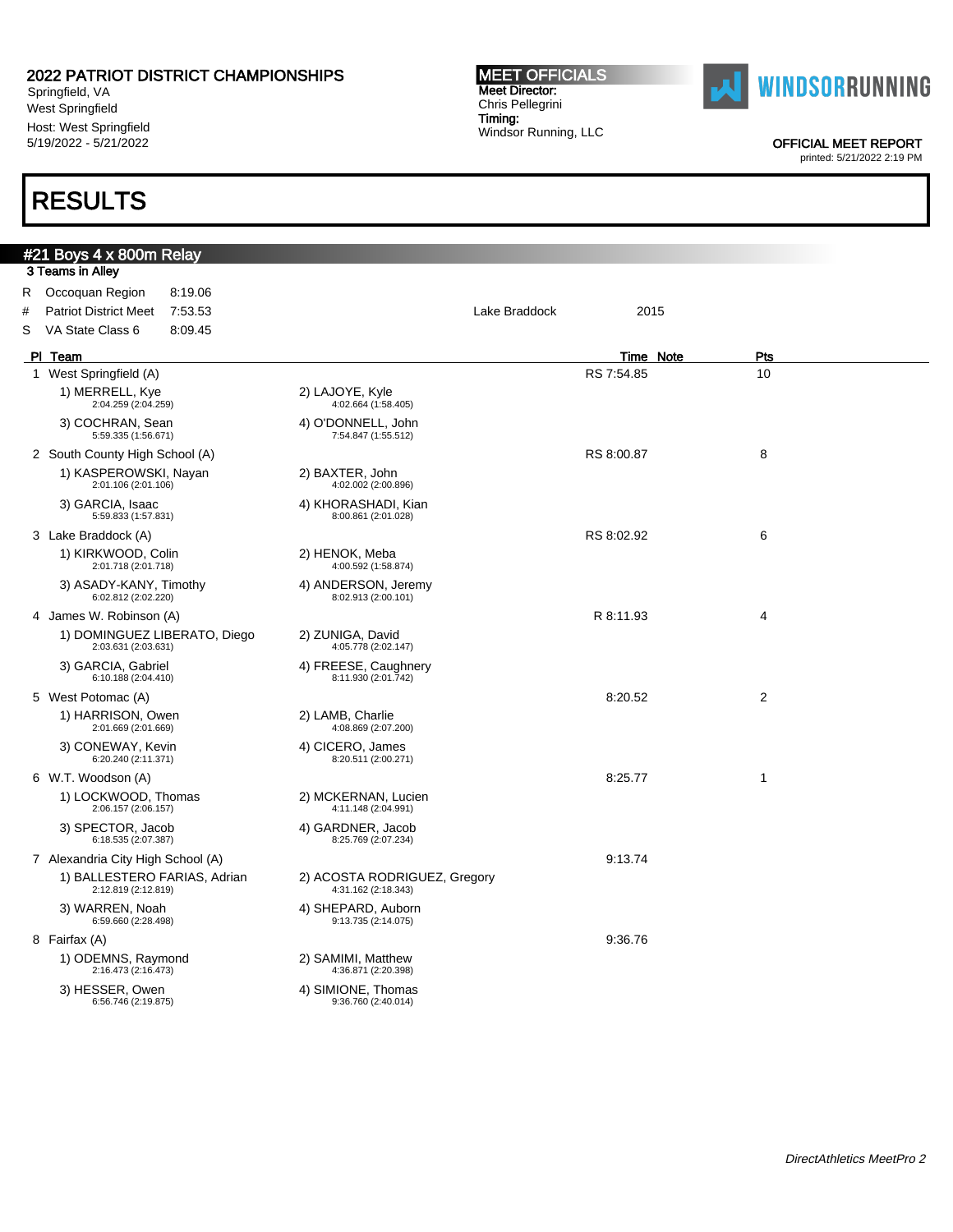Springfield, VA West Springfield Host: West Springfield 5/19/2022 - 5/21/2022

## RESULTS

#### MEET OFFICIALS Meet Director: Chris Pellegrini Timing: Windsor Running, LLC



OFFICIAL MEET REPORT

| #21 Boys 4 x 800m Relay                             |                                                     |                  |            |
|-----------------------------------------------------|-----------------------------------------------------|------------------|------------|
| 3 Teams in Alley                                    |                                                     |                  |            |
| Occoquan Region<br>8:19.06<br>R.                    |                                                     |                  |            |
| #<br><b>Patriot District Meet</b><br>7.53.53        | Lake Braddock                                       | 2015             |            |
| S<br>VA State Class 6<br>8:09.45                    |                                                     |                  |            |
| PI Team                                             |                                                     | <b>Time Note</b> | <b>Pts</b> |
| 1 West Springfield (A)                              |                                                     | RS 7:54.85       | 10         |
| 1) MERRELL, Kye<br>2:04.259 (2:04.259)              | 2) LAJOYE, Kyle<br>4:02.664 (1:58.405)              |                  |            |
| 3) COCHRAN, Sean<br>5:59.335 (1:56.671)             | 4) O'DONNELL, John<br>7:54.847 (1:55.512)           |                  |            |
| 2 South County High School (A)                      |                                                     | RS 8:00.87       | 8          |
| 1) KASPEROWSKI, Nayan<br>2:01.106 (2:01.106)        | 2) BAXTER, John<br>4:02.002 (2:00.896)              |                  |            |
| 3) GARCIA, Isaac<br>5:59.833 (1:57.831)             | 4) KHORASHADI, Kian<br>8:00.861 (2:01.028)          |                  |            |
| 3 Lake Braddock (A)                                 |                                                     | RS 8:02.92       | 6          |
| 1) KIRKWOOD, Colin<br>2:01.718 (2:01.718)           | 2) HENOK, Meba<br>4:00.592 (1:58.874)               |                  |            |
| 3) ASADY-KANY, Timothy<br>6:02.812 (2:02.220)       | 4) ANDERSON, Jeremy<br>8:02.913 (2:00.101)          |                  |            |
| 4 James W. Robinson (A)                             |                                                     | R 8:11.93        | 4          |
| 1) DOMINGUEZ LIBERATO, Diego<br>2:03.631 (2:03.631) | 2) ZUNIGA, David<br>4:05.778 (2:02.147)             |                  |            |
| 3) GARCIA, Gabriel<br>6:10.188 (2:04.410)           | 4) FREESE, Caughnery<br>8:11.930 (2:01.742)         |                  |            |
| 5 West Potomac (A)                                  |                                                     | 8:20.52          | 2          |
| 1) HARRISON, Owen<br>2:01.669 (2:01.669)            | 2) LAMB, Charlie<br>4:08.869 (2:07.200)             |                  |            |
| 3) CONEWAY, Kevin<br>6:20.240 (2:11.371)            | 4) CICERO, James<br>8:20.511 (2:00.271)             |                  |            |
| 6 W.T. Woodson (A)                                  |                                                     | 8:25.77          | 1          |
| 1) LOCKWOOD, Thomas<br>2:06.157 (2:06.157)          | 2) MCKERNAN, Lucien<br>4:11.148 (2:04.991)          |                  |            |
| 3) SPECTOR, Jacob<br>6:18.535 (2:07.387)            | 4) GARDNER, Jacob<br>8:25.769 (2:07.234)            |                  |            |
| 7 Alexandria City High School (A)                   |                                                     | 9:13.74          |            |
| 1) BALLESTERO FARIAS, Adrian<br>2:12.819 (2:12.819) | 2) ACOSTA RODRIGUEZ, Gregory<br>4:31.162 (2:18.343) |                  |            |
| 3) WARREN, Noah<br>6:59.660 (2:28.498)              | 4) SHEPARD, Auborn<br>9:13.735 (2:14.075)           |                  |            |
| 8 Fairfax (A)                                       |                                                     | 9.36.76          |            |
| 1) ODEMNS, Raymond<br>2:16.473 (2:16.473)           | 2) SAMIMI, Matthew<br>4:36.871 (2:20.398)           |                  |            |
| 3) HESSER, Owen<br>6:56.746 (2:19.875)              | 4) SIMIONE, Thomas<br>9:36.760 (2:40.014)           |                  |            |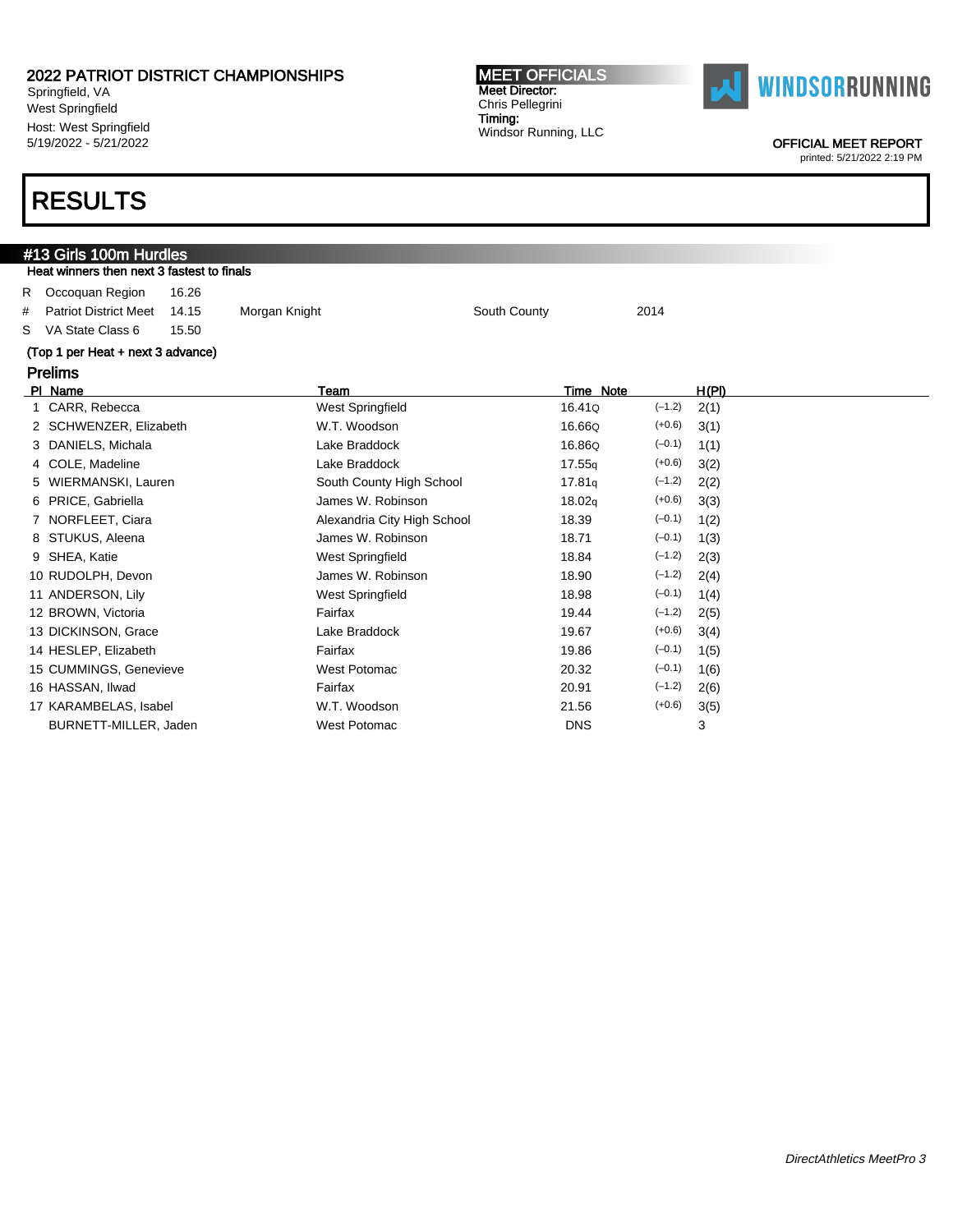Springfield, VA West Springfield Host: West Springfield 5/19/2022 - 5/21/2022

## RESULTS

### #13 Girls 100m Hurdles Heat winners then next 3 fastest to finals R Occoquan Region 16.26 # Patriot District Meet 14.15 Morgan Knight South County South County 2014 S VA State Class 6 15.50 (Top 1 per Heat + next 3 advance) Prelims Pl Name Team Time Note H(Pl) 1 CARR, Rebecca West Springfield 16.41Q (–1.2) 2(1) 2 SCHWENZER, Elizabeth **W.T. Woodson** 16.66Q (+0.6) 3(1) 3 DANIELS, Michala **Lake Braddock** 16.86Q (-0.1) 1(1) 4 COLE, Madeline **Lake Braddock** 17.55q (+0.6) 3(2) 5 WIERMANSKI, Lauren 1888 South County High School 17.81<sub>q</sub> (-1.2) 2(2) 6 PRICE, Gabriella James W. Robinson 18.02q (+0.6) 3(3) 7 NORFLEET, Ciara **Alexandria City High School** 18.39 (-0.1) 1(2) 8 STUKUS, Aleena **James W. Robinson** 18.71 (–0.1) 1(3) 9 SHEA, Katie West Springfield 18.84 (–1.2) 2(3) 10 RUDOLPH, Devon **18.90** James W. Robinson 18.90 (–1.2) 2(4) 11 ANDERSON, Lily Contract Contract Contract Contract Contract Message (48.98 (–0.1) 1(4) 12 BROWN, Victoria 19.44 (–1.2) 2(5) 13 DICKINSON, Grace Lake Braddock 19.67 (+0.6) 3(4) 14 HESLEP, Elizabeth **Fairfax** Fairfax 19.86 (–0.1) 1(5) 15 CUMMINGS, Genevieve West Potomac 20.32 (–0.1) 1(6) 16 HASSAN, Ilwad Fairfax 20.91 (–1.2) 2(6) 17 KARAMBELAS, Isabel W.T. Woodson 21.56 (+0.6) 3(5)

BURNETT-MILLER, Jaden **BURNETT-MILLER, Jaden** West Potomac **DNS** 23



OFFICIAL MEET REPORT

printed: 5/21/2022 2:19 PM

MEET OFFICIALS Meet Director: Chris Pellegrini Timing: Windsor Running, LLC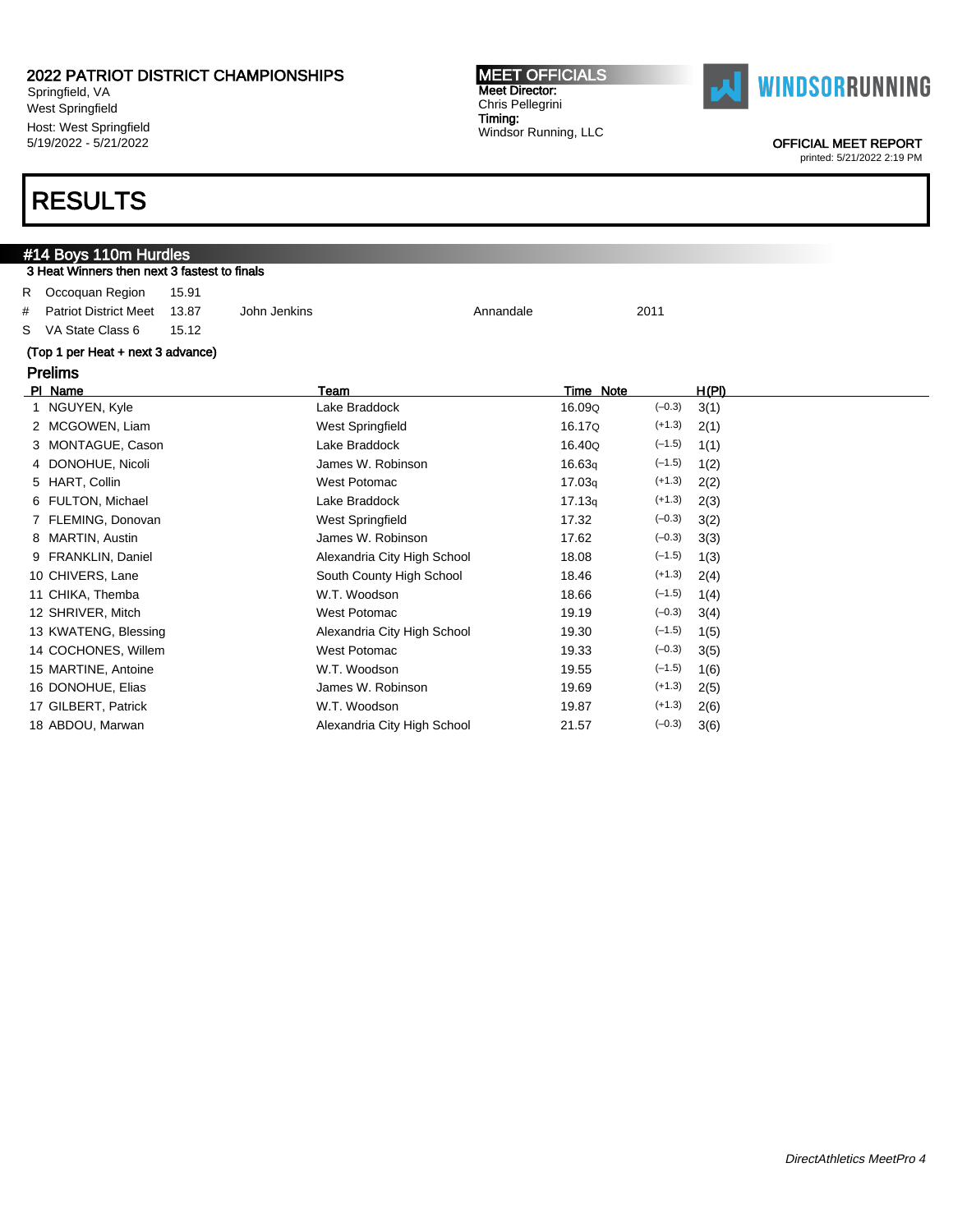Springfield, VA West Springfield Host: West Springfield 5/19/2022 - 5/21/2022

#### MEET OFFICIALS Meet Director: Chris Pellegrini Timing: Windsor Running, LLC



OFFICIAL MEET REPORT

printed: 5/21/2022 2:19 PM

### RESULTS

|    | #14 Boys 110m Hurdles                        |       |                             |           |           |          |       |  |
|----|----------------------------------------------|-------|-----------------------------|-----------|-----------|----------|-------|--|
|    | 3 Heat Winners then next 3 fastest to finals |       |                             |           |           |          |       |  |
| R  | Occoquan Region                              | 15.91 |                             |           |           |          |       |  |
| #  | <b>Patriot District Meet</b>                 | 13.87 | John Jenkins                | Annandale |           | 2011     |       |  |
| S. | VA State Class 6                             | 15.12 |                             |           |           |          |       |  |
|    | (Top 1 per Heat + next 3 advance)            |       |                             |           |           |          |       |  |
|    | <b>Prelims</b>                               |       |                             |           |           |          |       |  |
|    | PI Name                                      |       | Team                        |           | Time Note |          | H(PI) |  |
|    | 1 NGUYEN, Kyle                               |       | Lake Braddock               |           | 16.09Q    | $(-0.3)$ | 3(1)  |  |
|    | 2 MCGOWEN, Liam                              |       | West Springfield            |           | 16.17Q    | $(+1.3)$ | 2(1)  |  |
|    | MONTAGUE, Cason                              |       | Lake Braddock               |           | 16.40Q    | $(-1.5)$ | 1(1)  |  |
|    | 4 DONOHUE, Nicoli                            |       | James W. Robinson           |           | 16.63q    | $(-1.5)$ | 1(2)  |  |
|    | HART, Collin<br>5                            |       | West Potomac                |           | 17.03q    | $(+1.3)$ | 2(2)  |  |
|    | FULTON, Michael                              |       | Lake Braddock               |           | 17.13q    | $(+1.3)$ | 2(3)  |  |
|    | 7 FLEMING, Donovan                           |       | West Springfield            |           | 17.32     | $(-0.3)$ | 3(2)  |  |
| 8  | MARTIN, Austin                               |       | James W. Robinson           |           | 17.62     | $(-0.3)$ | 3(3)  |  |
| 9  | <b>FRANKLIN, Daniel</b>                      |       | Alexandria City High School |           | 18.08     | $(-1.5)$ | 1(3)  |  |
|    | 10 CHIVERS, Lane                             |       | South County High School    |           | 18.46     | $(+1.3)$ | 2(4)  |  |
|    | 11 CHIKA, Themba                             |       | W.T. Woodson                |           | 18.66     | $(-1.5)$ | 1(4)  |  |
|    | 12 SHRIVER, Mitch                            |       | <b>West Potomac</b>         |           | 19.19     | $(-0.3)$ | 3(4)  |  |
|    | 13 KWATENG, Blessing                         |       | Alexandria City High School |           | 19.30     | $(-1.5)$ | 1(5)  |  |

14 COCHONES, Willem West Potomac 19.33 (-0.3) 3(5) 15 MARTINE, Antoine W.T. Woodson 19.55 (–1.5) 1(6) 16 DONOHUE, Elias **James W. Robinson** 19.69 (+1.3) 2(5) 17 GILBERT, Patrick W.T. Woodson 19.87 (+1.3) 2(6) 18 ABDOU, Marwan **Alexandria City High School** 21.57 (-0.3) 3(6)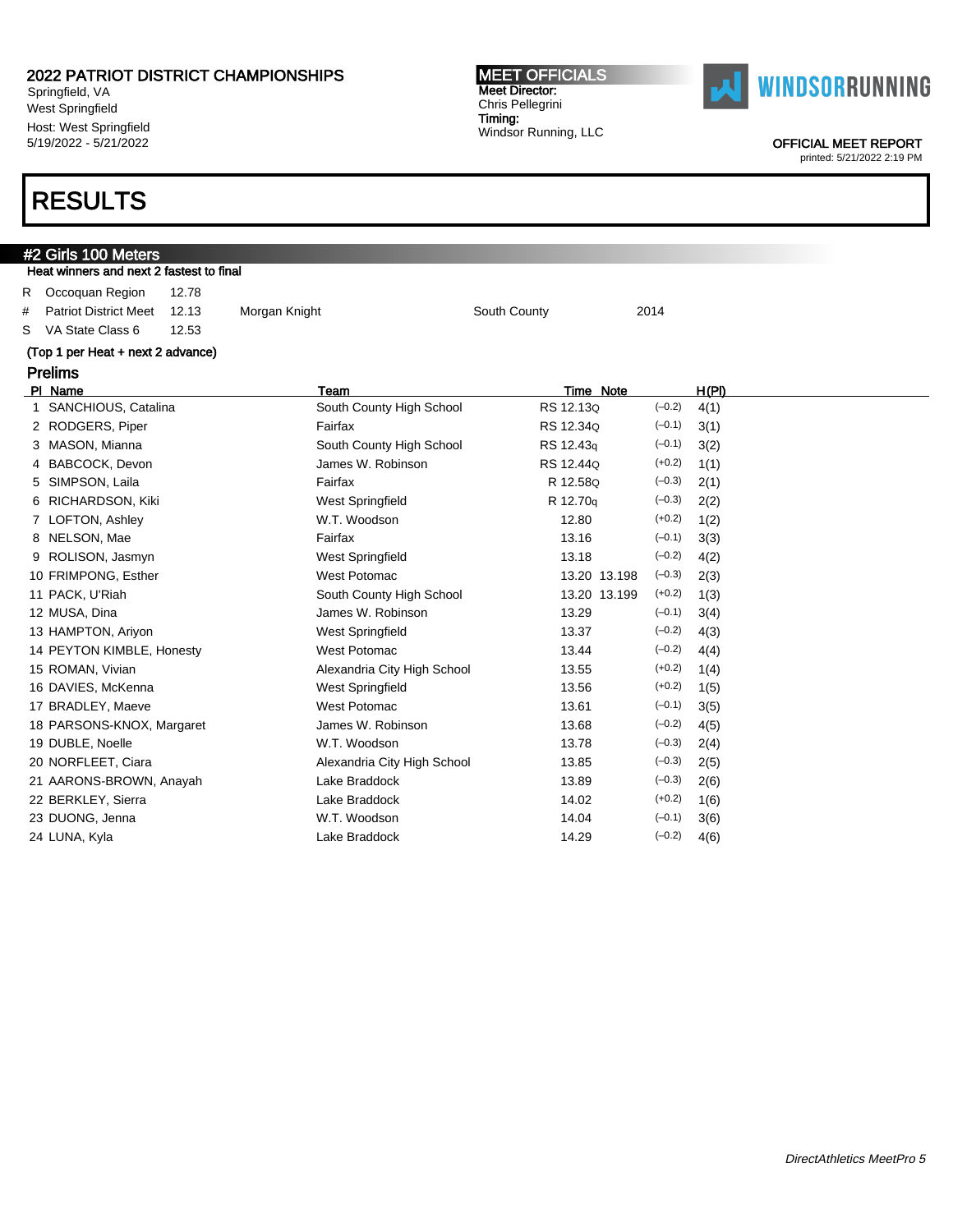Springfield, VA West Springfield Host: West Springfield 5/19/2022 - 5/21/2022

### RESULTS

#2 Girls 100 Meters

### Heat winners and next 2 fastest to final R Occoquan Region 12.78 # Patriot District Meet 12.13 Morgan Knight South County South County 2014 S VA State Class 6 12.53 (Top 1 per Heat + next 2 advance) Prelims Pl Name Team Time Note H(Pl) 1 SANCHIOUS, Catalina South County High School RS 12.13Q (-0.2) 4(1) 2 RODGERS, Piper Fairfax Fairfax RS 12.34Q (-0.1) 3(1) 3 MASON, Mianna South County High School RS 12.43q (-0.1) 3(2) 4 BABCOCK, Devon **James W. Robinson** RS 12.44Q (+0.2) 1(1) 5 SIMPSON, Laila **Fairfax** Fairfax **R 12.58Q** (-0.3) 2(1) 6 RICHARDSON, Kiki West Springfield R 12.70q (–0.3) 2(2) 7 LOFTON, Ashley W.T. Woodson 12.80 (+0.2) 1(2) 8 NELSON, Mae **Fairfax** Fairfax **13.16** (–0.1) 3(3) 9 ROLISON, Jasmyn West Springfield 13.18 (–0.2) 4(2) 10 FRIMPONG, Esther West Potomac 13.20 13.198 (–0.3) 2(3) 11 PACK, U'Riah  $\blacksquare$  13.20 13.199 (+0.2) 1(3) 12 MUSA, Dina James W. Robinson 13.29 (–0.1) 3(4) 13 HAMPTON, Ariyon **13.37** (-0.2) 4(3) West Springfield 13.37 (-0.2) 4(3) 14 PEYTON KIMBLE, Honesty West Potomac 13.44 (–0.2) 4(4) 15 ROMAN, Vivian **Alexandria City High School** 13.55 (+0.2) 1(4) 16 DAVIES, McKenna West Springfield 13.56 (+0.2) 1(5) 17 BRADLEY, Maeve **13.61** West Potomac 13.61 (–0.1) 3(5) 18 PARSONS-KNOX, Margaret James W. Robinson 13.68 (-0.2) 4(5) 19 DUBLE, Noelle W.T. Woodson 13.78 (–0.3) 2(4) 20 NORFLEET, Ciara **Alexandria City High School** 13.85 (-0.3) 2(5) 21 AARONS-BROWN, Anayah Lake Braddock 13.89 (–0.3) 2(6) 22 BERKLEY, Sierra **Lake Braddock** 14.02 (+0.2) 1(6)

MEET OFFICIALS Meet Director: Chris Pellegrini Timing:

Windsor Running, LLC

23 DUONG, Jenna W.T. Woodson 14.04 (–0.1) 3(6) 24 LUNA, Kyla  $\qquad \qquad$  Lake Braddock  $\qquad \qquad$  14.29  $(-0.2)$  4(6)



OFFICIAL MEET REPORT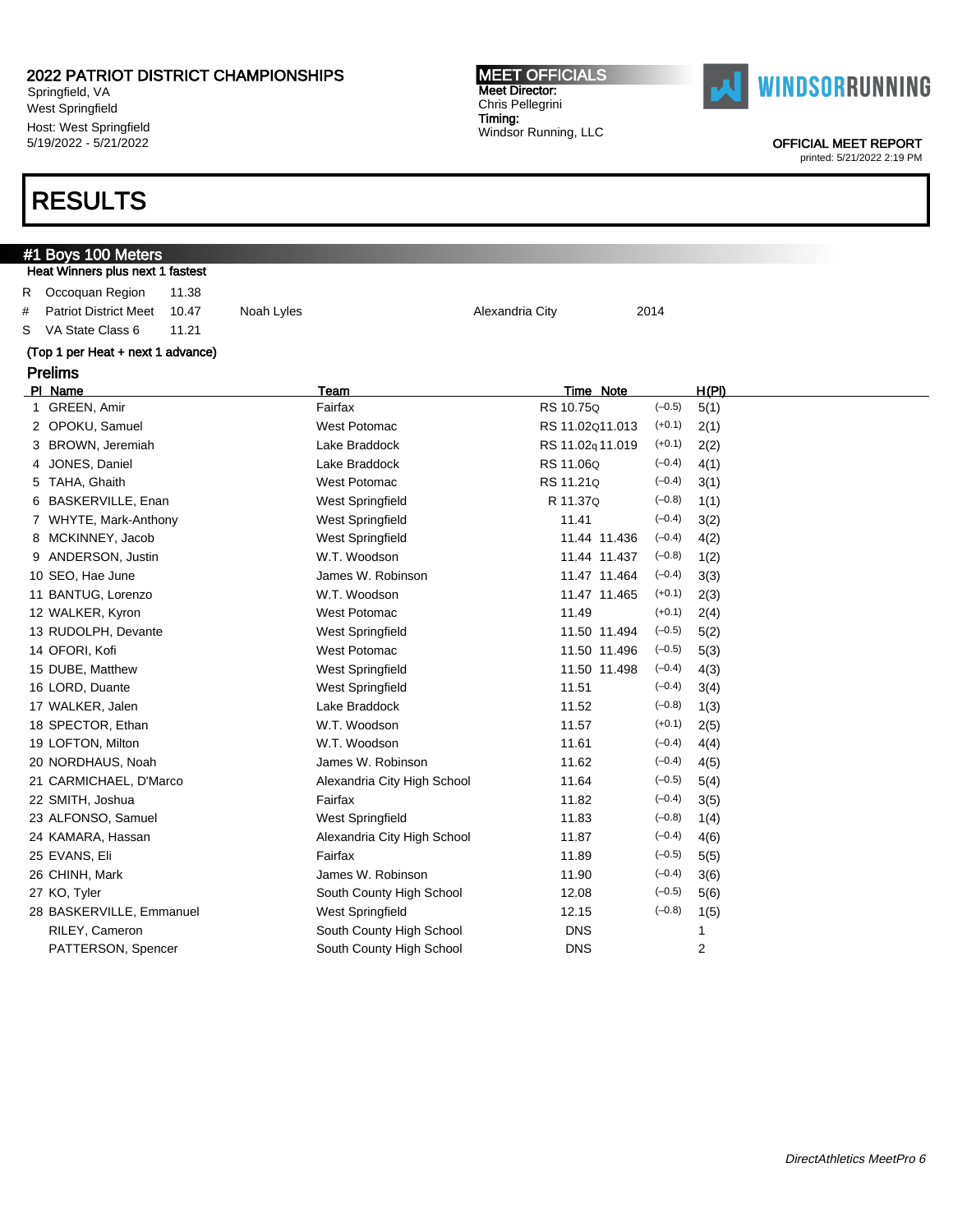Springfield, VA West Springfield Host: West Springfield 5/19/2022 - 5/21/2022

### RESULTS

### #1 Boys 100 Meters Heat Winners plus next 1 fastest R Occoquan Region 11.38 # Patriot District Meet 10.47 Noah Lyles Alexandria City 2014 S VA State Class 6 11.21 (Top 1 per Heat + next 1 advance) Prelims Pl Name Team Time Note H(Pl) 1 GREEN, Amir **Fairfax** Fairfax **Fairfax** RS 10.75Q (-0.5) 5(1) 2 OPOKU, Samuel West Potomac RS 11.02Q11.013 (+0.1) 2(1) 3 BROWN, Jeremiah Lake Braddock RS 11.02q 11.019 (+0.1) 2(2) 4 JONES, Daniel **Lake Braddock** RS 11.06Q (-0.4) 4(1) 5 TAHA, Ghaith West Potomac RS 11.21Q (–0.4) 3(1) 6 BASKERVILLE, Enan West Springfield R 11.37Q (–0.8) 1(1) 7 WHYTE, Mark-Anthony West Springfield 11.41 (–0.4) 3(2) 8 MCKINNEY, Jacob West Springfield 11.44 11.436 (–0.4) 4(2) 9 ANDERSON, Justin W.T. Woodson 11.44 11.437 (–0.8) 1(2) 10 SEO, Hae June James W. Robinson 11.47 11.464 (–0.4) 3(3) 11 BANTUG, Lorenzo W.T. Woodson 11.47 11.465 (+0.1) 2(3) 12 WALKER, Kyron West Potomac 11.49 (+0.1) 2(4) 13 RUDOLPH, Devante West Springfield 11.50 11.494 (–0.5) 5(2) 14 OFORI, Kofi West Potomac 11.50 11.496 (–0.5) 5(3) 15 DUBE, Matthew West Springfield 11.50 11.498 (–0.4) 4(3) 16 LORD, Duante West Springfield 11.51 (–0.4) 3(4) 17 WALKER, Jalen **Lake Braddock** 11.52 (–0.8) 1(3) 18 SPECTOR, Ethan **W.T. Woodson** 11.57 (+0.1) 2(5) 19 LOFTON, Milton W.T. Woodson 11.61 (–0.4) 4(4) 20 NORDHAUS, Noah James W. Robinson 11.62 (–0.4) 4(5) 21 CARMICHAEL, D'Marco **Alexandria City High School** 11.64 (-0.5) 5(4) 22 SMITH, Joshua 11.82 (–0.4) 3(5) 23 ALFONSO, Samuel West Springfield 11.83 (–0.8) 1(4) 24 KAMARA, Hassan Alexandria City High School 11.87 (-0.4) 4(6) 25 EVANS, Eli Fairfax 11.89 (–0.5) 5(5) 26 CHINH, Mark 11.90 (–0.4) 3(6) James W. Robinson 11.90 (–0.4) 3(6) 27 KO, Tyler County High School 12.08 (–0.5) 5(6) 28 BASKERVILLE, Emmanuel West Springfield 12.15 (–0.8) 1(5) RILEY, Cameron **South County High School** DNS 1 PATTERSON, Spencer and South County High School **DNS** 2

MEET OFFICIALS Meet Director: Chris Pellegrini Timing:

Windsor Running, LLC



OFFICIAL MEET REPORT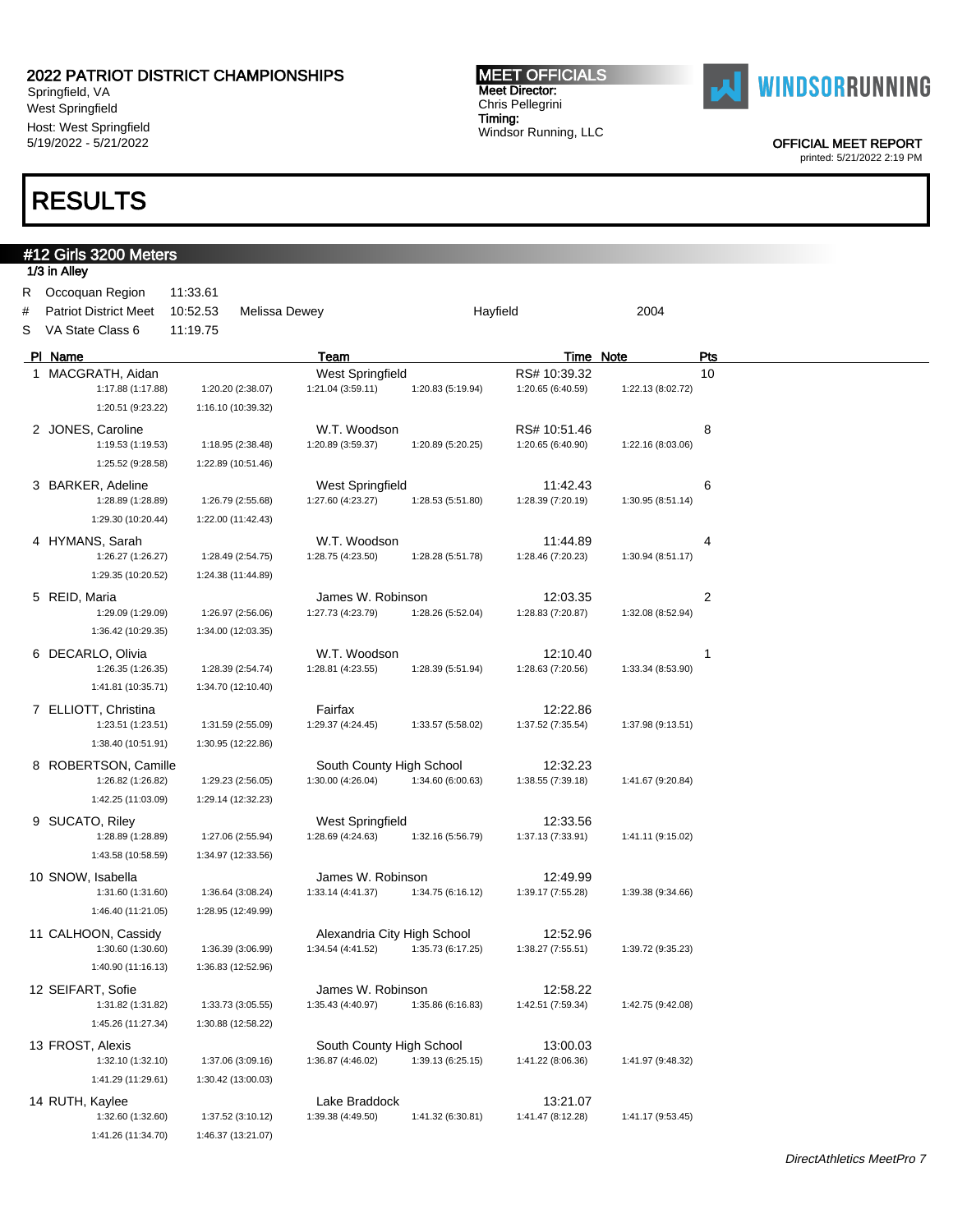Springfield, VA West Springfield Host: West Springfield 5/19/2022 - 5/21/2022

## RESULTS

#12 Girls 3200 Meters

#### MEET OFFICIALS Meet Director: Chris Pellegrini Timing: Windsor Running, LLC



OFFICIAL MEET REPORT

|    | 1/3 in Alley                 |          |                      |                             |                   |                   |                   |     |
|----|------------------------------|----------|----------------------|-----------------------------|-------------------|-------------------|-------------------|-----|
| R. | Occoquan Region              | 11:33.61 |                      |                             |                   |                   |                   |     |
| #  | <b>Patriot District Meet</b> | 10:52.53 | <b>Melissa Dewey</b> |                             |                   | Hayfield          | 2004              |     |
| S  | VA State Class 6             | 11:19.75 |                      |                             |                   |                   |                   |     |
|    | PI Name                      |          |                      | Team                        |                   |                   | Time Note         | Pts |
|    | 1 MACGRATH, Aidan            |          |                      | West Springfield            |                   | RS# 10:39.32      |                   | 10  |
|    | 1:17.88 (1:17.88)            |          | 1:20.20 (2:38.07)    | 1:21.04 (3:59.11)           | 1:20.83 (5:19.94) | 1:20.65 (6:40.59) | 1:22.13 (8:02.72) |     |
|    | 1:20.51 (9:23.22)            |          | 1:16.10 (10:39.32)   |                             |                   |                   |                   |     |
|    | 2 JONES, Caroline            |          |                      | W.T. Woodson                |                   | RS# 10:51.46      |                   | 8   |
|    | 1:19.53 (1:19.53)            |          | 1:18.95 (2:38.48)    | 1:20.89 (3:59.37)           | 1:20.89 (5:20.25) | 1:20.65 (6:40.90) | 1:22.16 (8:03.06) |     |
|    | 1:25.52 (9:28.58)            |          | 1:22.89 (10:51.46)   |                             |                   |                   |                   |     |
|    | 3 BARKER, Adeline            |          |                      | West Springfield            |                   | 11:42.43          |                   | 6   |
|    | 1:28.89 (1:28.89)            |          | 1:26.79 (2:55.68)    | 1:27.60 (4:23.27)           | 1:28.53 (5:51.80) | 1:28.39 (7:20.19) | 1:30.95 (8:51.14) |     |
|    | 1:29.30 (10:20.44)           |          | 1:22.00 (11:42.43)   |                             |                   |                   |                   |     |
|    | 4 HYMANS, Sarah              |          |                      | W.T. Woodson                |                   | 11:44.89          |                   | 4   |
|    | 1:26.27 (1:26.27)            |          | 1:28.49 (2:54.75)    | 1:28.75 (4:23.50)           | 1:28.28 (5:51.78) | 1:28.46 (7:20.23) | 1:30.94 (8:51.17) |     |
|    | 1:29.35 (10:20.52)           |          | 1:24.38 (11:44.89)   |                             |                   |                   |                   |     |
|    | 5 REID, Maria                |          |                      | James W. Robinson           |                   | 12:03.35          |                   | 2   |
|    | 1:29.09 (1:29.09)            |          | 1:26.97 (2:56.06)    | 1:27.73 (4:23.79)           | 1:28.26 (5:52.04) | 1:28.83 (7:20.87) | 1:32.08 (8:52.94) |     |
|    | 1:36.42 (10:29.35)           |          | 1:34.00 (12:03.35)   |                             |                   |                   |                   |     |
|    | 6 DECARLO, Olivia            |          |                      | W.T. Woodson                |                   | 12:10.40          |                   | 1   |
|    | 1:26.35 (1:26.35)            |          | 1:28.39 (2:54.74)    | 1:28.81 (4:23.55)           | 1:28.39 (5:51.94) | 1:28.63 (7:20.56) | 1:33.34 (8:53.90) |     |
|    | 1:41.81 (10:35.71)           |          | 1:34.70 (12:10.40)   |                             |                   |                   |                   |     |
|    | 7 ELLIOTT, Christina         |          |                      | Fairfax                     |                   | 12:22.86          |                   |     |
|    | 1:23.51 (1:23.51)            |          | 1:31.59 (2:55.09)    | 1:29.37 (4:24.45)           | 1:33.57 (5:58.02) | 1:37.52 (7:35.54) | 1:37.98 (9:13.51) |     |
|    | 1:38.40 (10:51.91)           |          | 1:30.95 (12:22.86)   |                             |                   |                   |                   |     |
|    | 8 ROBERTSON, Camille         |          |                      | South County High School    |                   | 12:32.23          |                   |     |
|    | 1:26.82 (1:26.82)            |          | 1:29.23 (2:56.05)    | 1:30.00 (4:26.04)           | 1:34.60 (6:00.63) | 1:38.55 (7:39.18) | 1:41.67 (9:20.84) |     |
|    | 1:42.25 (11:03.09)           |          | 1:29.14 (12:32.23)   |                             |                   |                   |                   |     |
|    | 9 SUCATO, Riley              |          |                      | West Springfield            |                   | 12:33.56          |                   |     |
|    | 1:28.89 (1:28.89)            |          | 1:27.06 (2:55.94)    | 1:28.69 (4:24.63)           | 1:32.16 (5:56.79) | 1:37.13 (7:33.91) | 1:41.11 (9:15.02) |     |
|    | 1:43.58 (10:58.59)           |          | 1:34.97 (12:33.56)   |                             |                   |                   |                   |     |
|    | 10 SNOW, Isabella            |          |                      | James W. Robinson           |                   | 12:49.99          |                   |     |
|    | 1:31.60 (1:31.60)            |          | 1:36.64 (3:08.24)    | 1:33.14 (4:41.37)           | 1:34.75 (6:16.12) | 1:39.17 (7:55.28) | 1:39.38 (9:34.66) |     |
|    | 1:46.40 (11:21.05)           |          | 1:28.95 (12:49.99)   |                             |                   |                   |                   |     |
|    | 11 CALHOON, Cassidy          |          |                      | Alexandria City High School |                   | 12:52.96          |                   |     |
|    | 1:30.60 (1:30.60)            |          | 1:36.39 (3:06.99)    | 1:34.54 (4:41.52)           | 1:35.73 (6:17.25) | 1:38.27 (7:55.51) | 1:39.72 (9:35.23) |     |
|    | 1:40.90 (11:16.13)           |          | 1:36.83 (12:52.96)   |                             |                   |                   |                   |     |
|    | 12 SEIFART, Sofie            |          |                      | James W. Robinson           |                   | 12:58.22          |                   |     |
|    | 1:31.82 (1:31.82)            |          | 1:33.73 (3:05.55)    | 1:35.43 (4:40.97)           | 1:35.86 (6:16.83) | 1:42.51 (7:59.34) | 1:42.75 (9:42.08) |     |
|    | 1:45.26 (11:27.34)           |          | 1:30.88 (12:58.22)   |                             |                   |                   |                   |     |
|    | 13 FROST, Alexis             |          |                      | South County High School    |                   | 13:00.03          |                   |     |
|    | 1:32.10 (1:32.10)            |          | 1:37.06 (3:09.16)    | 1:36.87 (4:46.02)           | 1:39.13 (6:25.15) | 1:41.22 (8:06.36) | 1:41.97 (9:48.32) |     |
|    | 1:41.29 (11:29.61)           |          | 1:30.42 (13:00.03)   |                             |                   |                   |                   |     |
|    | 14 RUTH, Kaylee              |          |                      | Lake Braddock               |                   | 13:21.07          |                   |     |
|    | 1:32.60 (1:32.60)            |          | 1:37.52 (3:10.12)    | 1:39.38 (4:49.50)           | 1:41.32 (6:30.81) | 1:41.47 (8:12.28) | 1:41.17 (9:53.45) |     |
|    | 1:41.26 (11:34.70)           |          | 1:46.37 (13:21.07)   |                             |                   |                   |                   |     |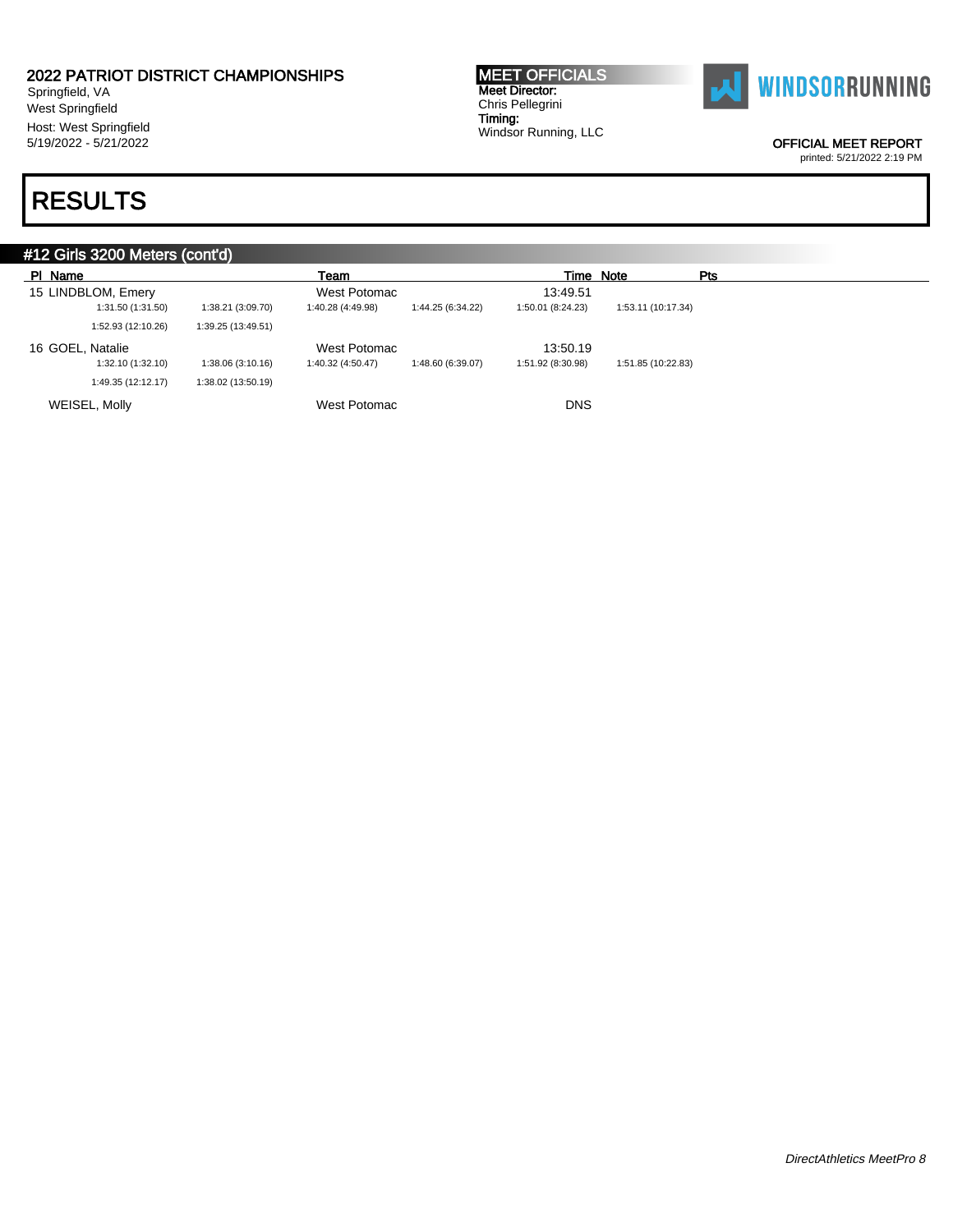Springfield, VA West Springfield Host: West Springfield 5/19/2022 - 5/21/2022

## RESULTS

MEET OFFICIALS Meet Director: Chris Pellegrini Timing: Windsor Running, LLC



OFFICIAL MEET REPORT

printed: 5/21/2022 2:19 PM

### #12 Girls 3200 Meters (cont'd) Pl Name Team Time Note Pts 15 LINDBLOM, Emery West Potomac 213:49.51 1:31.50 (1:31.50) 1:38.21 (3:09.70) 1:40.28 (4:49.98) 1:44.25 (6:34.22) 1:50.01 (8:24.23) 1:53.11 (10:17.34) 1:52.93 (12:10.26) 1:39.25 (13:49.51) 16 GOEL, Natalie West Potomac 13:50.19 1:32.10 (1:32.10) 1:38.06 (3:10.16) 1:40.32 (4:50.47) 1:48.60 (6:39.07) 1:51.92 (8:30.98) 1:51.85 (10:22.83) 1:49.35 (12:12.17) 1:38.02 (13:50.19) WEISEL, Molly **Now are all the USA CONS** West Potomac **DIS** DNS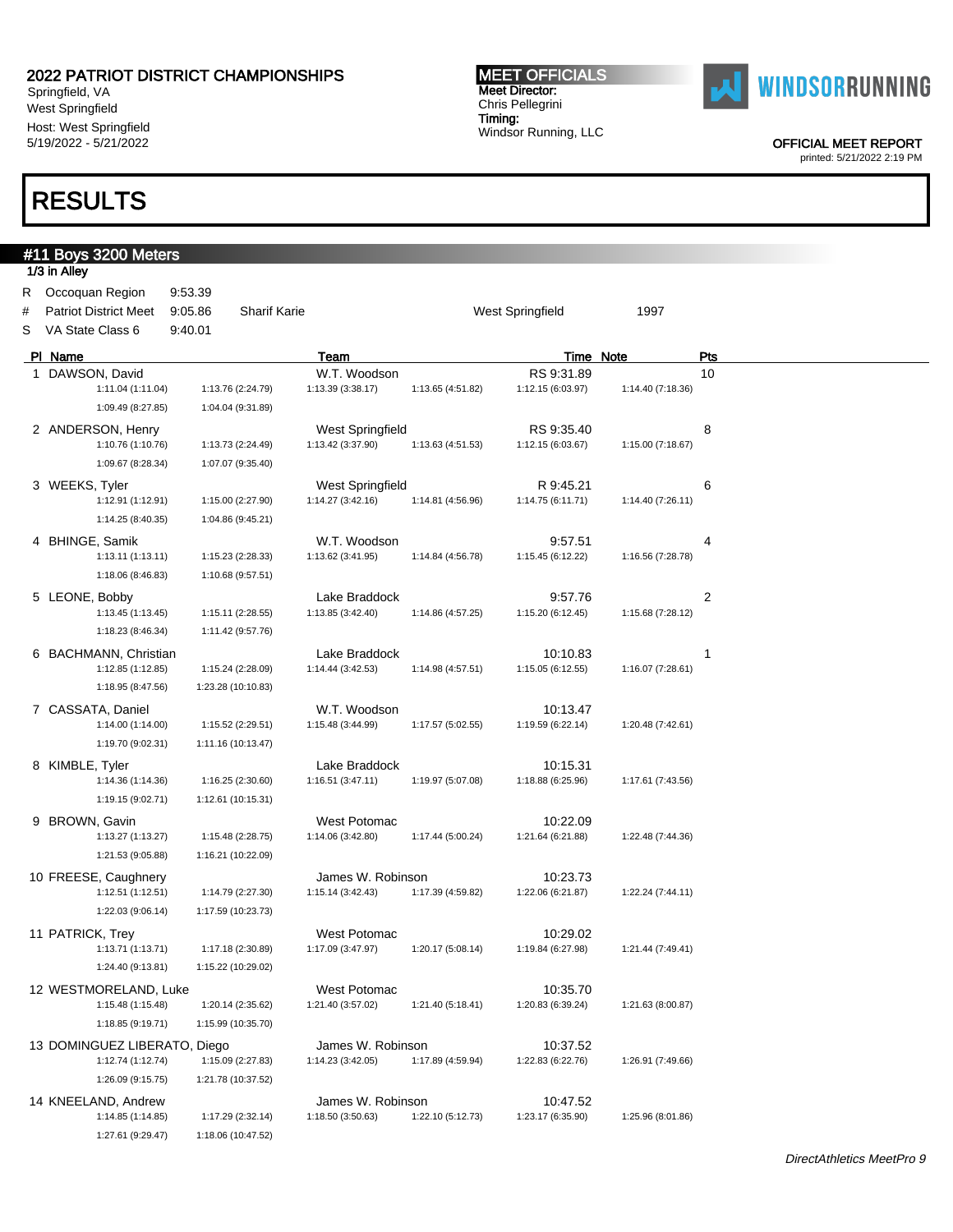Springfield, VA West Springfield Host: West Springfield 5/19/2022 - 5/21/2022

## RESULTS

#### MEET OFFICIALS Meet Director: Chris Pellegrini Timing: Windsor Running, LLC



OFFICIAL MEET REPORT

|        | #11 Boys 3200 Meters<br>1/3 in Alley                                  |                               |                     |                                    |                   |                               |                   |     |  |
|--------|-----------------------------------------------------------------------|-------------------------------|---------------------|------------------------------------|-------------------|-------------------------------|-------------------|-----|--|
| #<br>S | R Occoquan Region<br><b>Patriot District Meet</b><br>VA State Class 6 | 9:53.39<br>9:05.86<br>9:40.01 | <b>Sharif Karie</b> |                                    |                   | West Springfield              | 1997              |     |  |
|        |                                                                       |                               |                     |                                    |                   |                               |                   |     |  |
|        | PI Name                                                               |                               |                     | Team                               |                   | <b>Time Note</b>              |                   | Pts |  |
|        | 1 DAWSON, David                                                       |                               |                     | W.T. Woodson                       |                   | RS 9:31.89                    |                   | 10  |  |
|        | 1:11.04 (1:11.04)                                                     |                               | 1:13.76 (2:24.79)   | 1:13.39 (3:38.17)                  | 1:13.65 (4:51.82) | 1:12.15 (6:03.97)             | 1:14.40 (7:18.36) |     |  |
|        | 1:09.49 (8:27.85)                                                     |                               | 1:04.04 (9:31.89)   |                                    |                   |                               |                   |     |  |
|        | 2 ANDERSON, Henry                                                     |                               |                     | West Springfield                   |                   | RS 9:35.40                    |                   | 8   |  |
|        | 1:10.76 (1:10.76)                                                     |                               | 1:13.73 (2:24.49)   | 1:13.42 (3:37.90)                  | 1:13.63 (4:51.53) | 1:12.15 (6:03.67)             | 1:15.00 (7:18.67) |     |  |
|        | 1:09.67 (8:28.34)                                                     |                               | 1:07.07 (9:35.40)   |                                    |                   |                               |                   |     |  |
|        | 3 WEEKS, Tyler                                                        |                               |                     | West Springfield                   |                   | R 9:45.21                     |                   | 6   |  |
|        | 1:12.91 (1:12.91)                                                     |                               | 1:15.00 (2:27.90)   | 1:14.27 (3:42.16)                  | 1:14.81 (4:56.96) | 1:14.75 (6:11.71)             | 1:14.40 (7:26.11) |     |  |
|        | 1:14.25 (8:40.35)                                                     |                               | 1:04.86 (9:45.21)   |                                    |                   |                               |                   |     |  |
|        | 4 BHINGE, Samik                                                       |                               |                     | W.T. Woodson                       |                   | 9:57.51                       |                   | 4   |  |
|        | 1:13.11(1:13.11)                                                      |                               | 1:15.23 (2:28.33)   | 1:13.62 (3:41.95)                  | 1:14.84 (4:56.78) | 1:15.45 (6:12.22)             | 1:16.56 (7:28.78) |     |  |
|        | 1:18.06 (8:46.83)                                                     |                               | 1:10.68 (9:57.51)   |                                    |                   |                               |                   |     |  |
|        |                                                                       |                               |                     |                                    |                   |                               |                   |     |  |
|        | 5 LEONE, Bobby<br>1:13.45 (1:13.45)                                   |                               | 1:15.11 (2:28.55)   | Lake Braddock<br>1:13.85 (3:42.40) | 1:14.86 (4:57.25) | 9:57.76<br>1:15.20 (6:12.45)  | 1:15.68 (7:28.12) | 2   |  |
|        |                                                                       |                               |                     |                                    |                   |                               |                   |     |  |
|        | 1:18.23 (8:46.34)                                                     |                               | 1:11.42 (9:57.76)   |                                    |                   |                               |                   |     |  |
|        | 6 BACHMANN, Christian                                                 |                               |                     | Lake Braddock                      |                   | 10:10.83                      |                   | 1   |  |
|        | 1:12.85 (1:12.85)                                                     |                               | 1:15.24 (2:28.09)   | 1:14.44 (3:42.53)                  | 1:14.98 (4:57.51) | 1:15.05 (6:12.55)             | 1:16.07 (7:28.61) |     |  |
|        | 1:18.95 (8:47.56)                                                     |                               | 1:23.28 (10:10.83)  |                                    |                   |                               |                   |     |  |
|        | 7 CASSATA, Daniel                                                     |                               |                     | W.T. Woodson                       |                   | 10:13.47                      |                   |     |  |
|        | 1:14.00 (1:14.00)                                                     |                               | 1:15.52 (2:29.51)   | 1:15.48 (3:44.99)                  | 1:17.57 (5:02.55) | 1:19.59 (6:22.14)             | 1:20.48 (7:42.61) |     |  |
|        | 1:19.70 (9:02.31)                                                     |                               | 1:11.16 (10:13.47)  |                                    |                   |                               |                   |     |  |
|        | 8 KIMBLE, Tyler                                                       |                               |                     | Lake Braddock                      |                   | 10:15.31                      |                   |     |  |
|        | 1:14.36 (1:14.36)                                                     |                               | 1:16.25 (2:30.60)   | 1:16.51(3:47.11)                   | 1:19.97 (5:07.08) | 1:18.88 (6:25.96)             | 1:17.61 (7:43.56) |     |  |
|        | 1:19.15 (9:02.71)                                                     |                               | 1:12.61 (10:15.31)  |                                    |                   |                               |                   |     |  |
|        | 9 BROWN, Gavin                                                        |                               |                     | West Potomac                       |                   | 10:22.09                      |                   |     |  |
|        | 1:13.27 (1:13.27)                                                     |                               | 1:15.48 (2:28.75)   | 1:14.06 (3:42.80)                  | 1:17.44 (5:00.24) | 1:21.64 (6:21.88)             | 1:22.48 (7:44.36) |     |  |
|        | 1:21.53 (9:05.88)                                                     |                               | 1:16.21 (10:22.09)  |                                    |                   |                               |                   |     |  |
|        | 10 FREESE, Caughnery                                                  |                               |                     | James W. Robinson                  |                   | 10:23.73                      |                   |     |  |
|        | 1:12.51 (1:12.51)                                                     |                               | 1:14.79 (2:27.30)   | 1:15.14 (3:42.43)                  | 1:17.39 (4:59.82) | 1:22.06 (6:21.87)             | 1:22.24 (7:44.11) |     |  |
|        | 1:22.03 (9:06.14)                                                     |                               | 1:17.59 (10:23.73)  |                                    |                   |                               |                   |     |  |
|        |                                                                       |                               |                     |                                    |                   |                               |                   |     |  |
|        | 11 PATRICK, Trey<br>1:13.71 (1:13.71)                                 |                               | 1:17.18 (2:30.89)   | West Potomac<br>1:17.09 (3:47.97)  | 1:20.17 (5:08.14) | 10:29.02<br>1:19.84 (6:27.98) | 1:21.44 (7:49.41) |     |  |
|        | 1:24.40 (9:13.81)                                                     |                               | 1:15.22 (10:29.02)  |                                    |                   |                               |                   |     |  |
|        |                                                                       |                               |                     |                                    |                   |                               |                   |     |  |
|        | 12 WESTMORELAND, Luke                                                 |                               |                     | <b>West Potomac</b>                |                   | 10:35.70                      |                   |     |  |
|        | 1:15.48 (1:15.48)                                                     |                               | 1:20.14 (2:35.62)   | 1:21.40 (3:57.02)                  | 1:21.40 (5:18.41) | 1:20.83 (6:39.24)             | 1:21.63 (8:00.87) |     |  |
|        | 1:18.85 (9:19.71)                                                     |                               | 1:15.99 (10:35.70)  |                                    |                   |                               |                   |     |  |
|        | 13 DOMINGUEZ LIBERATO, Diego                                          |                               |                     | James W. Robinson                  |                   | 10:37.52                      |                   |     |  |
|        | 1:12.74 (1:12.74)                                                     |                               | 1:15.09 (2:27.83)   | 1:14.23 (3:42.05)                  | 1:17.89 (4:59.94) | 1:22.83 (6:22.76)             | 1:26.91 (7:49.66) |     |  |
|        | 1:26.09 (9:15.75)                                                     |                               | 1:21.78 (10:37.52)  |                                    |                   |                               |                   |     |  |
|        | 14 KNEELAND, Andrew                                                   |                               |                     | James W. Robinson                  |                   | 10:47.52                      |                   |     |  |
|        | 1:14.85 (1:14.85)                                                     |                               | 1:17.29 (2:32.14)   | 1:18.50 (3:50.63)                  | 1:22.10 (5:12.73) | 1:23.17 (6:35.90)             | 1:25.96 (8:01.86) |     |  |
|        | 1:27.61 (9:29.47)                                                     |                               | 1:18.06 (10:47.52)  |                                    |                   |                               |                   |     |  |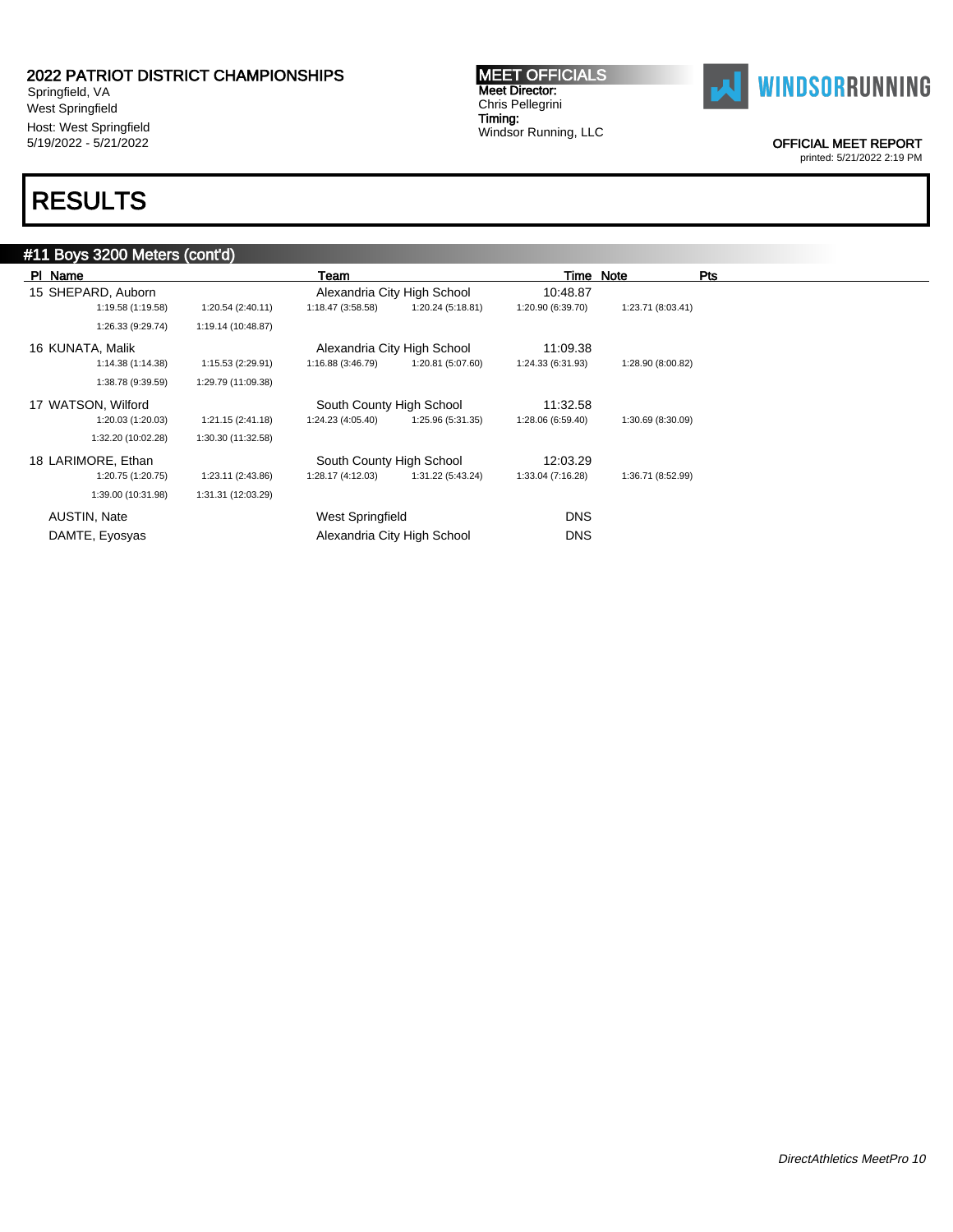Springfield, VA West Springfield Host: West Springfield 5/19/2022 - 5/21/2022

## RESULTS

### #11 Boys 3200 Meters (cont'd)

| PI Name             |                    | Team                     |                             | Time Note         |                   | Pts |
|---------------------|--------------------|--------------------------|-----------------------------|-------------------|-------------------|-----|
| 15 SHEPARD, Auborn  |                    |                          | Alexandria City High School | 10:48.87          |                   |     |
| 1:19.58 (1:19.58)   | 1:20.54(2:40.11)   | 1:18.47 (3:58.58)        | 1:20.24 (5:18.81)           | 1:20.90 (6:39.70) | 1:23.71 (8:03.41) |     |
| 1:26.33 (9:29.74)   | 1:19.14 (10:48.87) |                          |                             |                   |                   |     |
| 16 KUNATA, Malik    |                    |                          | Alexandria City High School | 11:09.38          |                   |     |
| 1:14.38 (1:14.38)   | 1:15.53 (2:29.91)  | 1:16.88 (3:46.79)        | 1:20.81 (5:07.60)           | 1:24.33 (6:31.93) | 1:28.90 (8:00.82) |     |
| 1:38.78 (9:39.59)   | 1:29.79 (11:09.38) |                          |                             |                   |                   |     |
| 17 WATSON, Wilford  |                    | South County High School |                             | 11:32.58          |                   |     |
| 1:20.03 (1:20.03)   | 1:21.15 (2:41.18)  | 1:24.23 (4:05.40)        | 1:25.96 (5:31.35)           | 1:28.06 (6:59.40) | 1:30.69 (8:30.09) |     |
| 1:32.20 (10:02.28)  | 1:30.30 (11:32.58) |                          |                             |                   |                   |     |
| 18 LARIMORE, Ethan  |                    | South County High School |                             | 12:03.29          |                   |     |
| 1:20.75 (1:20.75)   | 1:23.11 (2:43.86)  | 1:28.17 (4:12.03)        | 1:31.22 (5:43.24)           | 1:33.04 (7:16.28) | 1:36.71 (8:52.99) |     |
| 1:39.00 (10:31.98)  | 1:31.31 (12:03.29) |                          |                             |                   |                   |     |
| <b>AUSTIN, Nate</b> |                    | West Springfield         |                             | <b>DNS</b>        |                   |     |
| DAMTE, Eyosyas      |                    |                          | Alexandria City High School | <b>DNS</b>        |                   |     |

MEET OFFICIALS Meet Director: Chris Pellegrini Timing:

Windsor Running, LLC



OFFICIAL MEET REPORT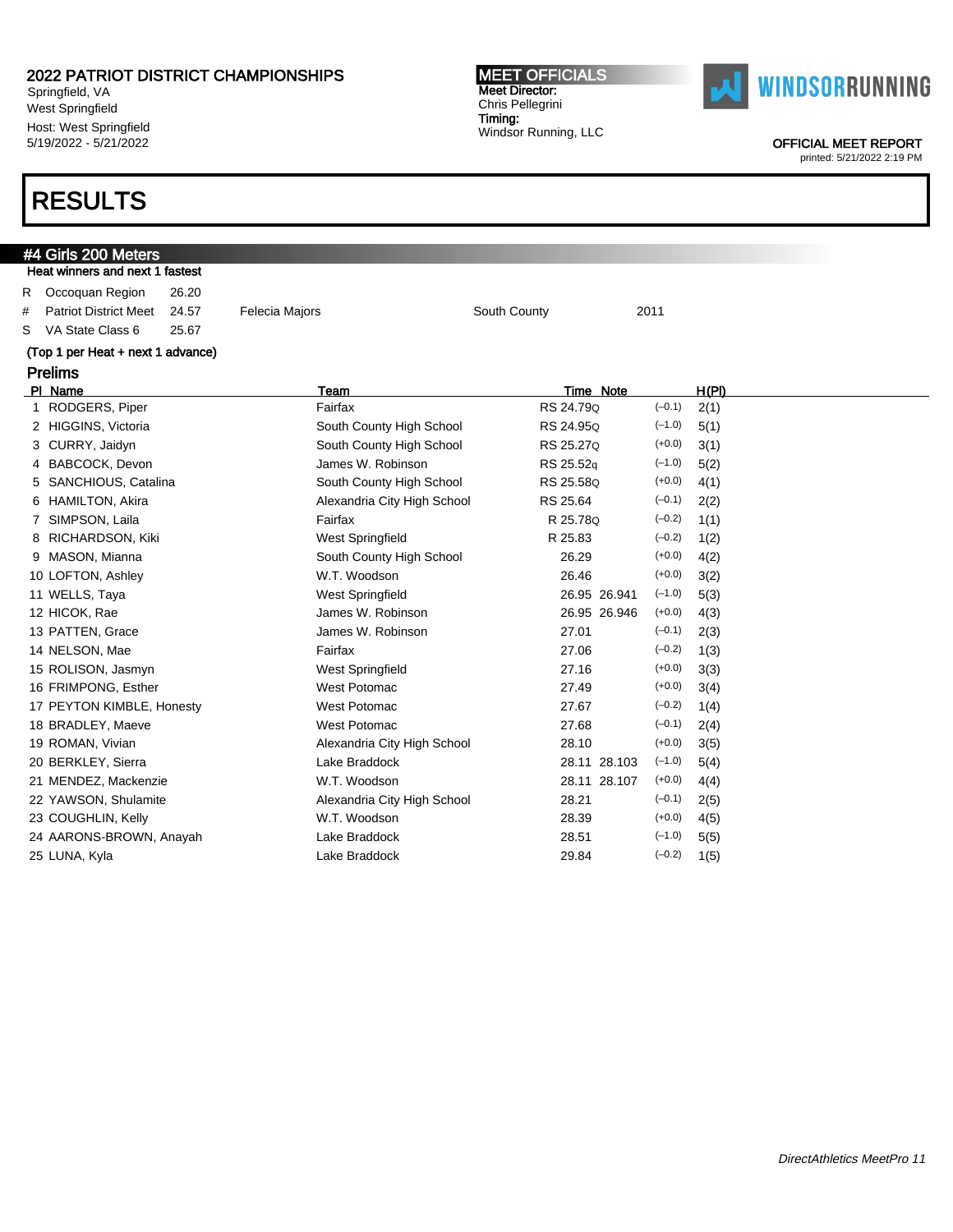Springfield, VA West Springfield Host: West Springfield 5/19/2022 - 5/21/2022

### RESULTS

### #4 Girls 200 Meters Heat winners and next 1 fastest R Occoquan Region 26.20 # Patriot District Meet 24.57 Felecia Majors South County 2011 S VA State Class 6 25.67 (Top 1 per Heat + next 1 advance) Prelims Pl Name Team Time Note H(Pl) 1 RODGERS, Piper **Fairfax** Fairfax **Fairfax** RS 24.79q (-0.1) 2(1) 2 HIGGINS, Victoria **South County High School** RS 24.95Q (-1.0) 5(1) 3 CURRY, Jaidyn Sulth County High School RS 25.27q (+0.0) 3(1) 4 BABCOCK, Devon **James W. Robinson** RS 25.52q (-1.0) 5(2) 5 SANCHIOUS, Catalina South County High School RS 25.58Q (+0.0) 4(1) 6 HAMILTON, Akira Alexandria City High School RS 25.64 (–0.1) 2(2) 7 SIMPSON, Laila **Fairfax** Fairfax **R 25.78Q** (-0.2) 1(1) 8 RICHARDSON, Kiki West Springfield R 25.83 (-0.2) 1(2) 9 MASON, Mianna South County High School 26.29 (+0.0) 4(2) 10 LOFTON, Ashley W.T. Woodson 26.46 (+0.0) 3(2) 11 WELLS, Taya West Springfield 26.95 26.941 (–1.0) 5(3) 12 HICOK, Rae James W. Robinson 26.95 26.946 (+0.0) 4(3) 13 PATTEN, Grace  $\frac{1}{2}$  James W. Robinson 27.01 (-0.1) 2(3) 14 NELSON, Mae Fairfax 27.06 (–0.2) 1(3) 15 ROLISON, Jasmyn West Springfield 27.16 (+0.0) 3(3) 16 FRIMPONG, Esther West Potomac 27.49 (+0.0) 3(4) 17 PEYTON KIMBLE, Honesty West Potomac 27.67 (–0.2) 1(4) 18 BRADLEY, Maeve **West Potomac** 27.68 (-0.1) 2(4) 19 ROMAN, Vivian **Alexandria City High School** 28.10 (+0.0) 3(5) 20 BERKLEY, Sierra Lake Braddock 28.11 28.103 (–1.0) 5(4) 21 MENDEZ, Mackenzie W.T. Woodson 28.11 28.107 (+0.0) 4(4) 22 YAWSON, Shulamite  $\overline{P(1, 2)}$  Alexandria City High School 28.21 (-0.1) 2(5) 23 COUGHLIN, Kelly W.T. Woodson 28.39 (+0.0) 4(5) 24 AARONS-BROWN, Anayah Lake Braddock 28.51 (–1.0) 5(5) 25 LUNA, Kyla Lake Braddock 29.84 (–0.2) 1(5)

MEET OFFICIALS Meet Director: Chris Pellegrini Timing:

Windsor Running, LLC



OFFICIAL MEET REPORT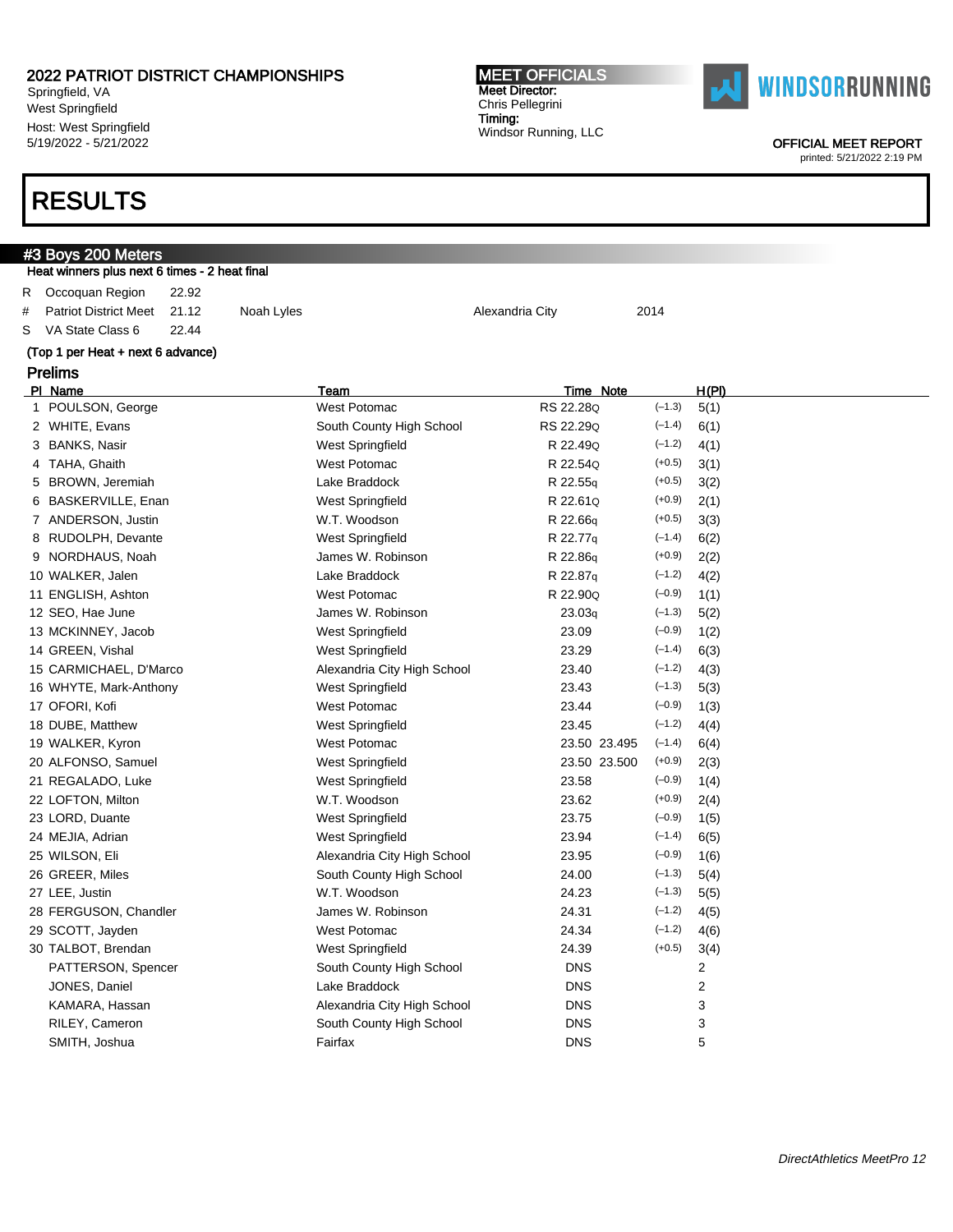Springfield, VA West Springfield Host: West Springfield 5/19/2022 - 5/21/2022

#### MEET OFFICIALS Meet Director: Chris Pellegrini Timing: Windsor Running, LLC



OFFICIAL MEET REPORT

printed: 5/21/2022 2:19 PM

|    | #3 Boys 200 Meters                            |       |            |                          |                 |          |       |  |
|----|-----------------------------------------------|-------|------------|--------------------------|-----------------|----------|-------|--|
|    | Heat winners plus next 6 times - 2 heat final |       |            |                          |                 |          |       |  |
| R. | Occoguan Region                               | 22.92 |            |                          |                 |          |       |  |
| #  | <b>Patriot District Meet</b>                  | 21.12 | Noah Lyles |                          | Alexandria City | 2014     |       |  |
| S. | VA State Class 6                              | 22.44 |            |                          |                 |          |       |  |
|    | (Top 1 per Heat + next 6 advance)             |       |            |                          |                 |          |       |  |
|    | <b>Prelims</b>                                |       |            |                          |                 |          |       |  |
|    |                                               |       |            |                          |                 |          |       |  |
|    | PI Name                                       |       |            | Team                     | Time Note       |          | H(PI) |  |
|    | 1 POULSON, George                             |       |            | West Potomac             | RS 22.28Q       | $(-1.3)$ | 5(1)  |  |
|    | 2 WHITE, Evans                                |       |            | South County High School | RS 22.29Q       | $(-1.4)$ | 6(1)  |  |
|    | 3 BANKS, Nasir                                |       |            | West Springfield         | R 22.490        | $(-1.2)$ | 4(1)  |  |
|    | 4 TAHA, Ghaith                                |       |            | West Potomac             | R 22.54Q        | $(+0.5)$ | 3(1)  |  |
|    | 5 BROWN, Jeremiah                             |       |            | Lake Braddock            | R 22.55g        | $(+0.5)$ | 3(2)  |  |
|    | 6 BASKERVILLE, Enan                           |       |            | West Springfield         | R 22.61Q        | $(+0.9)$ | 2(1)  |  |

| 5 BROWN, Jeremiah      | Lake Braddock               | R 22.55g     | $(+0.5)$ | 3(2) |
|------------------------|-----------------------------|--------------|----------|------|
| 6 BASKERVILLE, Enan    | West Springfield            | R 22.61Q     | $(+0.9)$ | 2(1) |
| 7 ANDERSON, Justin     | W.T. Woodson                | R 22.66q     | $(+0.5)$ | 3(3) |
| 8 RUDOLPH, Devante     | West Springfield            | R 22.77q     | $(-1.4)$ | 6(2) |
| 9 NORDHAUS, Noah       | James W. Robinson           | R 22.86q     | $(+0.9)$ | 2(2) |
| 10 WALKER, Jalen       | Lake Braddock               | R 22.87q     | $(-1.2)$ | 4(2) |
| 11 ENGLISH, Ashton     | <b>West Potomac</b>         | R 22.90Q     | $(-0.9)$ | 1(1) |
| 12 SEO, Hae June       | James W. Robinson           | 23.03q       | $(-1.3)$ | 5(2) |
| 13 MCKINNEY, Jacob     | <b>West Springfield</b>     | 23.09        | $(-0.9)$ | 1(2) |
| 14 GREEN, Vishal       | West Springfield            | 23.29        | $(-1.4)$ | 6(3) |
| 15 CARMICHAEL, D'Marco | Alexandria City High School | 23.40        | $(-1.2)$ | 4(3) |
| 16 WHYTE, Mark-Anthony | West Springfield            | 23.43        | $(-1.3)$ | 5(3) |
| 17 OFORI, Kofi         | <b>West Potomac</b>         | 23.44        | $(-0.9)$ | 1(3) |
| 18 DUBE, Matthew       | West Springfield            | 23.45        | $(-1.2)$ | 4(4) |
| 19 WALKER, Kyron       | <b>West Potomac</b>         | 23.50 23.495 | $(-1.4)$ | 6(4) |
| 20 ALFONSO, Samuel     | West Springfield            | 23.50 23.500 | $(+0.9)$ | 2(3) |
| 21 REGALADO, Luke      | West Springfield            | 23.58        | $(-0.9)$ | 1(4) |
| 22 LOFTON, Milton      | W.T. Woodson                | 23.62        | $(+0.9)$ | 2(4) |
| 23 LORD, Duante        | West Springfield            | 23.75        | $(-0.9)$ | 1(5) |
| 24 MEJIA, Adrian       | West Springfield            | 23.94        | $(-1.4)$ | 6(5) |
| 25 WILSON, Eli         | Alexandria City High School | 23.95        | $(-0.9)$ | 1(6) |
| 26 GREER, Miles        | South County High School    | 24.00        | $(-1.3)$ | 5(4) |
| 27 LEE, Justin         | W.T. Woodson                | 24.23        | $(-1.3)$ | 5(5) |
| 28 FERGUSON, Chandler  | James W. Robinson           | 24.31        | $(-1.2)$ | 4(5) |
| 29 SCOTT, Jayden       | <b>West Potomac</b>         | 24.34        | $(-1.2)$ | 4(6) |
| 30 TALBOT, Brendan     | West Springfield            | 24.39        | $(+0.5)$ | 3(4) |
| PATTERSON, Spencer     | South County High School    | <b>DNS</b>   |          | 2    |
| JONES, Daniel          | Lake Braddock               | <b>DNS</b>   |          | 2    |
| KAMARA, Hassan         | Alexandria City High School | <b>DNS</b>   |          | 3    |
| RILEY, Cameron         | South County High School    | <b>DNS</b>   |          | 3    |
| SMITH, Joshua          | Fairfax                     | <b>DNS</b>   |          | 5    |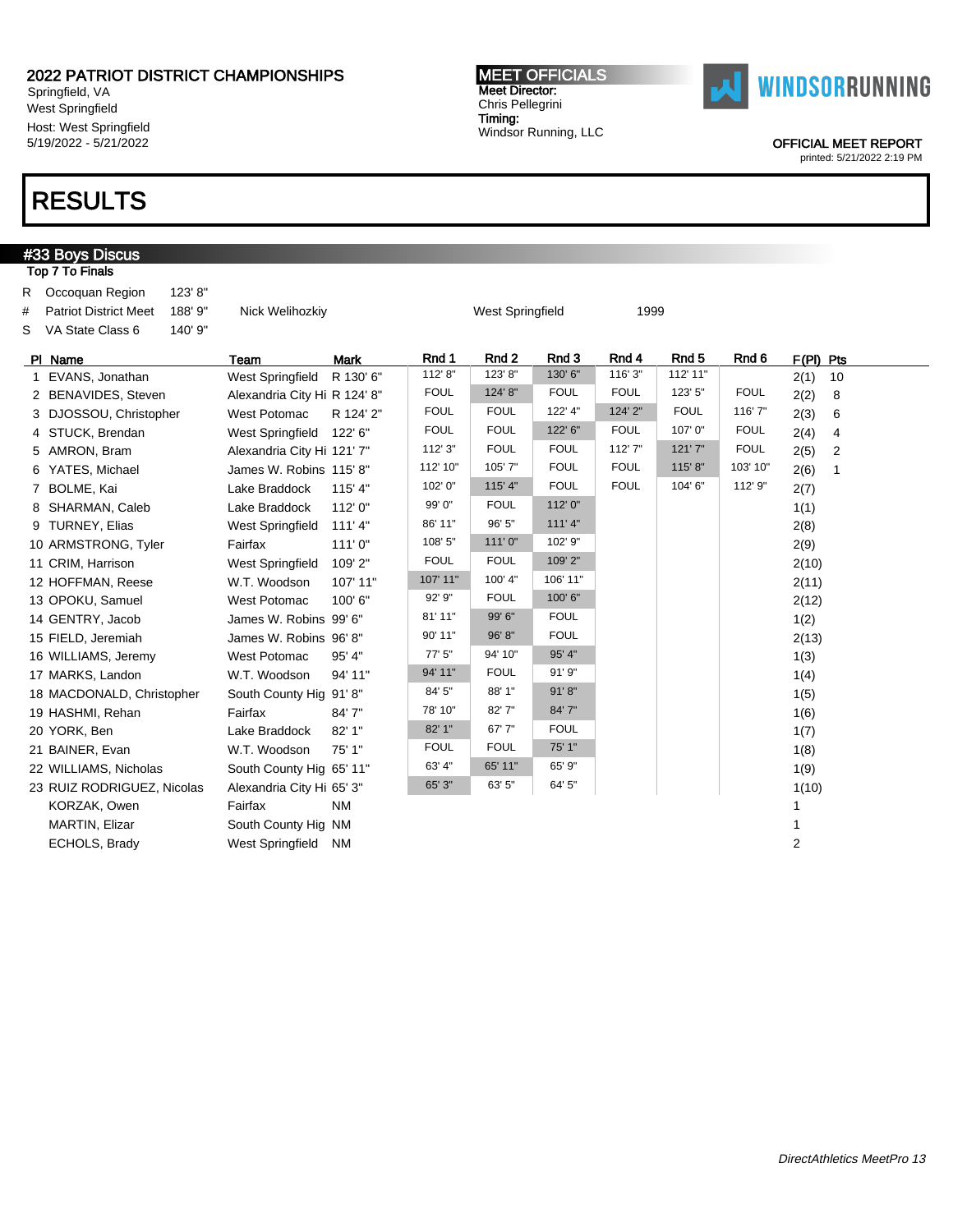Springfield, VA West Springfield Host: West Springfield 5/19/2022 - 5/21/2022

### RESULTS

### #33 Boys Discus Top 7 To Finals R Occoquan Region 123' 8" # Patriot District Meet 188' 9" Nick Welihozkiy Nick West Springfield 1999 S VA State Class 6 140' 9" Pl Name Team Mark Rnd 1 Rnd 2 Rnd 3 Rnd 4 Rnd 5 Rnd 6 F(Pl) Pts 1 EVANS, Jonathan West Springfield R 130' 6" 112' 8" | 123' 8" | 130' 6" | 116' 3" | 112' 11" | 2(1) 10 2 BENAVIDES, Steven Alexandria City Hi R 124' 8" | FOUL | 124' 8" | FOUL | FOUL | 123' 5" | FOUL 2(2) 8 3 DJOSSOU, Christopher West Potomac R 124' 2" FOUL FOUL 122' 4" 124' 2" FOUL 116' 7" 2(3) 6 4 STUCK, Brendan West Springfield 122' 6" FOUL FOUL 122' 6" FOUL 107' 0" FOUL 2(4) 4 5 AMRON, Bram Alexandria City Hi 121' 7" 112' 3" FOUL FOUL 112' 7" 121' 7" FOUL 2(5) 2 6 YATES, Michael James W. Robins 115' 8" 112' 10" 105' 7" | FOUL | FOUL 115' 8" 103' 10" 2(6) 1 7 BOLME, Kai **Lake Braddock** 115' 4" 102' 0" 115' 4" FOUL FOUL 104' 6" 112' 9" 2(7) 8 SHARMAN, Caleb Lake Braddock 112' 0" 99' 0" FOUL 112' 0" 1(1) 9 TURNEY, Elias West Springfield 111' 4" 86' 11" 96' 5" 111' 4" 2(8) 10 ARMSTRONG, Tyler Fairfax 111' 0" 108' 5" 111' 0" 102' 9" | 102' 9" | 2(9) 11 CRIM, Harrison **West Springfield 109' 2"** FOUL FOUL 109' 2" 2(10) 12 HOFFMAN, Reese W.T. Woodson 107' 11" 107' 11" 100' 4" 106' 11" 2(11) 13 OPOKU, Samuel West Potomac 100' 6" 92' 9" FOUL 100' 6" | 2(12) 14 GENTRY, Jacob James W. Robins 99' 6" 81' 11" 99' 6" FOUL 1(2) 15 FIELD, Jeremiah James W. Robins 96' 8" 90' 11" 96' 8" FOUL 2(13) 16 WILLIAMS, Jeremy West Potomac 95' 4" 77' 5" 94' 10" 95' 4" 1(3) 17 MARKS, Landon W.T. Woodson 94' 11" 94' 11" FOUL 91' 9" NARKS, Landon 1(4) 18 MACDONALD, Christopher South County Hig 91' 8" 84' 5" 88' 1" 91' 8" 16" 16" 16" 16" 19 HASHMI, Rehan Fairfax 84' 7" 78' 10" 82' 7" 84' 7" 1(6) 20 YORK, Ben Lake Braddock 82' 1" 82' 1" 67' 7" FOUL 1(7) 21 BAINER, Evan W.T. Woodson 75' 1" FOUL FOUL 75' 1" 1(8) 22 WILLIAMS, Nicholas South County Hig 65' 11" 63' 4" 65' 11" 65' 9" 1(9) 23 RUIZ RODRIGUEZ, Nicolas Alexandria City Hi 65' 3" 65' 3" 63' 5" 64' 5" | 100 | 1(10) KORZAK, Owen **Fairfax** NM 1 MARTIN, Elizar South County Hig NM 1 ECHOLS, Brady West Springfield NM 2

MEET OFFICIALS Meet Director: Chris Pellegrini Timing:

Windsor Running, LLC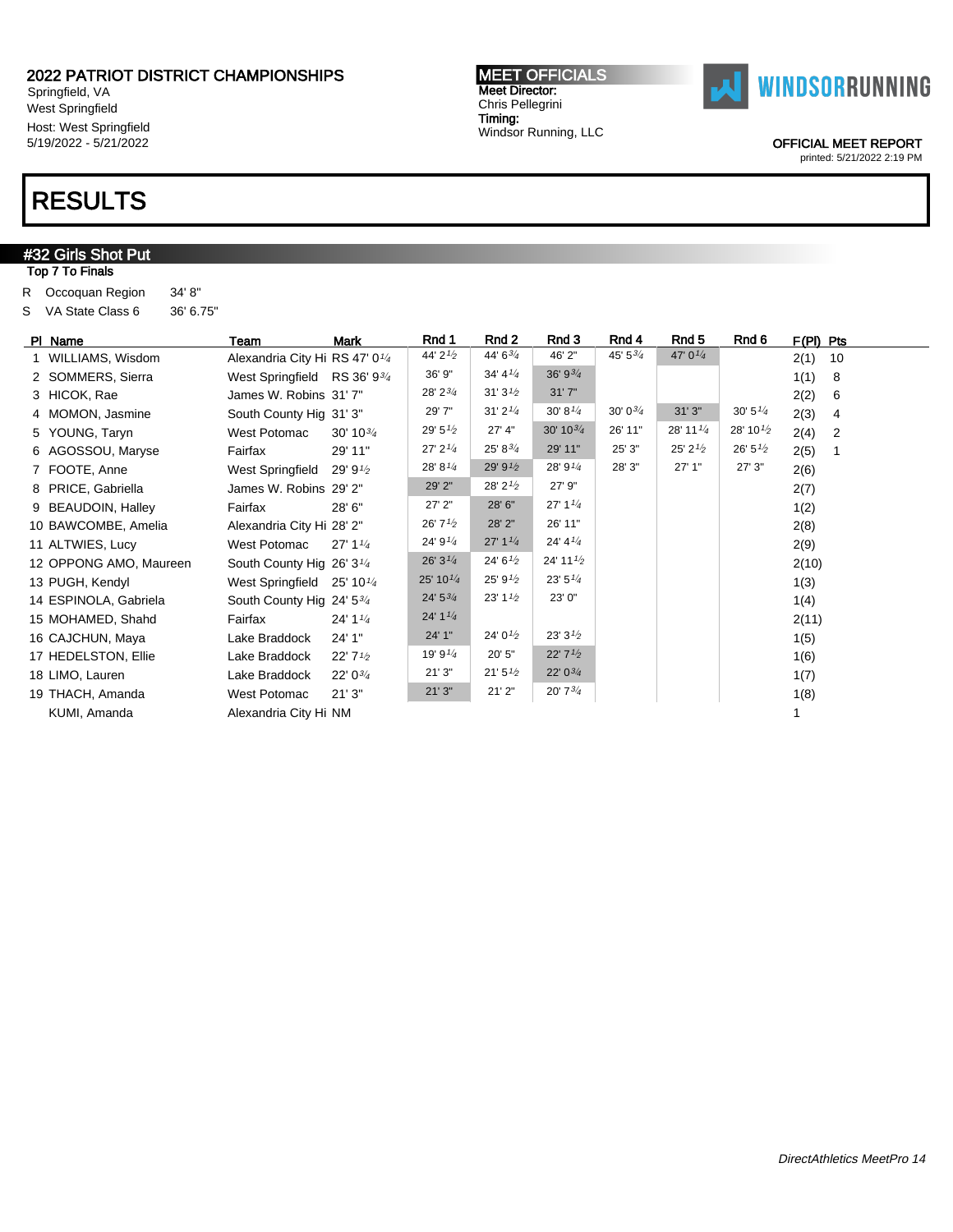Springfield, VA West Springfield Host: West Springfield 5/19/2022 - 5/21/2022

### RESULTS

### **#32 Girls Shot Put**

Top 7 To Finals

R Occoquan Region 34' 8" S VA State Class 6 36' 6.75"

| PI Name                | Team                                       | <b>Mark</b>                       | Rnd 1                | Rnd 2                             | Rnd 3                             | Rnd 4              | Rnd 5                | Rnd 6                | $F(PI)$ Pts |                |
|------------------------|--------------------------------------------|-----------------------------------|----------------------|-----------------------------------|-----------------------------------|--------------------|----------------------|----------------------|-------------|----------------|
| 1 WILLIAMS, Wisdom     | Alexandria City Hi RS 47' 0 <sup>1/4</sup> |                                   | 44' 21/2             | 44' 63/4                          | 46' 2"                            | 45' $5\frac{3}{4}$ | 47' $0^{1/4}$        |                      | 2(1)        | 10             |
| 2 SOMMERS, Sierra      | West Springfield RS 36' 934                |                                   | 36' 9"               | 34' 4''                           | 36' 9 <sup>3</sup> / <sub>4</sub> |                    |                      |                      | 1(1)        | 8              |
| 3 HICOK, Rae           | James W. Robins 31'7"                      |                                   | 28' 23/4             | 31'3'2                            | 31'7''                            |                    |                      |                      | 2(2)        | 6              |
| 4 MOMON, Jasmine       | South County Hig 31' 3"                    |                                   | 29' 7"               | 31'2'4                            | 30' 8'4                           | $30'0^{3/4}$       | 31'3''               | 30' 5''/4            | 2(3)        | 4              |
| 5 YOUNG, Taryn         | West Potomac                               | $30' 10^{3/4}$                    | 29' $5\frac{1}{2}$   | 27' 4"                            | $30' 10^{3/4}$                    | 26' 11"            | 28' 11 $\frac{1}{4}$ | 28' 10 $\frac{1}{2}$ | 2(4)        | $\overline{2}$ |
| 6 AGOSSOU, Maryse      | Fairfax                                    | 29' 11"                           | 27' 2'4              | $25' 8^{3/4}$                     | 29' 11"                           | 25' 3"             | 25' 2' <sub>2</sub>  | 26' 5'               | 2(5)        |                |
| 7 FOOTE, Anne          | West Springfield                           | 29' 9 $\frac{1}{2}$               | 28' 8'4              | 29' 91/2                          | 28' 91/4                          | 28' 3"             | 27' 1"               | 27'3''               | 2(6)        |                |
| 8 PRICE, Gabriella     | James W. Robins 29' 2"                     |                                   | 29' 2"               | 28' 2'2                           | 27' 9"                            |                    |                      |                      | 2(7)        |                |
| 9 BEAUDOIN, Halley     | Fairfax                                    | 28' 6"                            | $27'$ $2"$           | 28' 6"                            | 27' 1 <sup>1</sup> / <sub>4</sub> |                    |                      |                      | 1(2)        |                |
| 10 BAWCOMBE, Amelia    | Alexandria City Hi 28' 2"                  |                                   | 26'7'2               | 28' 2"                            | 26' 11"                           |                    |                      |                      | 2(8)        |                |
| 11 ALTWIES, Lucy       | West Potomac                               | 27' 1 <sup>1</sup> / <sub>4</sub> | 24' $9^{1/4}$        | 27' 1 <sup>1</sup> / <sub>4</sub> | 24' 4' <sub>4</sub>               |                    |                      |                      | 2(9)        |                |
| 12 OPPONG AMO, Maureen | South County Hig 26' 3 <sup>1/4</sup>      |                                   | 26'3''4              | 24' 6'                            | 24' 11 $\frac{1}{2}$              |                    |                      |                      | 2(10)       |                |
| 13 PUGH, Kendyl        | West Springfield $25' 10\frac{1}{4}$       |                                   | 25' 10 $\frac{1}{4}$ | 25' 9'2                           | 23'5''/4                          |                    |                      |                      | 1(3)        |                |
| 14 ESPINOLA, Gabriela  | South County Hig 24' 534                   |                                   | $24' 5^{3/4}$        | 23' 1 <sup>1</sup> / <sub>2</sub> | 23' 0"                            |                    |                      |                      | 1(4)        |                |
| 15 MOHAMED, Shahd      | Fairfax                                    | 24' 1 <sup>1</sup> / <sub>4</sub> | 24' $1\frac{1}{4}$   |                                   |                                   |                    |                      |                      | 2(11)       |                |
| 16 CAJCHUN, Maya       | Lake Braddock                              | 24' 1"                            | 24'1''               | 24' $0^{1/2}$                     | 23'3'2                            |                    |                      |                      | 1(5)        |                |
| 17 HEDELSTON, Ellie    | Lake Braddock                              | $22'$ 7 $\frac{1}{2}$             | 19' 9 $\frac{1}{4}$  | 20' 5"                            | $22'$ 7 $1/2$                     |                    |                      |                      | 1(6)        |                |
| 18 LIMO, Lauren        | Lake Braddock                              | $22' 0^{3/4}$                     | 21'3''               | 21'5''2                           | $22'0^{3/4}$                      |                    |                      |                      | 1(7)        |                |
| 19 THACH, Amanda       | West Potomac                               | 21'3''                            | 21'3''               | 21'2"                             | 20'73/4                           |                    |                      |                      | 1(8)        |                |
| KUMI, Amanda           | Alexandria City Hi NM                      |                                   |                      |                                   |                                   |                    |                      |                      |             |                |

MEET OFFICIALS Meet Director: Chris Pellegrini Timing: Windsor Running, LLC



OFFICIAL MEET REPORT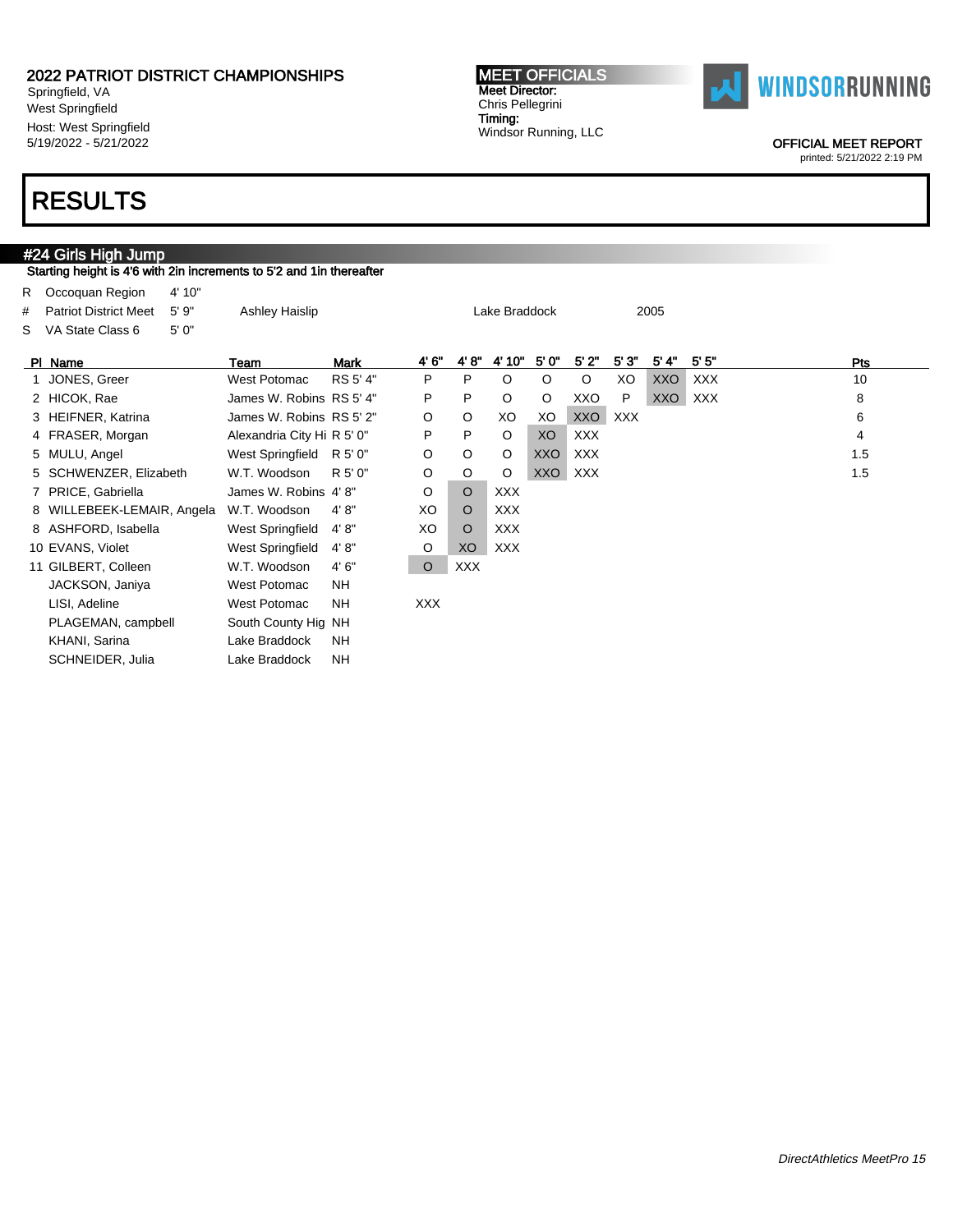Springfield, VA West Springfield Host: West Springfield 5/19/2022 - 5/21/2022

#### MEET OFFICIALS Meet Director: Chris Pellegrini Timing: Windsor Running, LLC



OFFICIAL MEET REPORT

printed: 5/21/2022 2:19 PM

### RESULTS

### #24 Girls High Jump Starting height is 4'6 with 2in increments to 5'2 and 1in thereafter R Occoquan Region 4' 10" # Patriot District Meet 5' 9" Ashley Haislip Lake Braddock 2005 S VA State Class 6 5' 0" Pl Name Team Mark 4' 6" 4' 8" 4' 10" 5' 0" 5' 2" 5' 3" 5' 4" 5' 5" Pts 1 JONES, Greer 6 West Potomac RS 5' 4" P P O O O XO XXO XXX 10 2 HICOK, Rae James W. Robins RS 5' 4" P P O O XXO P XXO XXX 8 3 HEIFNER, Katrina James W. Robins RS 5' 2" O O XO XO XXO XXX 6 4 FRASER, Morgan Alexandria City Hi R 5' 0" P P O XO XXX 4 4 A PRASER, Morgan 4 4 A PRASER A 5 MULU, Angel West Springfield R 5' 0" O O O XXO XXX 1.5 5 SCHWENZER, Elizabeth W.T. Woodson R 5' 0" O O O XXO XXX 1.5 7 PRICE, Gabriella James W. Robins 4' 8" O O XXX 8 WILLEBEEK-LEMAIR, Angela W.T. Woodson 4'8" XO O XXX 8 ASHFORD, Isabella West Springfield 4' 8" XO O XXX 10 EVANS, Violet West Springfield 4'8" O XO XXX 11 GILBERT, Colleen W.T. Woodson 4' 6" O XXX JACKSON, Janiya West Potomac NH LISI, Adeline West Potomac NH XXX PLAGEMAN, campbell South County Hig NH KHANI, Sarina Lake Braddock NH SCHNEIDER, Julia Lake Braddock NH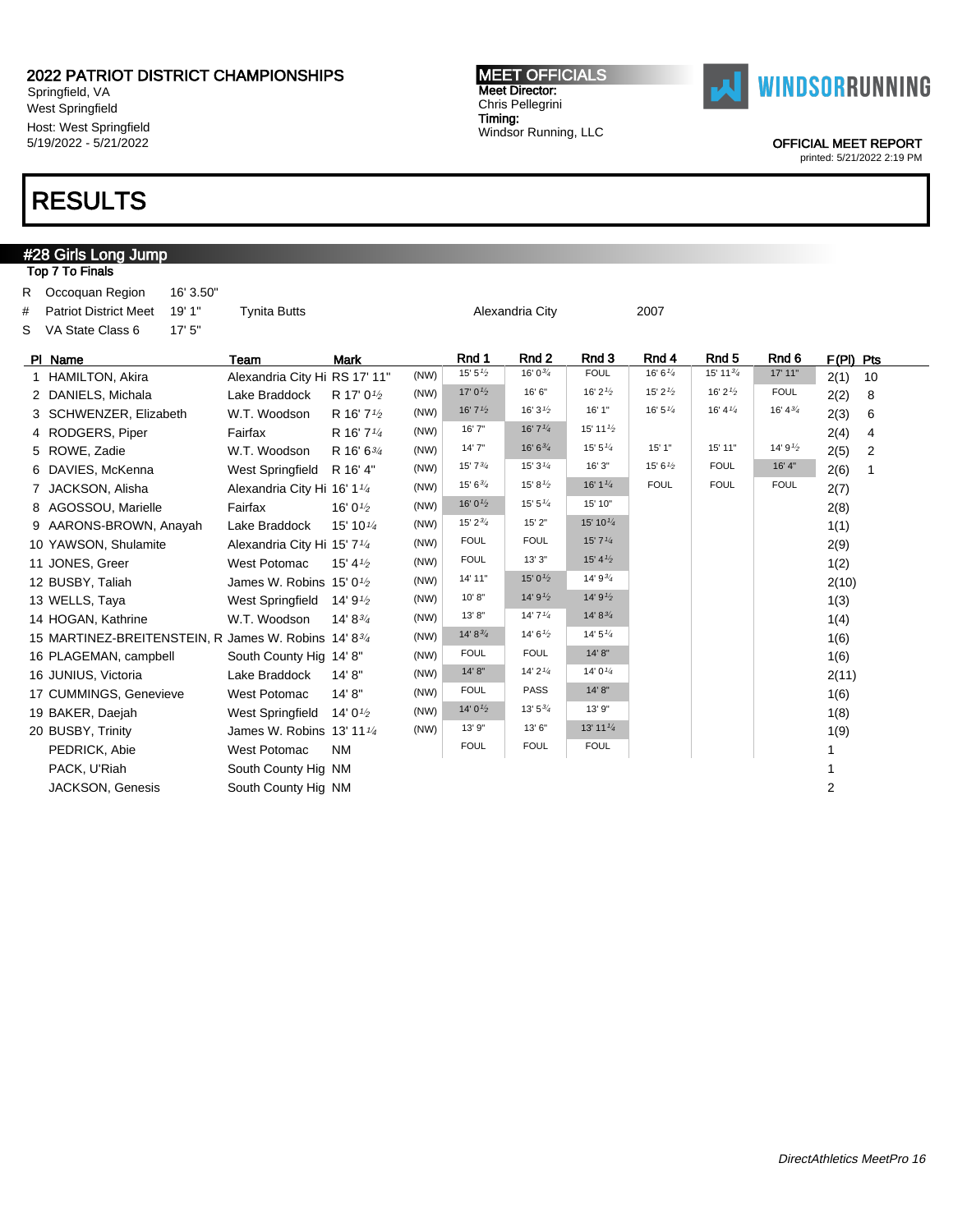Springfield, VA West Springfield Host: West Springfield 5/19/2022 - 5/21/2022

## RESULTS

#28 Girls Long Jump

#### MEET OFFICIALS Meet Director: Chris Pellegrini Timing: Windsor Running, LLC



OFFICIAL MEET REPORT

|    | Top 7 To Finals                                      |                                         |                        |      |                                   |                       |                      |                    |                      |                    |                        |  |
|----|------------------------------------------------------|-----------------------------------------|------------------------|------|-----------------------------------|-----------------------|----------------------|--------------------|----------------------|--------------------|------------------------|--|
| R. | Occoquan Region<br>16' 3.50"                         |                                         |                        |      |                                   |                       |                      |                    |                      |                    |                        |  |
| #  | 19' 1"<br><b>Patriot District Meet</b>               | <b>Tynita Butts</b>                     |                        |      |                                   | Alexandria City       |                      | 2007               |                      |                    |                        |  |
| S  | 17'5''<br>VA State Class 6                           |                                         |                        |      |                                   |                       |                      |                    |                      |                    |                        |  |
|    | PI Name                                              | Team                                    | <b>Mark</b>            |      | Rnd 1                             | Rnd 2                 | Rnd 3                | Rnd 4              | Rnd <sub>5</sub>     | Rnd <sub>6</sub>   | F(PI) Pts              |  |
|    | 1 HAMILTON, Akira                                    | Alexandria City Hi RS 17' 11"           |                        | (NW) | 15' 5'2                           | 16' $0\frac{3}{4}$    | <b>FOUL</b>          | 16' 6''/4          | 15' 11 $\frac{3}{4}$ | 17' 11"            | 2(1)<br>10             |  |
|    | 2 DANIELS, Michala                                   | Lake Braddock                           | R 17' 0 <sup>1/2</sup> | (NW) | 17' $0\frac{1}{2}$                | 16' 6"                | 16' $2\frac{1}{2}$   | 15' $2\frac{1}{2}$ | 16' $2\frac{1}{2}$   | <b>FOUL</b>        | 2(2)<br>8              |  |
|    | 3 SCHWENZER, Elizabeth                               | W.T. Woodson                            | R 16' 7 <sup>1/2</sup> | (NW) | 16' $7\frac{1}{2}$                | 16' $3\frac{1}{2}$    | 16' 1"               | 16' 5''            | 16' 4 $\frac{1}{4}$  | 16' $4\frac{3}{4}$ | 2(3)<br>6              |  |
|    | 4 RODGERS, Piper                                     | Fairfax                                 | R 16' 7 <sup>1/4</sup> | (NW) | 16' 7"                            | 16'7''                | 15' 11 $\frac{1}{2}$ |                    |                      |                    | 2(4)<br>4              |  |
|    | 5 ROWE, Zadie                                        | W.T. Woodson                            | R 16' 63/4             | (NW) | 14'7''                            | $16' 6^{3/4}$         | 15' $5\frac{1}{4}$   | 15'1"              | 15' 11"              | 14' 91/2           | 2(5)<br>$\overline{2}$ |  |
|    | 6 DAVIES, McKenna                                    | West Springfield                        | R 16' 4"               | (NW) | $15'7^{3/4}$                      | 15'3''                | 16' 3"               | 15' 6'2            | <b>FOUL</b>          | 16' 4"             | 2(6)<br>1              |  |
|    | 7 JACKSON, Alisha                                    | Alexandria City Hi 16' 11/4             |                        | (NW) | $15'6^{3/4}$                      | 15' 8 $\frac{1}{2}$   | 16' 1 $\frac{1}{4}$  | <b>FOUL</b>        | <b>FOUL</b>          | <b>FOUL</b>        | 2(7)                   |  |
|    | 8 AGOSSOU, Marielle                                  | Fairfax                                 | 16' 01/2               | (NW) | 16' 0 $\frac{1}{2}$               | 15' 5''               | 15' 10"              |                    |                      |                    | 2(8)                   |  |
|    | 9 AARONS-BROWN, Anayah                               | Lake Braddock                           | 15' 10 $\frac{1}{4}$   | (NW) | 15' 2 <sup>3</sup> / <sub>4</sub> | 15' 2"                | 15' 10 $\frac{1}{4}$ |                    |                      |                    | 1(1)                   |  |
|    | 10 YAWSON, Shulamite                                 | Alexandria City Hi 15' 7 <sup>1/4</sup> |                        | (NW) | <b>FOUL</b>                       | <b>FOUL</b>           | 15'7'' <sub>4</sub>  |                    |                      |                    | 2(9)                   |  |
|    | 11 JONES, Greer                                      | <b>West Potomac</b>                     | 15' $4\frac{1}{2}$     | (NW) | <b>FOUL</b>                       | 13'3''                | 15' 4'2              |                    |                      |                    | 1(2)                   |  |
|    | 12 BUSBY, Taliah                                     | James W. Robins $15'0\frac{1}{2}$       |                        | (NW) | 14' 11"                           | 15' 0 $\frac{1}{2}$   | $14'9^{3/4}$         |                    |                      |                    | 2(10)                  |  |
|    | 13 WELLS, Taya                                       | West Springfield                        | 14' 91/2               | (NW) | 10' 8''                           | 14'9'2                | 14'9'2               |                    |                      |                    | 1(3)                   |  |
|    | 14 HOGAN, Kathrine                                   | W.T. Woodson                            | 14' 83/4               | (NW) | 13'8"                             | 14'7''                | $14' 8^{3/4}$        |                    |                      |                    | 1(4)                   |  |
|    | 15 MARTINEZ-BREITENSTEIN, R James W. Robins 14' 83/4 |                                         |                        | (NW) | $14' 8^{3/4}$                     | 14' 6'                | 14' 5''              |                    |                      |                    | 1(6)                   |  |
|    | 16 PLAGEMAN, campbell                                | South County Hig 14' 8"                 |                        | (NW) | <b>FOUL</b>                       | <b>FOUL</b>           | 14' 8''              |                    |                      |                    | 1(6)                   |  |
|    | 16 JUNIUS, Victoria                                  | Lake Braddock                           | 14' 8''                | (NW) | 14' 8''                           | $14'$ 2 $\frac{1}{4}$ | 14' $0\frac{1}{4}$   |                    |                      |                    | 2(11)                  |  |
|    | 17 CUMMINGS, Genevieve                               | West Potomac                            | 14' 8''                | (NW) | <b>FOUL</b>                       | <b>PASS</b>           | 14' 8''              |                    |                      |                    | 1(6)                   |  |
|    | 19 BAKER, Daejah                                     | West Springfield                        | 14' $0\frac{1}{2}$     | (NW) | 14' $0\frac{1}{2}$                | $13'5^{3/4}$          | 13' 9"               |                    |                      |                    | 1(8)                   |  |
|    | 20 BUSBY, Trinity                                    | James W. Robins $13'$ 11 $\frac{1}{4}$  |                        | (NW) | 13' 9"                            | 13' 6"                | 13' 11 1/4           |                    |                      |                    | 1(9)                   |  |
|    | PEDRICK, Abie                                        | <b>West Potomac</b>                     | <b>NM</b>              |      | <b>FOUL</b>                       | <b>FOUL</b>           | <b>FOUL</b>          |                    |                      |                    | 1                      |  |
|    | PACK, U'Riah                                         | South County Hig NM                     |                        |      |                                   |                       |                      |                    |                      |                    | 1                      |  |
|    | <b>JACKSON, Genesis</b>                              | South County Hig NM                     |                        |      |                                   |                       |                      |                    |                      |                    | $\overline{2}$         |  |
|    |                                                      |                                         |                        |      |                                   |                       |                      |                    |                      |                    |                        |  |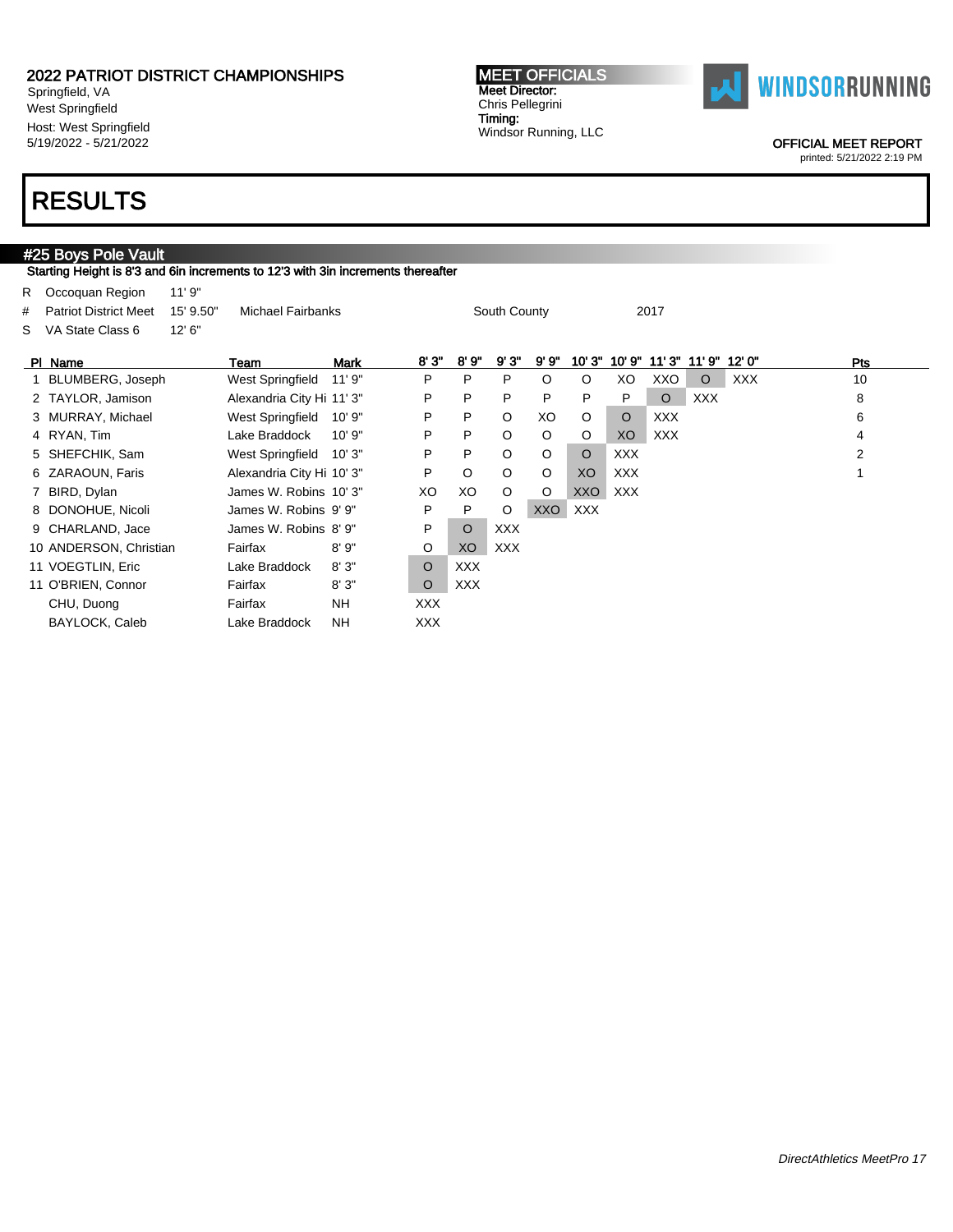Springfield, VA West Springfield Host: West Springfield 5/19/2022 - 5/21/2022

#### MEET OFFICIALS Meet Director: Chris Pellegrini Timing: Windsor Running, LLC



OFFICIAL MEET REPORT

printed: 5/21/2022 2:19 PM

### RESULTS

### #25 Boys Pole Vault

Starting Height is 8'3 and 6in increments to 12'3 with 3in increments thereafter

|    | R Occoquan Region            | 11'9''    |                           |           |         |            |              |         |            |            |            |            |            |                |  |
|----|------------------------------|-----------|---------------------------|-----------|---------|------------|--------------|---------|------------|------------|------------|------------|------------|----------------|--|
| #  | <b>Patriot District Meet</b> | 15' 9.50" | Michael Fairbanks         |           |         |            | South County |         |            |            | 2017       |            |            |                |  |
| S. | VA State Class 6             | 12' 6''   |                           |           |         |            |              |         |            |            |            |            |            |                |  |
|    | PI Name                      |           | Team                      | Mark      | 8'3"    | 8' 9"      | 9'3"         | 9' 9"   | 10'3''     | 10'9"      | 11'3''     | 11' 9"     | 12'0"      | Pts            |  |
|    | BLUMBERG, Joseph             |           | West Springfield          | 11'9''    | P       | P          | P            | $\circ$ | $\circ$    | XO         | XXO        | $\circ$    | <b>XXX</b> | 10             |  |
|    | 2 TAYLOR, Jamison            |           | Alexandria City Hi 11' 3" |           | P       | P          | P            | P       | P          | P          | $\circ$    | <b>XXX</b> |            | 8              |  |
|    | 3 MURRAY, Michael            |           | West Springfield          | 10'9"     | P       | P          | $\circ$      | XO      | O          | $\circ$    | XXX        |            |            | 6              |  |
|    | 4 RYAN, Tim                  |           | Lake Braddock             | 10'9"     | P       | P          | $\circ$      | $\circ$ | O          | XO         | <b>XXX</b> |            |            | 4              |  |
|    | 5 SHEFCHIK, Sam              |           | West Springfield          | 10'3"     | P       | P          | $\circ$      | $\circ$ | $\circ$    | <b>XXX</b> |            |            |            | $\overline{2}$ |  |
|    | 6 ZARAOUN, Faris             |           | Alexandria City Hi 10' 3" |           | P       | O          | $\circ$      | O       | XO         | <b>XXX</b> |            |            |            |                |  |
|    | 7 BIRD, Dylan                |           | James W. Robins 10' 3"    |           | XO      | XO         | O            | O       | <b>XXO</b> | <b>XXX</b> |            |            |            |                |  |
|    | 8 DONOHUE, Nicoli            |           | James W. Robins 9' 9"     |           | P       | P          | O            | XXO     | <b>XXX</b> |            |            |            |            |                |  |
|    | 9 CHARLAND, Jace             |           | James W. Robins 8' 9"     |           | P       | $\circ$    | <b>XXX</b>   |         |            |            |            |            |            |                |  |
|    | 10 ANDERSON, Christian       |           | Fairfax                   | 8'9''     | O       | XO         | <b>XXX</b>   |         |            |            |            |            |            |                |  |
|    | 11 VOEGTLIN, Eric            |           | Lake Braddock             | 8'3"      | $\circ$ | <b>XXX</b> |              |         |            |            |            |            |            |                |  |
|    | 11 O'BRIEN, Connor           |           | Fairfax                   | 8'3''     | O       | <b>XXX</b> |              |         |            |            |            |            |            |                |  |
|    | CHU, Duong                   |           | Fairfax                   | <b>NH</b> | XXX.    |            |              |         |            |            |            |            |            |                |  |
|    | BAYLOCK, Caleb               |           | Lake Braddock             | <b>NH</b> | XXX.    |            |              |         |            |            |            |            |            |                |  |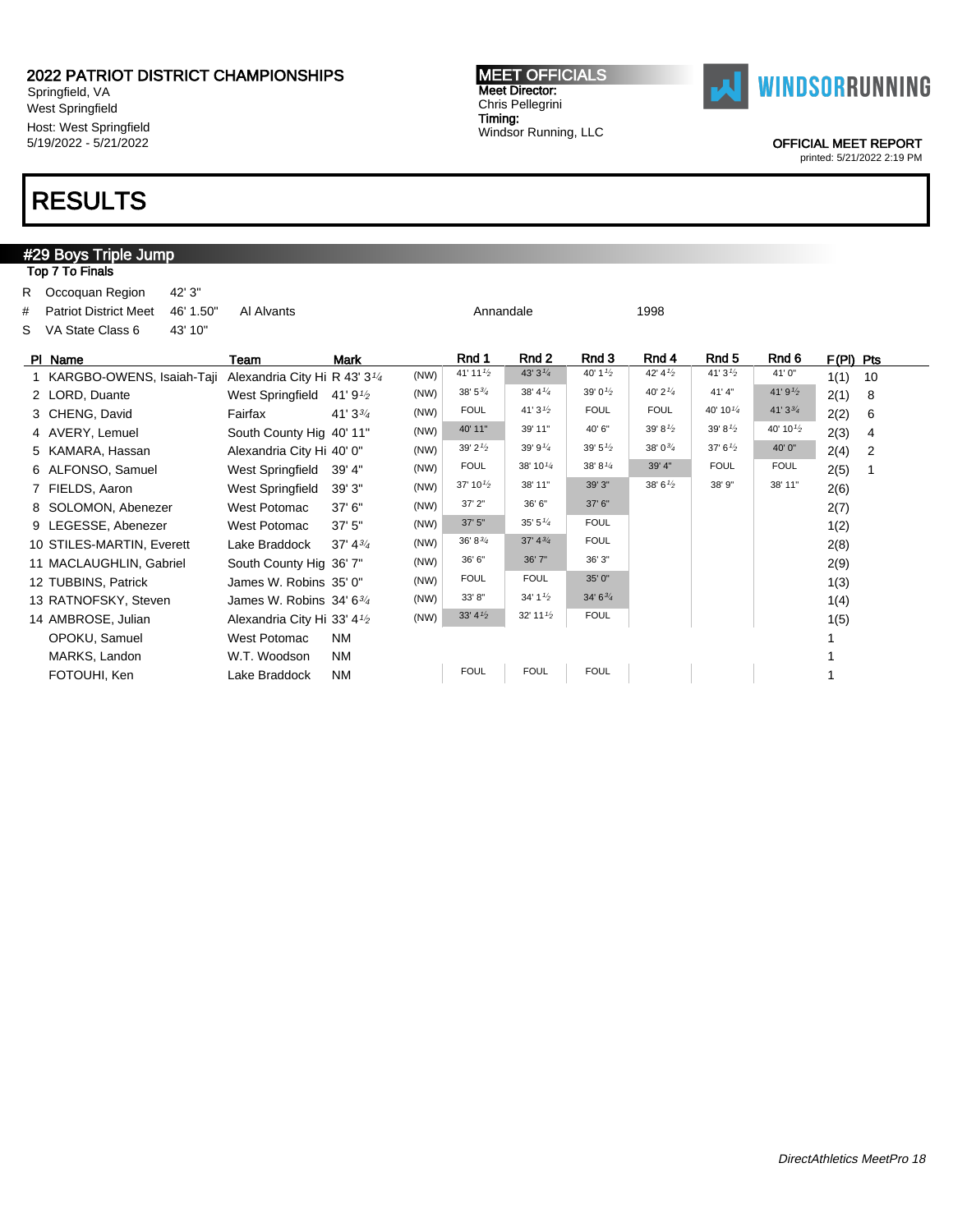Springfield, VA West Springfield Host: West Springfield 5/19/2022 - 5/21/2022

## RESULTS

#### #29 Boys Triple Jump Top 7 To Finals R Occoquan Region 42' 3" # Patriot District Meet 46' 1.50" Al Alvants Annandale Annandale 1998 S VA State Class 6 43' 10" Pl Name Team Mark Rnd 1 Rnd 2 Rnd 3 Rnd 4 Rnd 5 Rnd 6 F(Pl) Pts 1 KARGBO-OWENS, Isaiah-Taji Alexandria City Hi R 43' 31/<sup>4</sup>  $(NW)$  41' 11<sup>1/2</sup> 43' 3<sup>1/4</sup> 40' 1<sup>1/2</sup> 42' 4<sup>1/2</sup> 41' 3<sup>1/2</sup> 41' 0" 1(1) 10 2 LORD, Duante West Springfield 41' 9<sup>1/2</sup>  $(NW)$  38' 5<sup>3'</sup> 4 38' 4<sup>1'</sup> 4 39' 0<sup>1'</sup> 40' 2<sup>1'</sup> 41' 4" 41' 9<sup>1</sup> 2(1) 8 3 CHENG, David Fairfax 41' 334 (NW) FOUL 41' 3<sup>1</sup>/<sub>2</sub> FOUL FOUL 40' 10<sup>1/4</sup> 41' 3<sup>3</sup>/<sub>4</sub> 2(2) 6 4 AVERY, Lemuel South County Hig 40' 11" (NW) 40' 11" 39' 11" 40' 6" 39' 8<sup>1/2</sup> 39' 8<sup>1/2</sup> 40' 10<sup>1/2</sup> 2(3) 4 5 KAMARA, Hassan Alexandria City Hi 40' 0" (NW) 39' 21/<sup>2</sup> 39' 91/<sup>4</sup> 39' 51/<sup>2</sup> 38' 03/<sup>4</sup> 37' 61/<sup>2</sup> 40' 0" 2(4) 2 6 ALFONSO, Samuel West Springfield 39' 4" (NW) FOUL 38' 10<sup>1/4</sup> 38' 8<sup>1/</sup>4 39' 4" FOUL FOUL 2(5) 1<br>7 FIFILING Agrop 1 – Mest Springfield 39' 4" (NW) 37' 10<sup>1/</sup>2 38' 11" 39' 3" 38' 8<sup>1</sup>2 38' 9" 38' 11" 2(6) 7 FIELDS, Aaron West Springfield 39' 3" (NW)  $37' 10^{1/2}$  38' 11" 39' 3" 38' 6<sup>1/2</sup> 38' 9" 38' 11" 2(6) 8 SOLOMON, Abenezer West Potomac  $37' 6''$  (NW)  $37' 2''$   $36' 6''$   $37' 6''$  2(7) 9 LEGESSE, Abenezer West Potomac 37' 5" (NW) 37' 5" 35' 5<sup>1/4</sup> FOUL 1(2) 10 STILES-MARTIN, Everett Lake Braddock 37' 43/<sup>4</sup> (NW)  $36' 8^{3/4}$   $37' 4^{3/4}$  FOUL 2(8) 11 MACLAUGHLIN, Gabriel South County Hig 36' 7" (NW) 36' 6" 36' 7" 36' 3" 2(9) 12 TUBBINS, Patrick James W. Robins 35' 0" (NW) FOUL FOUL 35' 0" 1(3) 13 RATNOFSKY, Steven James W. Robins 34' 63/<sup>4</sup>  $(NW)$  33' 8" 34' 1<sup>1</sup><sup>2</sup> 34' 6<sup>3</sup><sup>4</sup> 1(4) 14 AMBROSE, Julian Alexandria City Hi 33' 4<sup>1/2</sup> (NW)  $33' 4^{1/2}$   $32' 11^{1/2}$  FOUL 1(5) OPOKU, Samuel West Potomac NM 1 MARKS, Landon W.T. Woodson NM 1

FOTOUHI, Ken Lake Braddock NM FOUL FOUL FOUL FOUL I





OFFICIAL MEET REPORT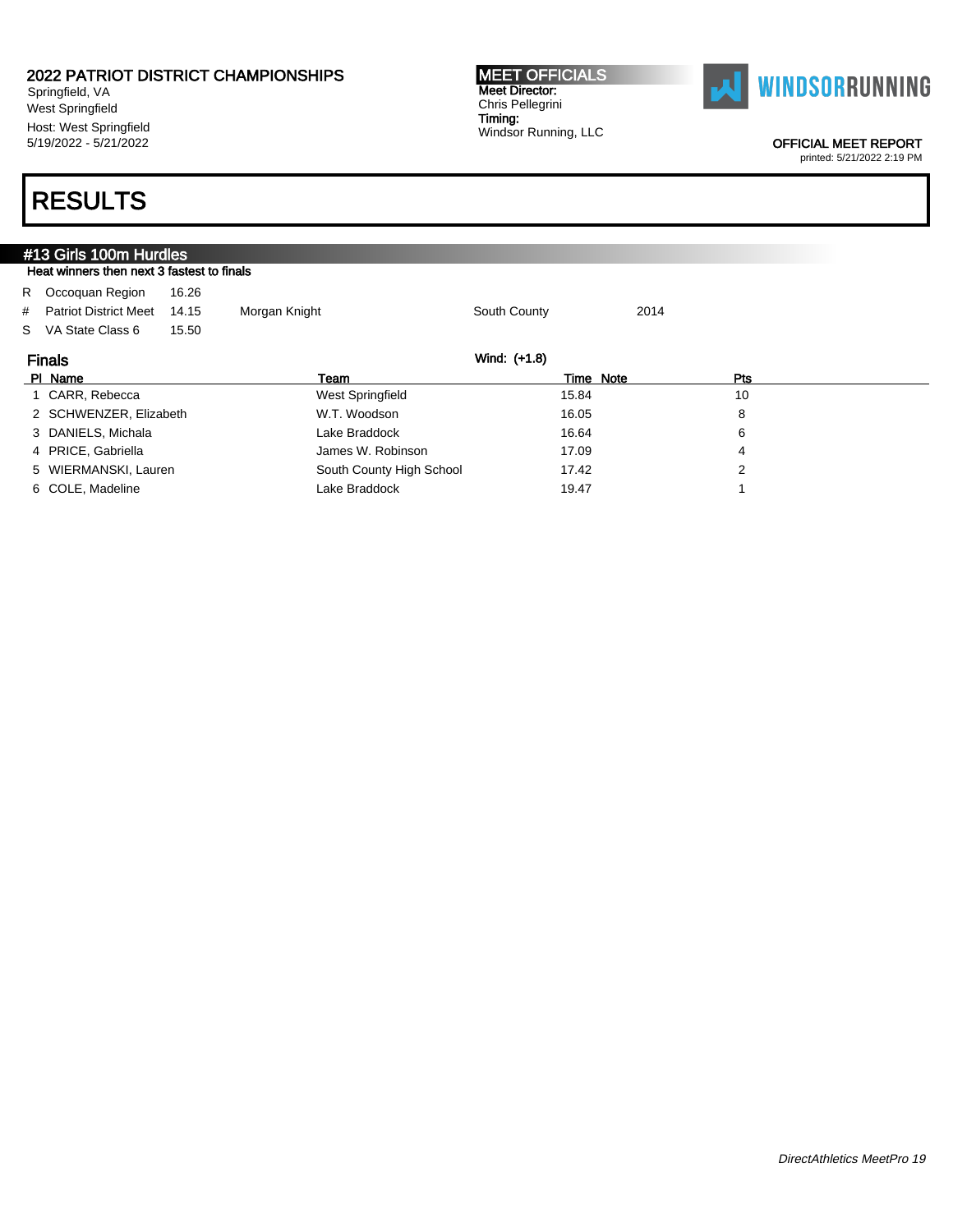Springfield, VA West Springfield Host: West Springfield 5/19/2022 - 5/21/2022

#### MEET OFFICIALS Meet Director: Chris Pellegrini Timing: Windsor Running, LLC



OFFICIAL MEET REPORT

printed: 5/21/2022 2:19 PM

| #13 Girls 100m Hurdles                     |       |                          |              |      |  |
|--------------------------------------------|-------|--------------------------|--------------|------|--|
| Heat winners then next 3 fastest to finals |       |                          |              |      |  |
| R Occoquan Region                          | 16.26 |                          |              |      |  |
| # Patriot District Meet                    | 14.15 | Morgan Knight            | South County | 2014 |  |
| S VA State Class 6                         | 15.50 |                          |              |      |  |
| <b>Finals</b>                              |       |                          | Wind: (+1.8) |      |  |
| PI Name                                    |       | Team                     | Time Note    | Pts  |  |
| 1 CARR, Rebecca                            |       | West Springfield         | 15.84        | 10   |  |
| 2 SCHWENZER, Elizabeth                     |       | W.T. Woodson             | 16.05        | 8    |  |
| 3 DANIELS, Michala                         |       | Lake Braddock            | 16.64        | 6    |  |
| 4 PRICE, Gabriella                         |       | James W. Robinson        | 17.09        | 4    |  |
| 5 WIERMANSKI, Lauren                       |       | South County High School | 17.42        | 2    |  |
| 6 COLE, Madeline                           |       | Lake Braddock            | 19.47        |      |  |
|                                            |       |                          |              |      |  |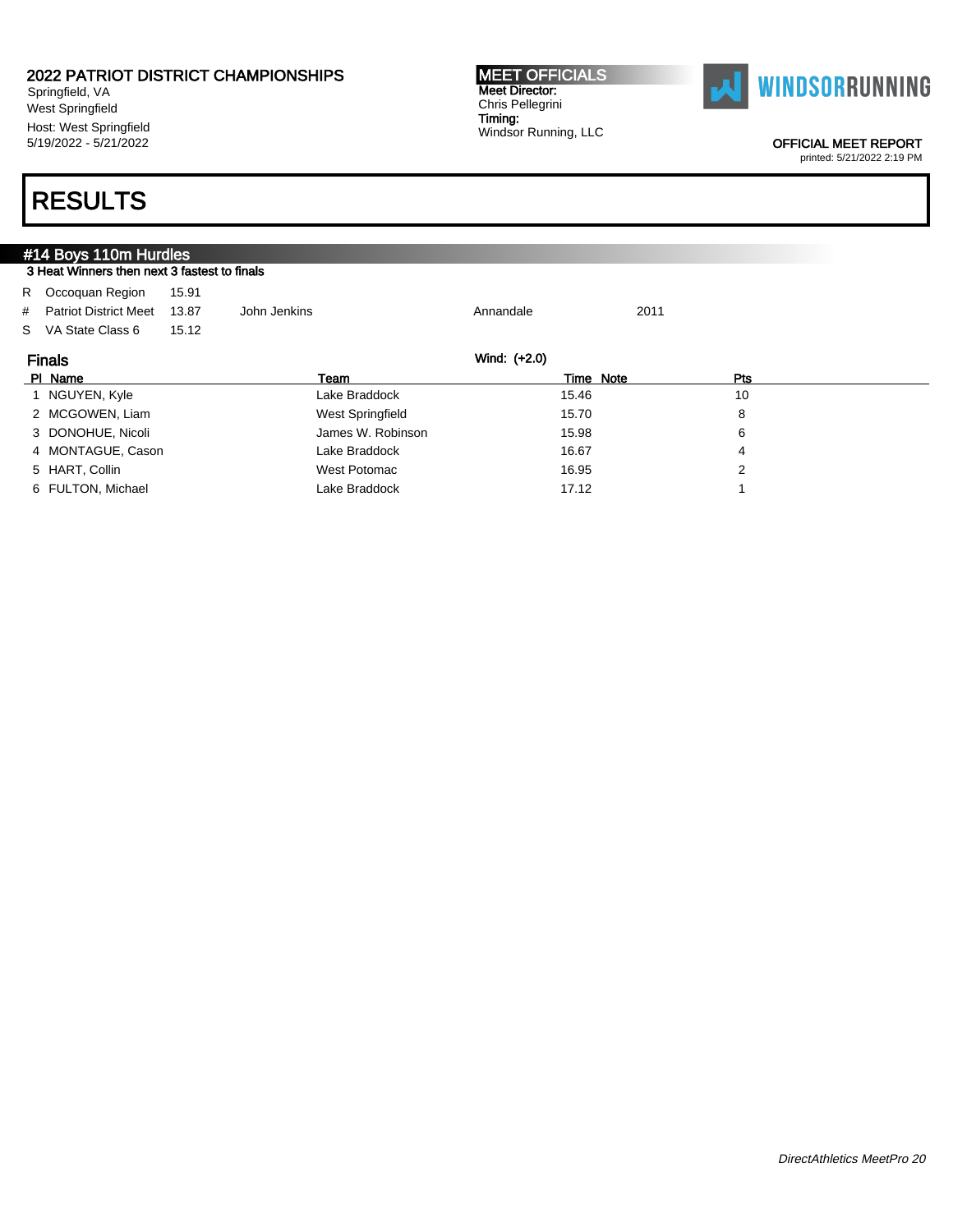Springfield, VA West Springfield Host: West Springfield 5/19/2022 - 5/21/2022

#### MEET OFFICIALS Meet Director: Chris Pellegrini Timing: Windsor Running, LLC



OFFICIAL MEET REPORT

printed: 5/21/2022 2:19 PM

| #14 Boys 110m Hurdles                        |       |                   |           |           |     |  |  |  |  |
|----------------------------------------------|-------|-------------------|-----------|-----------|-----|--|--|--|--|
| 3 Heat Winners then next 3 fastest to finals |       |                   |           |           |     |  |  |  |  |
| R Occoquan Region                            | 15.91 |                   |           |           |     |  |  |  |  |
| # Patriot District Meet                      | 13.87 | John Jenkins      | Annandale | 2011      |     |  |  |  |  |
| S VA State Class 6                           | 15.12 |                   |           |           |     |  |  |  |  |
| Wind: (+2.0)<br><b>Finals</b>                |       |                   |           |           |     |  |  |  |  |
|                                              |       |                   |           |           |     |  |  |  |  |
| PI Name                                      |       | Team              |           | Time Note | Pts |  |  |  |  |
| 1 NGUYEN, Kyle                               |       | Lake Braddock     | 15.46     |           | 10  |  |  |  |  |
| 2 MCGOWEN, Liam                              |       | West Springfield  | 15.70     |           | 8   |  |  |  |  |
| 3 DONOHUE, Nicoli                            |       | James W. Robinson | 15.98     |           | 6   |  |  |  |  |
| 4 MONTAGUE, Cason                            |       | Lake Braddock     | 16.67     |           | 4   |  |  |  |  |
| 5 HART, Collin                               |       | West Potomac      | 16.95     |           | 2   |  |  |  |  |
| 6 FULTON, Michael                            |       | Lake Braddock     | 17.12     |           |     |  |  |  |  |
|                                              |       |                   |           |           |     |  |  |  |  |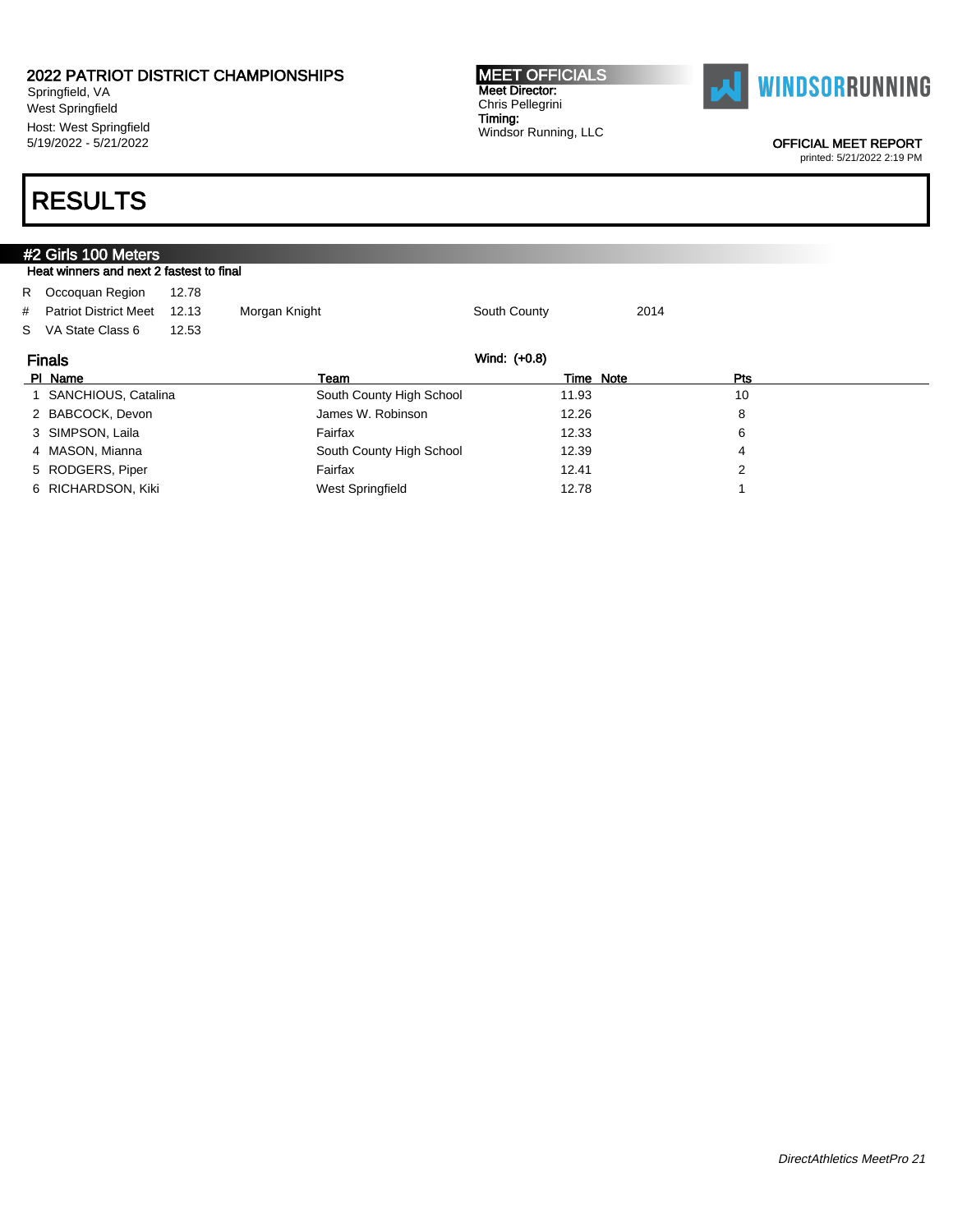Springfield, VA West Springfield Host: West Springfield 5/19/2022 - 5/21/2022

#### MEET OFFICIALS Meet Director: Chris Pellegrini Timing: Windsor Running, LLC



OFFICIAL MEET REPORT

printed: 5/21/2022 2:19 PM

| #2 Girls 100 Meters                      |       |                          |              |      |     |  |  |  |  |  |
|------------------------------------------|-------|--------------------------|--------------|------|-----|--|--|--|--|--|
| Heat winners and next 2 fastest to final |       |                          |              |      |     |  |  |  |  |  |
| R Occoquan Region                        | 12.78 |                          |              |      |     |  |  |  |  |  |
| # Patriot District Meet                  | 12.13 | Morgan Knight            | South County | 2014 |     |  |  |  |  |  |
| S VA State Class 6                       | 12.53 |                          |              |      |     |  |  |  |  |  |
| Wind: (+0.8)<br><b>Finals</b>            |       |                          |              |      |     |  |  |  |  |  |
| PI Name                                  |       | Team                     | Time Note    |      | Pts |  |  |  |  |  |
| SANCHIOUS, Catalina                      |       | South County High School | 11.93        |      | 10  |  |  |  |  |  |
| 2 BABCOCK, Devon                         |       | James W. Robinson        | 12.26        |      | 8   |  |  |  |  |  |
| 3 SIMPSON, Laila                         |       | Fairfax                  | 12.33        |      | 6   |  |  |  |  |  |
| 4 MASON, Mianna                          |       | South County High School | 12.39        |      | 4   |  |  |  |  |  |
| 5 RODGERS, Piper                         |       | Fairfax                  | 12.41        |      | 2   |  |  |  |  |  |
| 6 RICHARDSON, Kiki                       |       | West Springfield         | 12.78        |      |     |  |  |  |  |  |
|                                          |       |                          |              |      |     |  |  |  |  |  |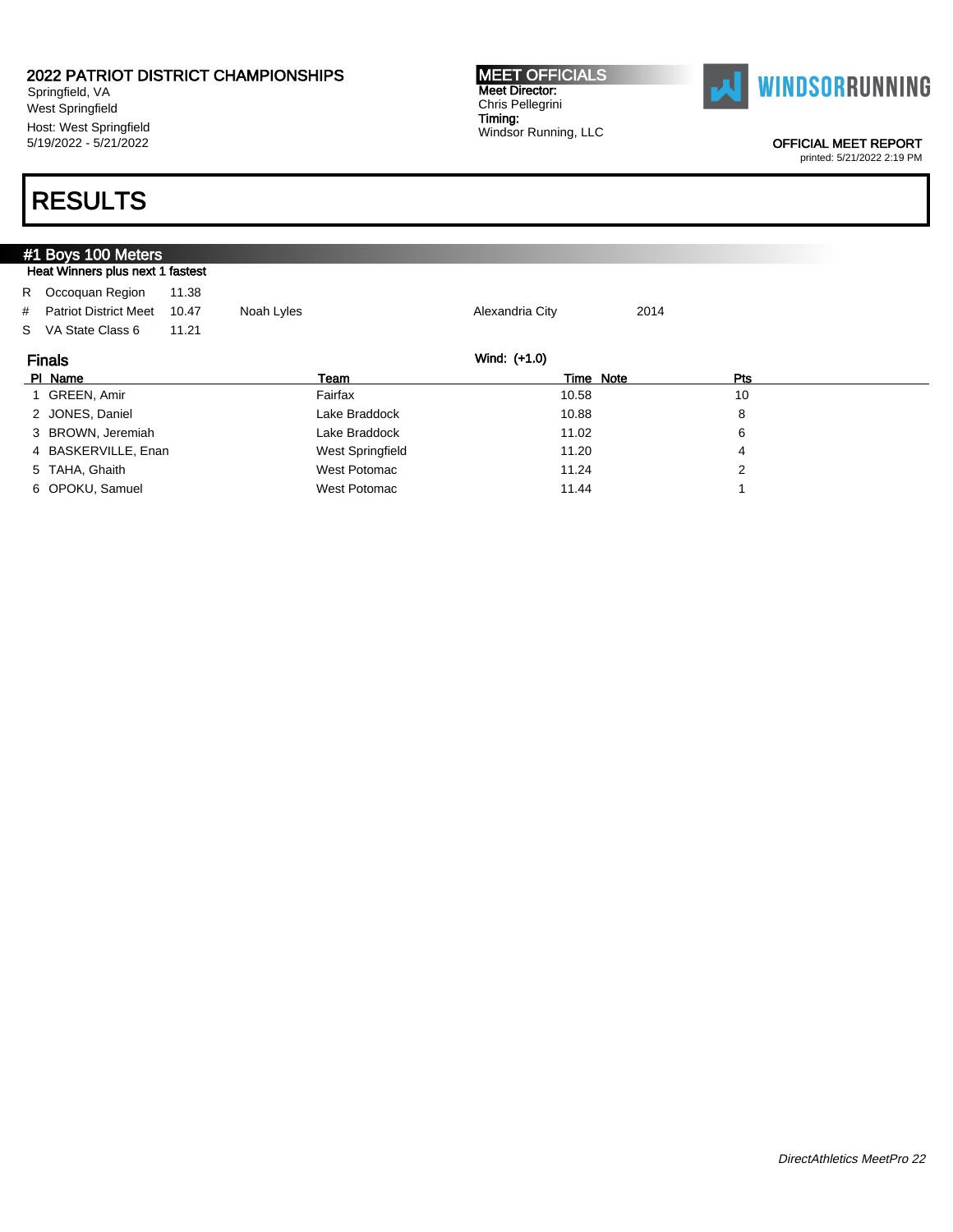Springfield, VA West Springfield Host: West Springfield 5/19/2022 - 5/21/2022

## RESULTS

### #1 Boys 100 Meters Heat Winners plus next 1 fastest R Occoquan Region 11.38 # Patriot District Meet 10.47 Noah Lyles Alexandria City 2014 S VA State Class 6 11.21 Finals Wind: (+1.0) Pl Name Team Time Note Pts 1 GREEN, Amir **Fairfax 10.58** 10 2 JONES, Daniel **10.88** 8 8 3 BROWN, Jeremiah Lake Braddock 11.02 6 4 BASKERVILLE, Enan West Springfield 11.20 4 5 TAHA, Ghaith West Potomac 11.24 2 6 OPOKU, Samuel 1 **11.44** 1 CONSULTER MESS WEST Potomac 11.44 1 11.44 1 11.44 1 11.44 1 11.44 1 11.44 1 11.44 1 1

MEET OFFICIALS Meet Director: Chris Pellegrini Timing: Windsor Running, LLC



OFFICIAL MEET REPORT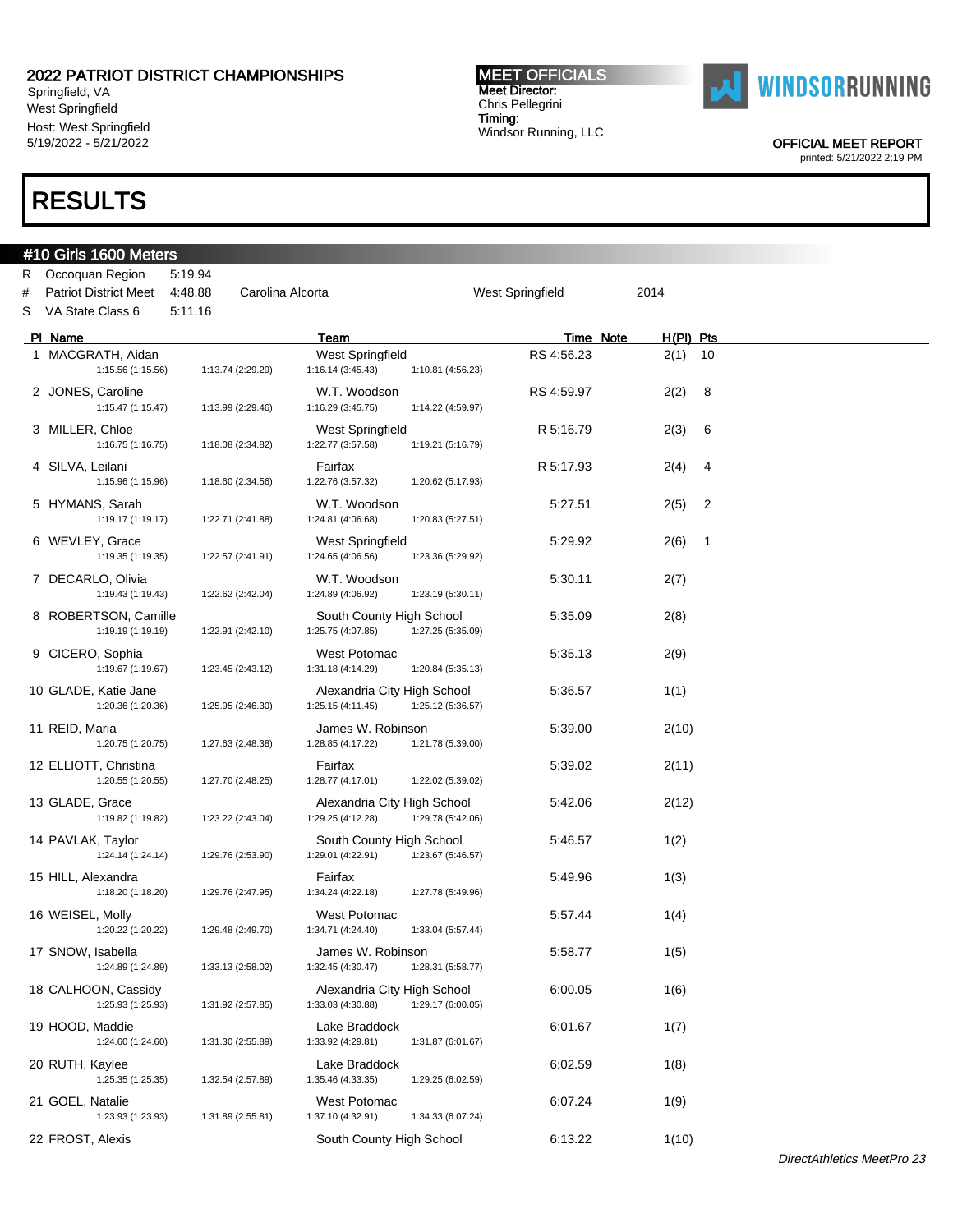Springfield, VA West Springfield Host: West Springfield 5/19/2022 - 5/21/2022

### RESULTS

### #10 Girls 1600 Meters R Occoquan Region 5:19.94 # Patriot District Meet 4:48.88 Carolina Alcorta West Springfield 2014 S VA State Class 6 5:11.16 PI Name Team Team Team Team Team Time Note H(PI) Pts 1 MACGRATH, Aidan **National Accord Contract Contract Contract West Springfield** RS 4:56.23 2(1) 10 1:15.56 (1:15.56) 1:13.74 (2:29.29) 1:16.14 (3:45.43) 1:10.81 (4:56.23) 2 JONES, Caroline W.T. Woodson RS 4:59.97 2(2) 8 1:15.47 (1:15.47) 1:13.99 (2:29.46) 1:16.29 (3:45.75) 1:14.22 (4:59.97) 3 MILLER, Chloe West Springfield R 5:16.79 2(3) 6 1:16.75 (1:16.75) 1:18.08 (2:34.82) 4 SILVA, Leilani Fairfax R 5:17.93 2(4) 4 1:15.96 (1:15.96) 1:18.60 (2:34.56) 1:22.76 (3:57.32) 1:20.62 (5:17.93) 5 HYMANS, Sarah W.T. Woodson 5:27.51 2(5) 2 1:19.17 (1:19.17) 1:22.71 (2:41.88) 1:24.81 (4:06.68) 1:20.83 (5:27.51) 6 WEVLEY, Grace West Springfield 5:29.92 2(6) 1 1:19.35 (1:19.35) 1:22.57 (2:41.91) 1:24.65 (4:06.56) 1:23.36 (5:29.92) 7 DECARLO, Olivia W.T. Woodson 5:30.11 2(7) 1:19.43 (1:19.43) 1:22.62 (2:42.04) 1:24.89 (4:06.92) 1:23.19 (5:30.11) 8 ROBERTSON, Camille South County High School 5:35.09 2(8) 1:19.19 (1:19.19) 1:22.91 (2:42.10) 1:25.75 (4:07.85) 1:27.25 (5:35.09) 9 CICERO, Sophia West Potomac 5:35.13 2(9) 1:19.67 (1:19.67) 1:23.45 (2:43.12) 1:31.18 (4:14.29) 1:20.84 (5:35.13) 10 GLADE, Katie Jane **Alexandria City High School** 5:36.57 1(1) 1:20.36 (1:20.36) 1:25.95 (2:46.30) 1:25.15 (4:11.45) 1:25.12 (5:36.57) 11 REID, Maria 1:20.75 (1:20.75) 1:27.63 (2:48.38 1:28.85 (4:17.22) 1:21.78 (5:39.00 5:39.00 1:20.75 (1:20.75) 1:27.63 (2:48.38) 12 ELLIOTT, Christina 6:39.02 1:20.55 (1:20.55) 1:27.70 (2:48.25) 1:28.77 (4:17.01) 1:22.02 (5:39.02 1:22.02 1:20.55 (1:20.55) 1:27.70 (2:48.25) 1:28.77 (4:17.01) 13 GLADE, Grace 2(12) 2(12) Alexandria City High School 5:42.06 2(12) 1:19.82 (1:19.82) 1:23.22 (2:43.04) 1:29.25 (4:12.28) 1:29.78 (5:42.06) 14 PAVLAK, Taylor <br>1:24.14 (1:24.14) 1:29.76 (2:53.90) 1:29.01 (4:22.91) 1:23.67 (5:46.57 1:24.14 (1:24.14) 1:29.76 (2:53.90) 1:29.01 (4:22.91) 1:23.67 (5:46.57 1:24.14 (1:24.14) 1:29.76 (2:53.90) 15 HILL, Alexandra 19 **12 Francisco Fairfax** 15:49.96 1(3) 1:18.20 (1:18.20) 1:29.76 (2:47.95) 1:34.24 (4:22.18) 1:27.78 (5:49.96) 16 WEISEL, Molly **16 West Potomac** 15:57.44 1(4) 1:20.22 (1:20.22) 1:29.48 (2:49.70) 1:34.71 (4:24.40) 1:33.04 (5:57.44) 17 SNOW, Isabella **17 SNOW, Isabella** James W. Robinson 5:58.77 1(5) 1:24.89 (1:24.89) 1:33.13 (2:58.02) 1:32.45 (4:30.47) 1:28.31 (5:58.77) 18 CALHOON, Cassidy Alexandria City High School 6:00.05 1(6) 1:25.93 (1:25.93) 1:31.92 (2:57.85) 1:33.03 (4:30.88) 1:29.17 (6:00.05) 19 HOOD, Maddie **Lake Braddock** 6:01.67 1(7) 1:24.60 (1:24.60) 1:31.30 (2:55.89) 1:33.92 (4:29.81) 1:31.87 (6:01.67) 20 RUTH, Kaylee **Lake Braddock** 6:02.59 1(8) 1:25.35 (1:25.35) 1:32.54 (2:57.89) 1:35.46 (4:33.35) 1:29.25 (6:02.59) 21 GOEL, Natalie West Potomac 6:07.24 1(9) 1:23.93 (1:23.93) 1:31.89 (2:55.81) 1:37.10 (4:32.91) 1:34.33 (6:07.24)

22 FROST, Alexis **South County High School** 6:13.22 1(10)

Meet Director: Chris Pellegrini Timing: Windsor Running, LLC

MEET OFFICIALS



OFFICIAL MEET REPORT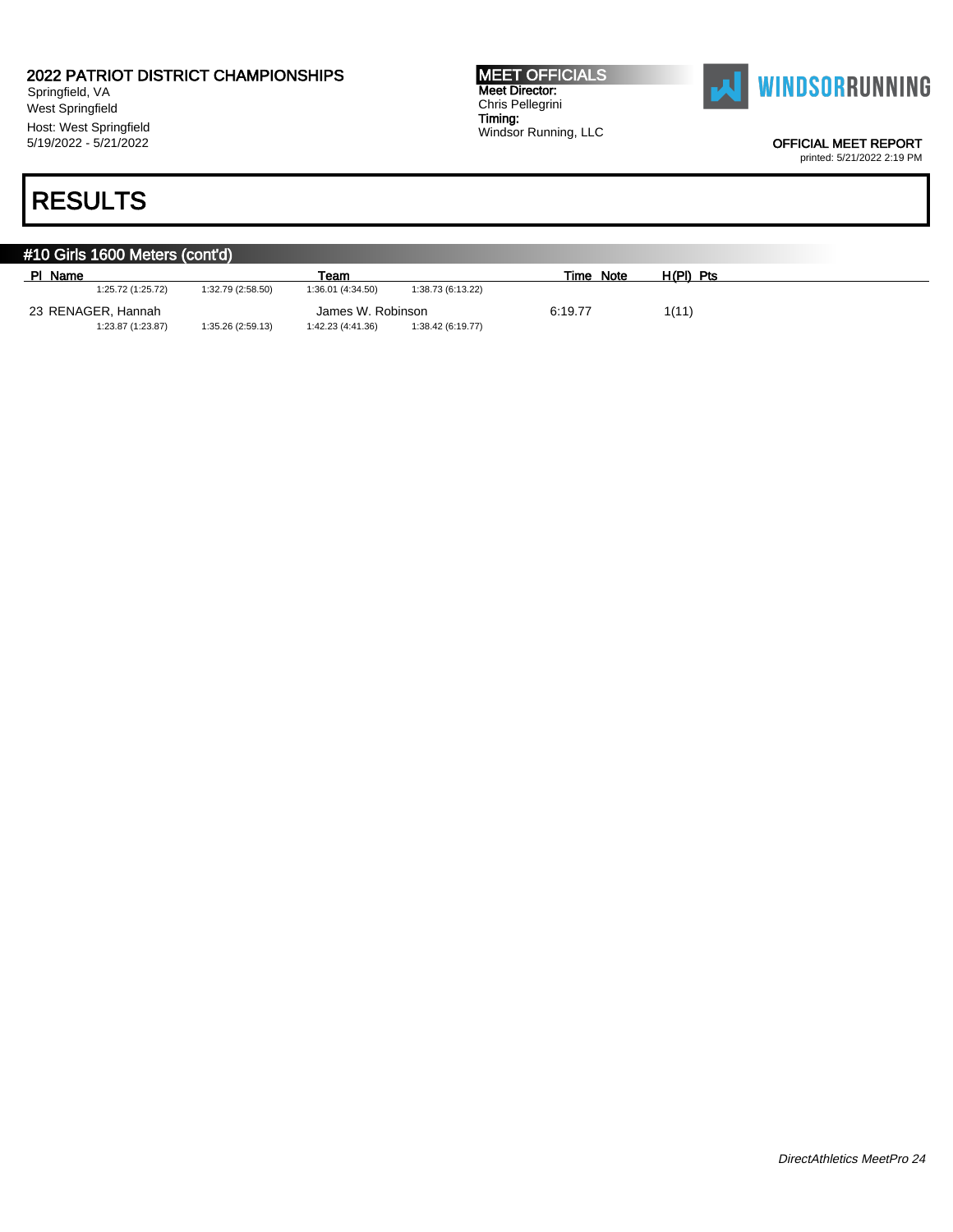Springfield, VA West Springfield Host: West Springfield 5/19/2022 - 5/21/2022

## RESULTS

MEET OFFICIALS Meet Director: Chris Pellegrini Timing: Windsor Running, LLC



OFFICIAL MEET REPORT

| #10 Girls 1600 Meters (cont'd)          |                   |                   |                   |                   |           |             |  |  |  |
|-----------------------------------------|-------------------|-------------------|-------------------|-------------------|-----------|-------------|--|--|--|
| PI Name                                 |                   |                   | Team              |                   | Time Note | $H(PI)$ Pts |  |  |  |
|                                         | 1:25.72 (1:25.72) | 1:32.79 (2:58.50) | 1:36.01 (4:34.50) | 1:38.73 (6:13.22) |           |             |  |  |  |
| 23 RENAGER, Hannah<br>James W. Robinson |                   |                   |                   |                   | 6:19.77   | 1(11)       |  |  |  |
|                                         | 1:23.87 (1:23.87) | 1:35.26 (2:59.13) | 1:42.23 (4:41.36) | 1:38.42 (6:19.77) |           |             |  |  |  |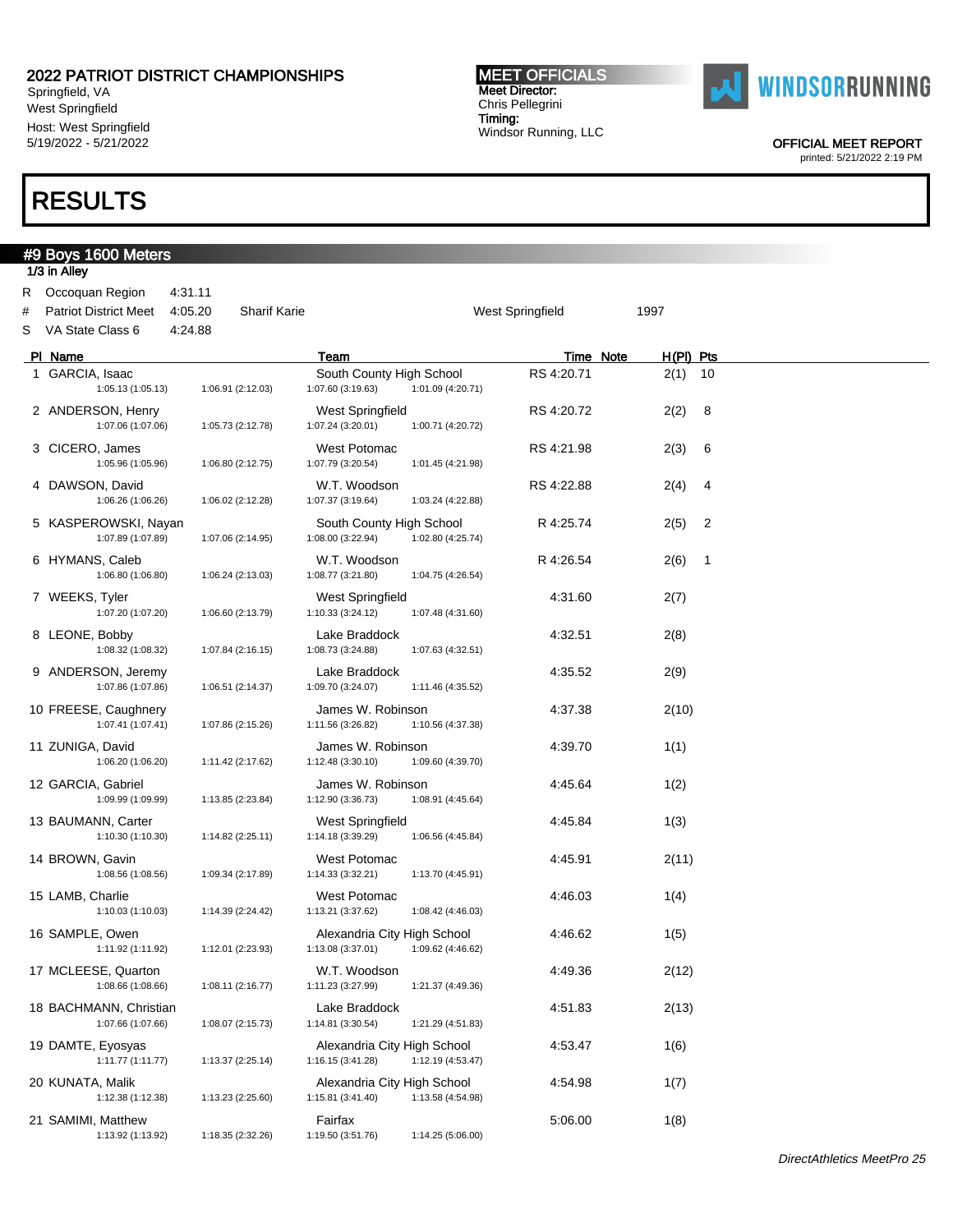Springfield, VA West Springfield Host: West Springfield 5/19/2022 - 5/21/2022

## RESULTS

#### MEET OFFICIALS Meet Director: Chris Pellegrini Timing: Windsor Running, LLC



OFFICIAL MEET REPORT

|        | #9 Boys 1600 Meters<br>1/3 in Alley                                   |                               |                   |                                                  |                   |                         |                          |                |
|--------|-----------------------------------------------------------------------|-------------------------------|-------------------|--------------------------------------------------|-------------------|-------------------------|--------------------------|----------------|
| #<br>S | R Occoquan Region<br><b>Patriot District Meet</b><br>VA State Class 6 | 4:31.11<br>4:05.20<br>4:24.88 | Sharif Karie      |                                                  |                   | <b>West Springfield</b> | 1997                     |                |
|        | PI Name                                                               |                               |                   | Team                                             |                   |                         | Time Note<br>$H(PI)$ Pts |                |
|        | 1 GARCIA, Isaac<br>1:05.13 (1:05.13)                                  |                               | 1:06.91 (2:12.03) | South County High School<br>1:07.60 (3:19.63)    | 1:01.09 (4:20.71) | RS 4:20.71              | $2(1)$ 10                |                |
|        | 2 ANDERSON, Henry<br>1:07.06 (1:07.06)                                |                               | 1:05.73 (2:12.78) | <b>West Springfield</b><br>1:07.24 (3:20.01)     | 1:00.71 (4:20.72) | RS 4:20.72              | 2(2)                     | 8              |
|        | 3 CICERO, James<br>1:05.96 (1:05.96)                                  |                               | 1:06.80 (2:12.75) | West Potomac<br>1:07.79 (3:20.54)                | 1:01.45 (4:21.98) | RS 4:21.98              | 2(3)                     | 6              |
|        | 4 DAWSON, David<br>1:06.26 (1:06.26)                                  |                               | 1:06.02 (2:12.28) | W.T. Woodson<br>1:07.37 (3:19.64)                | 1:03.24 (4:22.88) | RS 4:22.88              | 2(4)                     | 4              |
|        | 5 KASPEROWSKI, Nayan<br>1:07.89 (1:07.89)                             |                               | 1:07.06 (2:14.95) | South County High School<br>1:08.00 (3:22.94)    | 1:02.80 (4:25.74) | R 4:25.74               | 2(5)                     | 2              |
|        | 6 HYMANS, Caleb<br>1:06.80 (1:06.80)                                  |                               | 1:06.24 (2:13.03) | W.T. Woodson<br>1:08.77 (3:21.80)                | 1:04.75 (4:26.54) | R 4:26.54               | 2(6)                     | $\overline{1}$ |
|        | 7 WEEKS, Tyler<br>1:07.20 (1:07.20)                                   |                               | 1:06.60 (2:13.79) | West Springfield<br>1:10.33 (3:24.12)            | 1:07.48 (4:31.60) | 4:31.60                 | 2(7)                     |                |
|        | 8 LEONE, Bobby<br>1:08.32 (1:08.32)                                   |                               | 1:07.84 (2:16.15) | Lake Braddock<br>1:08.73 (3:24.88)               | 1:07.63 (4:32.51) | 4:32.51                 | 2(8)                     |                |
|        | 9 ANDERSON, Jeremy<br>1:07.86 (1:07.86)                               |                               | 1:06.51 (2:14.37) | Lake Braddock<br>1:09.70 (3:24.07)               | 1:11.46 (4:35.52) | 4:35.52                 | 2(9)                     |                |
|        | 10 FREESE, Caughnery<br>1:07.41 (1:07.41)                             |                               | 1:07.86 (2:15.26) | James W. Robinson<br>1:11.56 (3:26.82)           | 1:10.56 (4:37.38) | 4:37.38                 | 2(10)                    |                |
|        | 11 ZUNIGA, David<br>1:06.20 (1:06.20)                                 |                               | 1:11.42 (2:17.62) | James W. Robinson<br>1:12.48 (3:30.10)           | 1:09.60 (4:39.70) | 4:39.70                 | 1(1)                     |                |
|        | 12 GARCIA, Gabriel<br>1:09.99 (1:09.99)                               |                               | 1:13.85 (2:23.84) | James W. Robinson<br>1:12.90 (3:36.73)           | 1:08.91 (4:45.64) | 4:45.64                 | 1(2)                     |                |
|        | 13 BAUMANN, Carter<br>1:10.30 (1:10.30)                               |                               | 1:14.82 (2:25.11) | West Springfield<br>1:14.18 (3:39.29)            | 1:06.56 (4:45.84) | 4:45.84                 | 1(3)                     |                |
|        | 14 BROWN, Gavin<br>1:08.56 (1:08.56)                                  |                               | 1:09.34 (2:17.89) | West Potomac<br>1:14.33 (3:32.21)                | 1:13.70 (4:45.91) | 4:45.91                 | 2(11)                    |                |
|        | 15 LAMB, Charlie<br>1:10.03 (1:10.03)                                 |                               | 1:14.39 (2:24.42) | West Potomac<br>1:13.21 (3:37.62)                | 1:08.42 (4:46.03) | 4:46.03                 | 1(4)                     |                |
|        | 16 SAMPLE, Owen<br>1:11.92 (1:11.92)                                  |                               | 1:12.01 (2:23.93) | Alexandria City High School<br>1:13.08 (3:37.01) | 1:09.62 (4:46.62) | 4:46.62                 | 1(5)                     |                |
|        | 17 MCLEESE, Quarton<br>1:08.66 (1:08.66)                              |                               | 1:08.11 (2:16.77) | W.T. Woodson<br>1:11.23 (3:27.99)                | 1:21.37 (4:49.36) | 4:49.36                 | 2(12)                    |                |
|        | 18 BACHMANN, Christian<br>1:07.66 (1:07.66)                           |                               | 1:08.07 (2:15.73) | Lake Braddock<br>1:14.81 (3:30.54)               | 1:21.29 (4:51.83) | 4:51.83                 | 2(13)                    |                |
|        | 19 DAMTE, Eyosyas<br>1:11.77 (1:11.77)                                |                               | 1:13.37 (2:25.14) | Alexandria City High School<br>1:16.15 (3:41.28) | 1:12.19 (4:53.47) | 4:53.47                 | 1(6)                     |                |
|        | 20 KUNATA, Malik<br>1:12.38 (1:12.38)                                 |                               | 1:13.23 (2:25.60) | Alexandria City High School<br>1:15.81 (3:41.40) | 1:13.58 (4:54.98) | 4:54.98                 | 1(7)                     |                |
|        | 21 SAMIMI, Matthew<br>1:13.92 (1:13.92)                               |                               | 1:18.35 (2:32.26) | Fairfax<br>1:19.50 (3:51.76)                     | 1:14.25 (5:06.00) | 5:06.00                 | 1(8)                     |                |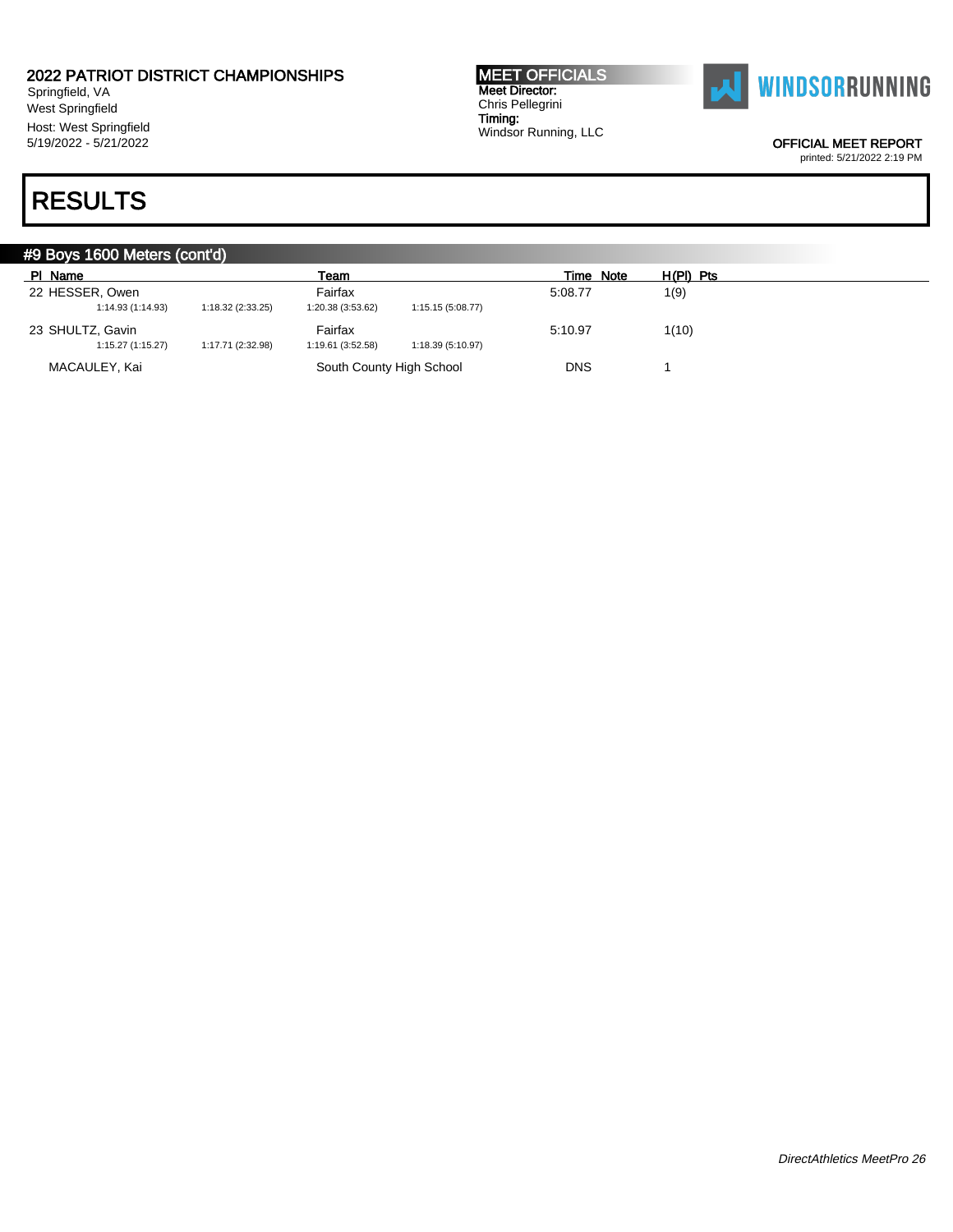Springfield, VA West Springfield Host: West Springfield 5/19/2022 - 5/21/2022

## RESULTS

MEET OFFICIALS Meet Director: Chris Pellegrini Timing: Windsor Running, LLC



OFFICIAL MEET REPORT

|                   | #9 Boys 1600 Meters (cont'd) |                          |                   |            |           |  |  |  |  |
|-------------------|------------------------------|--------------------------|-------------------|------------|-----------|--|--|--|--|
| PI Name           |                              | Team                     |                   | Time Note  | H(PI) Pts |  |  |  |  |
| 22 HESSER, Owen   |                              | Fairfax                  |                   | 5:08.77    | 1(9)      |  |  |  |  |
| 1:14.93 (1:14.93) | 1:18.32 (2:33.25)            | 1:20.38 (3:53.62)        | 1:15.15 (5:08.77) |            |           |  |  |  |  |
| 23 SHULTZ, Gavin  |                              | Fairfax                  |                   | 5:10.97    | 1(10)     |  |  |  |  |
| 1:15.27(1:15.27)  | 1:17.71 (2:32.98)            | 1:19.61 (3:52.58)        | 1:18.39 (5:10.97) |            |           |  |  |  |  |
| MACAULEY, Kai     |                              | South County High School |                   | <b>DNS</b> |           |  |  |  |  |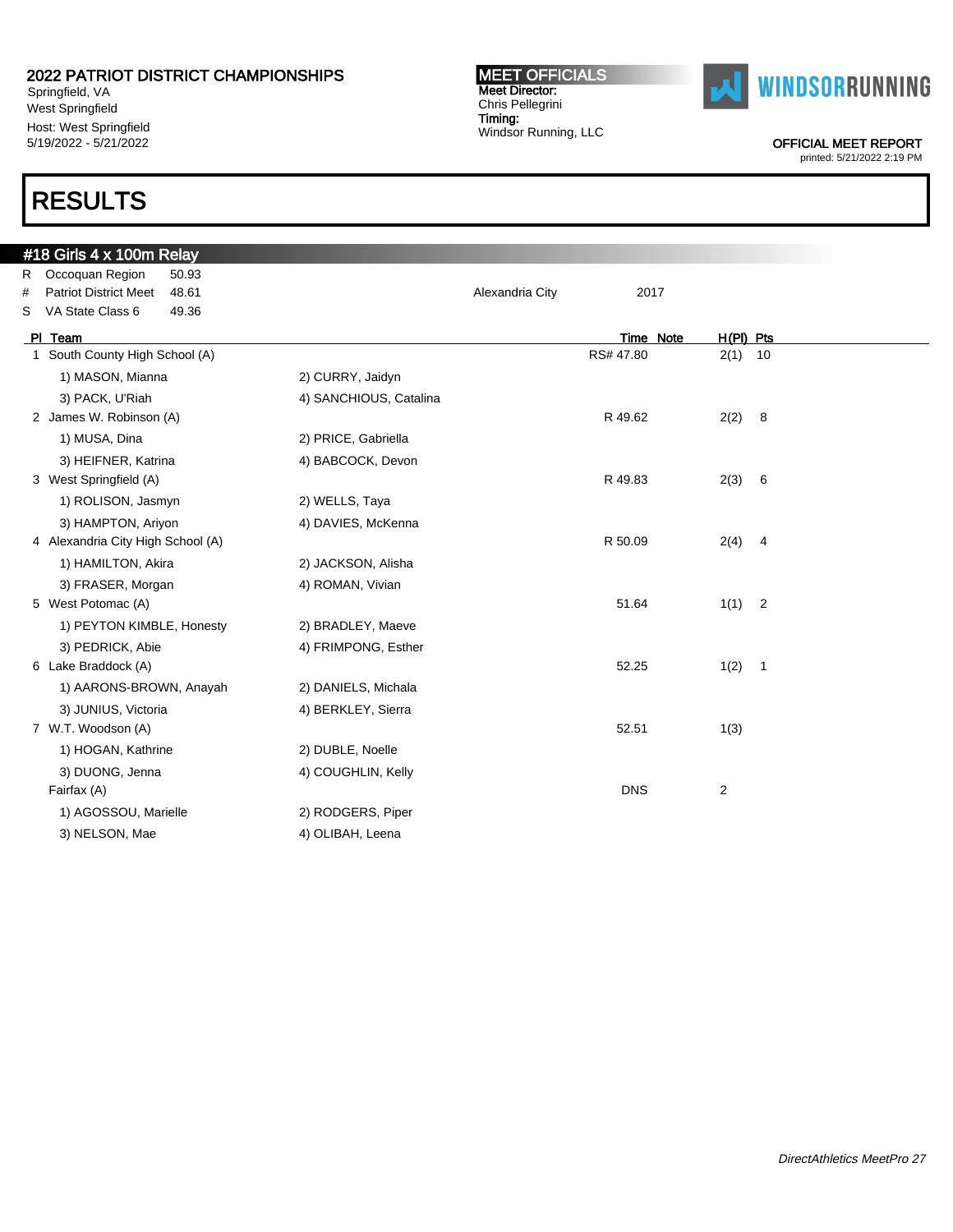Springfield, VA West Springfield Host: West Springfield 5/19/2022 - 5/21/2022

## RESULTS

### #18 Girls 4 x 100m Relay R Occoquan Region 50.93 # Patriot District Meet 48.61 Alexandria City 2017 S VA State Class 6 49.36 Pl Team Time Note H(Pl) Pts 1 South County High School (A) 2(1) 10 1) MASON, Mianna 2) CURRY, Jaidyn 3) PACK, U'Riah 4) SANCHIOUS, Catalina 2 James W. Robinson (A) 22 James W. Robinson (A) 22 James W. R 49.62 2(2) 8 1) MUSA, Dina 2) PRICE, Gabriella 3) HEIFNER, Katrina (4) BABCOCK, Devon 3 West Springfield (A) 2(3) 6 and 3 West Springfield (A) 2(3) 6 1) ROLISON, Jasmyn 2) WELLS, Taya 3) HAMPTON, Ariyon 4) DAVIES, McKenna 4 Alexandria City High School (A) 8 and 50.09 2(4) 4 and 50.09 2(4) 4 1) HAMILTON, Akira 2) JACKSON, Alisha 3) FRASER, Morgan 4) ROMAN, Vivian 5 West Potomac (A) 3 Note that the set of the set of the set of the set of the set of the set of the set of the set of the set of the set of the set of the set of the set of the set of the set of the set of the set of the 1) PEYTON KIMBLE, Honesty 2) BRADLEY, Maeve 3) PEDRICK, Abie 4) FRIMPONG, Esther 6 Lake Braddock (A) 52.25 1(2) 1 1) AARONS-BROWN, Anayah 2) DANIELS, Michala 3) JUNIUS, Victoria (4) BERKLEY, Sierra 7 W.T. Woodson (A) 52.51 1(3) 1) HOGAN, Kathrine 2) DUBLE, Noelle 3) DUONG, Jenna 4) COUGHLIN, Kelly Fairfax (A) DNS 2 1) AGOSSOU, Marielle 2) RODGERS, Piper

MEET OFFICIALS Meet Director: Chris Pellegrini Timing:

Windsor Running, LLC

3) NELSON, Mae 4) OLIBAH, Leena



OFFICIAL MEET REPORT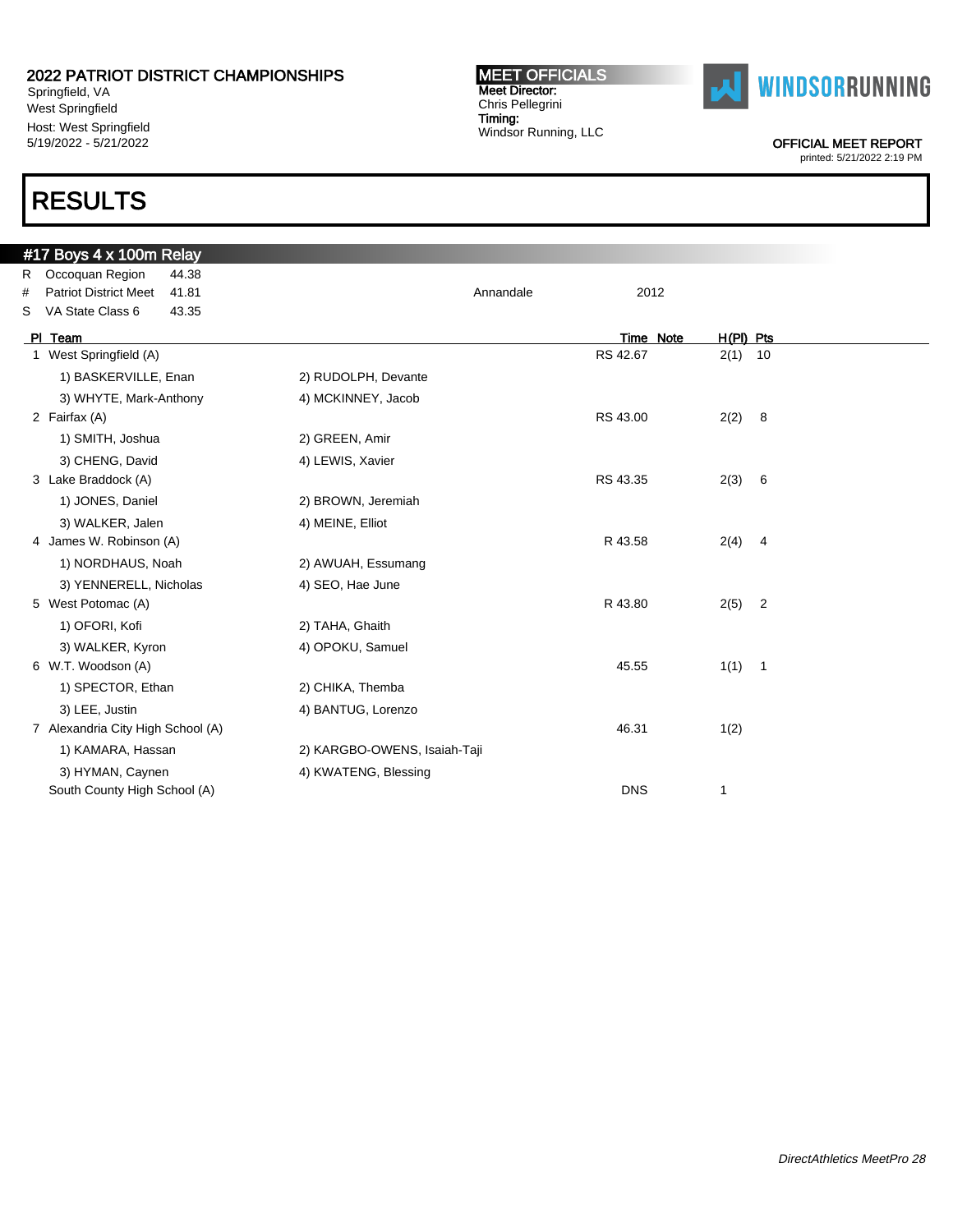Springfield, VA West Springfield Host: West Springfield 5/19/2022 - 5/21/2022

## RESULTS

### #17 Boys 4 x 100m Relay R Occoquan Region 44.38 # Patriot District Meet 41.81 Annandale 2012 S VA State Class 6 43.35 Pl Team Time Note H(Pl) Pts 1 West Springfield (A) 2(1) 10 1) BASKERVILLE, Enan 2) RUDOLPH, Devante 3) WHYTE, Mark-Anthony 4) MCKINNEY, Jacob 2 Fairfax (A) RS 43.00 2(2) 8 1) SMITH, Joshua 2) GREEN, Amir 3) CHENG, David 4) LEWIS, Xavier 3 Lake Braddock (A) 2(3) 6 (3) 2(3) 6 (3) 2(3) 6 (3) 2(3) 6 (3) 2(3) 6 (3) 2(3) 6 (3) 2(3) 6 (3) 2(3) 6 (3) 2(3) 6 (3) 2(3) 6 (3) 2(3) 6 (3) 2(3) 6 (3) 2(3) 6 (3) 2(3) 6 (3) 3 (3) 2(3) 6 (3) 3 (3) 2(3) 6 (3) 3 (3) 3 (3) 3 1) JONES, Daniel 2) BROWN, Jeremiah 3) WALKER, Jalen 4) MEINE, Elliot 4 James W. Robinson (A) 2(4) 2012 12:35 22:49 22:49 22:49 22:49 22:49 22:49 22:49 22:49 22:49 22:49 22:49 22:49 1) NORDHAUS, Noah 2) AWUAH, Essumang 3) YENNERELL, Nicholas 4) SEO, Hae June 5 West Potomac (A) 2 26 26 26 27 28 27 28 27 28 27 28 27 28 27 28 27 28 27 28 27 28 27 28 27 28 27 28 27 28 27 28 27 28 27 28 27 28 27 28 27 28 27 28 27 28 27 28 27 28 27 28 27 28 27 28 27 28 27 28 27 28 27 28 27 28 27 28 1) OFORI, Kofi 2) TAHA, Ghaith 3) WALKER, Kyron 4) OPOKU, Samuel 6 W.T. Woodson (A) 45.55 1(1) 1 1) SPECTOR, Ethan 2) CHIKA, Themba 3) LEE, Justin 4) BANTUG, Lorenzo 7 Alexandria City High School (A)  $\overline{4(2)}$ 1) KAMARA, Hassan 2) KARGBO-OWENS, Isaiah-Taji 3) HYMAN, Caynen 4) KWATENG, Blessing South County High School (A) **1 DNS** 1

MEET OFFICIALS Meet Director: Chris Pellegrini Timing: Windsor Running, LLC



OFFICIAL MEET REPORT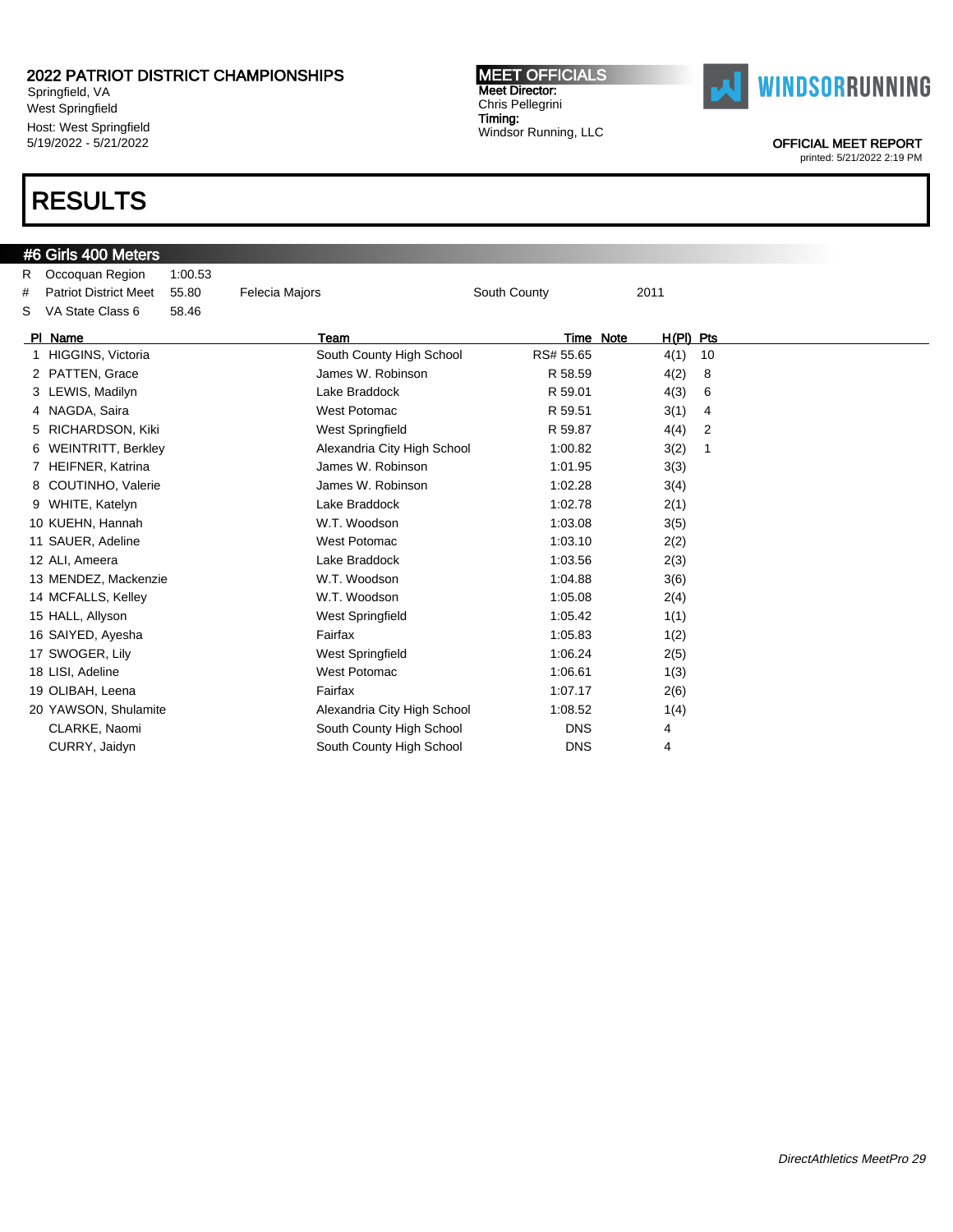Springfield, VA West Springfield Host: West Springfield 5/19/2022 - 5/21/2022

## RESULTS

#### MEET OFFICIALS Meet Director: Chris Pellegrini Timing: Windsor Running, LLC



OFFICIAL MEET REPORT

|   | #6 Girls 400 Meters          |         |                             |              |             |    |
|---|------------------------------|---------|-----------------------------|--------------|-------------|----|
| R | Occoquan Region              | 1:00.53 |                             |              |             |    |
| # | <b>Patriot District Meet</b> | 55.80   | <b>Felecia Majors</b>       | South County | 2011        |    |
| S | VA State Class 6             | 58.46   |                             |              |             |    |
|   | PI Name                      |         | Team                        | Time Note    | $H(PI)$ Pts |    |
|   | 1 HIGGINS, Victoria          |         | South County High School    | RS# 55.65    | 4(1)        | 10 |
|   | 2 PATTEN, Grace              |         | James W. Robinson           | R 58.59      | 4(2)        | 8  |
|   | 3 LEWIS, Madilyn             |         | Lake Braddock               | R 59.01      | 4(3)        | 6  |
|   | 4 NAGDA, Saira               |         | West Potomac                | R 59.51      | 3(1)        | 4  |
|   | 5 RICHARDSON, Kiki           |         | <b>West Springfield</b>     | R 59.87      | 4(4)        | 2  |
|   | 6 WEINTRITT, Berkley         |         | Alexandria City High School | 1:00.82      | 3(2)        | -1 |
|   | 7 HEIFNER, Katrina           |         | James W. Robinson           | 1:01.95      | 3(3)        |    |
|   | 8 COUTINHO, Valerie          |         | James W. Robinson           | 1:02.28      | 3(4)        |    |
|   | 9 WHITE, Katelyn             |         | Lake Braddock               | 1:02.78      | 2(1)        |    |
|   | 10 KUEHN, Hannah             |         | W.T. Woodson                | 1:03.08      | 3(5)        |    |
|   | 11 SAUER, Adeline            |         | <b>West Potomac</b>         | 1:03.10      | 2(2)        |    |
|   | 12 ALI, Ameera               |         | Lake Braddock               | 1:03.56      | 2(3)        |    |
|   | 13 MENDEZ, Mackenzie         |         | W.T. Woodson                | 1:04.88      | 3(6)        |    |
|   | 14 MCFALLS, Kelley           |         | W.T. Woodson                | 1:05.08      | 2(4)        |    |
|   | 15 HALL, Allyson             |         | <b>West Springfield</b>     | 1:05.42      | 1(1)        |    |
|   | 16 SAIYED, Ayesha            |         | Fairfax                     | 1:05.83      | 1(2)        |    |
|   | 17 SWOGER, Lily              |         | <b>West Springfield</b>     | 1:06.24      | 2(5)        |    |
|   | 18 LISI, Adeline             |         | <b>West Potomac</b>         | 1:06.61      | 1(3)        |    |
|   | 19 OLIBAH, Leena             |         | Fairfax                     | 1:07.17      | 2(6)        |    |
|   | 20 YAWSON, Shulamite         |         | Alexandria City High School | 1:08.52      | 1(4)        |    |
|   | CLARKE, Naomi                |         | South County High School    | <b>DNS</b>   | 4           |    |
|   | CURRY, Jaidyn                |         | South County High School    | <b>DNS</b>   | 4           |    |
|   |                              |         |                             |              |             |    |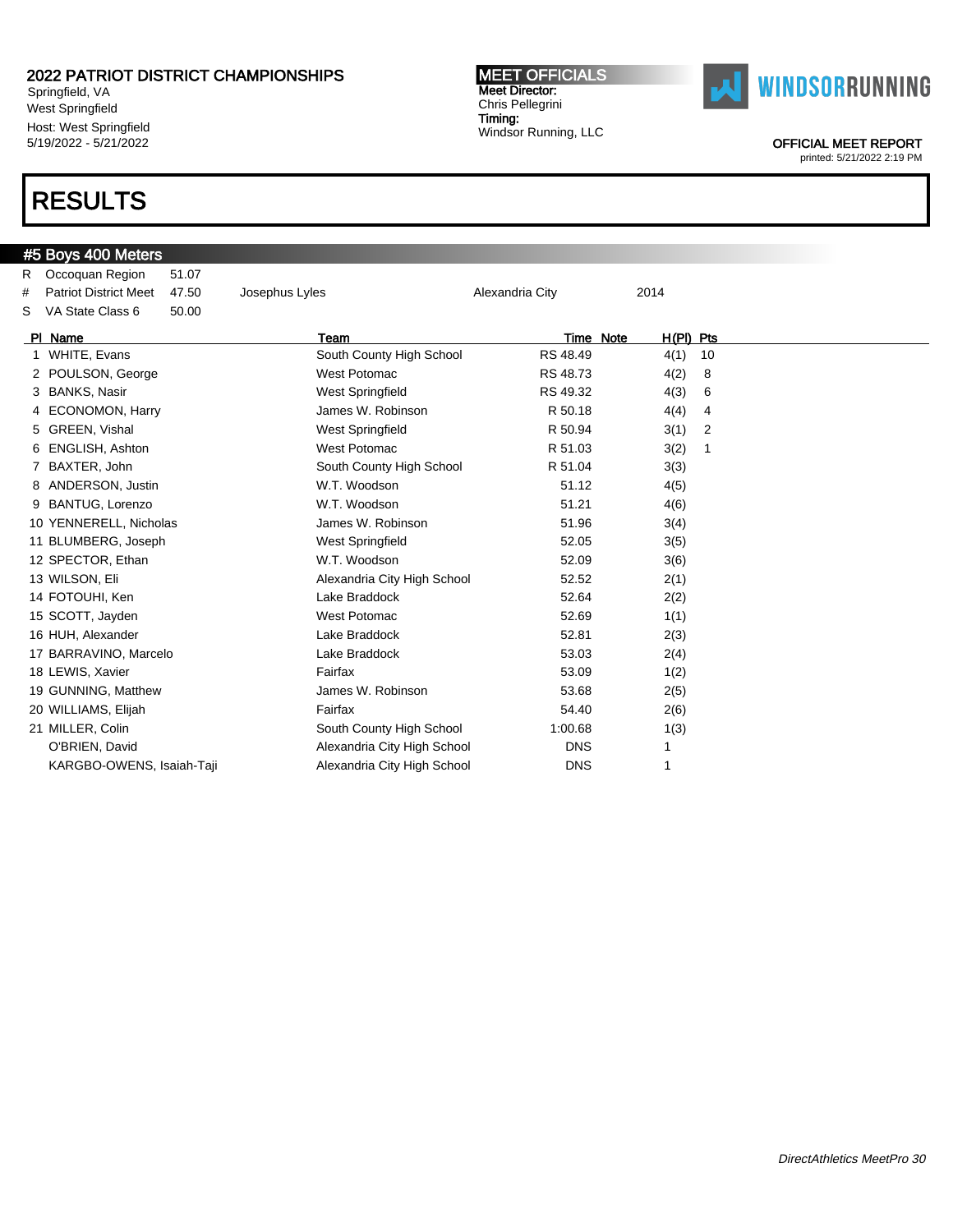Springfield, VA West Springfield Host: West Springfield 5/19/2022 - 5/21/2022

## RESULTS

#### MEET OFFICIALS Meet Director: Chris Pellegrini Timing: Windsor Running, LLC



OFFICIAL MEET REPORT

|   | #5 Boys 400 Meters           |       |                             |                 |                          |             |
|---|------------------------------|-------|-----------------------------|-----------------|--------------------------|-------------|
| R | Occoquan Region              | 51.07 |                             |                 |                          |             |
| # | <b>Patriot District Meet</b> | 47.50 | Josephus Lyles              | Alexandria City | 2014                     |             |
| S | VA State Class 6             | 50.00 |                             |                 |                          |             |
|   | PI Name                      |       | Team                        |                 | $H(PI)$ Pts<br>Time Note |             |
|   | 1 WHITE, Evans               |       | South County High School    | RS 48.49        | 4(1)                     | 10          |
|   | 2 POULSON, George            |       | <b>West Potomac</b>         | RS 48.73        | 4(2)                     | 8           |
|   | 3 BANKS, Nasir               |       | West Springfield            | RS 49.32        | 4(3)                     | 6           |
|   | 4 ECONOMON, Harry            |       | James W. Robinson           | R 50.18         | 4(4)                     | 4           |
|   | 5 GREEN, Vishal              |       | <b>West Springfield</b>     | R 50.94         | 3(1)                     | 2           |
|   | 6 ENGLISH, Ashton            |       | <b>West Potomac</b>         | R 51.03         | 3(2)                     | $\mathbf 1$ |
|   | 7 BAXTER, John               |       | South County High School    | R 51.04         | 3(3)                     |             |
|   | 8 ANDERSON, Justin           |       | W.T. Woodson                | 51.12           | 4(5)                     |             |
|   | 9 BANTUG, Lorenzo            |       | W.T. Woodson                | 51.21           | 4(6)                     |             |
|   | 10 YENNERELL, Nicholas       |       | James W. Robinson           | 51.96           | 3(4)                     |             |
|   | 11 BLUMBERG, Joseph          |       | West Springfield            | 52.05           | 3(5)                     |             |
|   | 12 SPECTOR, Ethan            |       | W.T. Woodson                | 52.09           | 3(6)                     |             |
|   | 13 WILSON, Eli               |       | Alexandria City High School | 52.52           | 2(1)                     |             |
|   | 14 FOTOUHI, Ken              |       | Lake Braddock               | 52.64           | 2(2)                     |             |
|   | 15 SCOTT, Jayden             |       | <b>West Potomac</b>         | 52.69           | 1(1)                     |             |
|   | 16 HUH, Alexander            |       | Lake Braddock               | 52.81           | 2(3)                     |             |
|   | 17 BARRAVINO, Marcelo        |       | Lake Braddock               | 53.03           | 2(4)                     |             |
|   | 18 LEWIS, Xavier             |       | Fairfax                     | 53.09           | 1(2)                     |             |
|   | 19 GUNNING, Matthew          |       | James W. Robinson           | 53.68           | 2(5)                     |             |
|   | 20 WILLIAMS, Elijah          |       | Fairfax                     | 54.40           | 2(6)                     |             |
|   | 21 MILLER, Colin             |       | South County High School    | 1:00.68         | 1(3)                     |             |
|   | O'BRIEN, David               |       | Alexandria City High School | <b>DNS</b>      | 1                        |             |
|   | KARGBO-OWENS, Isaiah-Taji    |       | Alexandria City High School | <b>DNS</b>      | 1                        |             |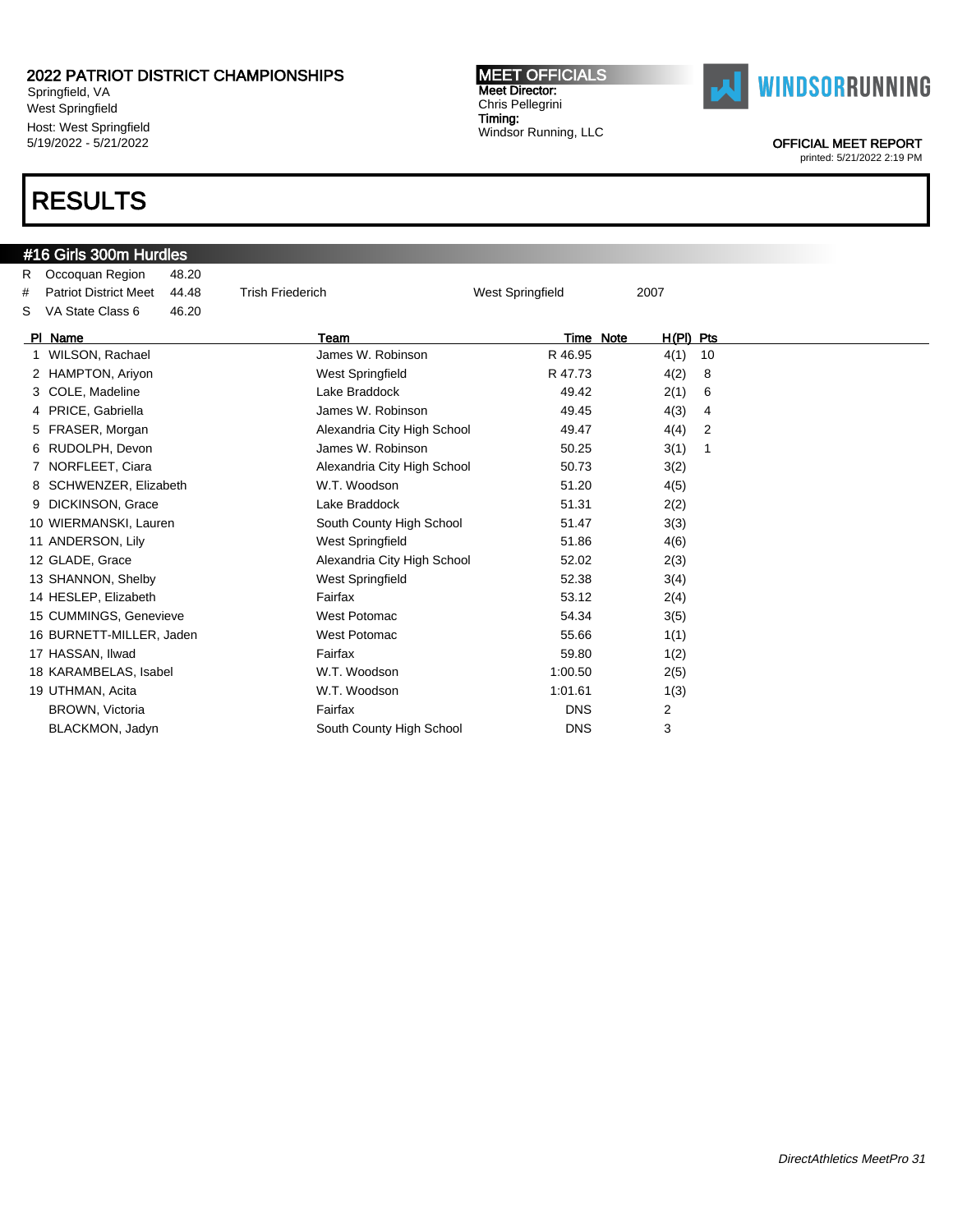Springfield, VA West Springfield Host: West Springfield 5/19/2022 - 5/21/2022

## RESULTS

#### MEET OFFICIALS Meet Director: Chris Pellegrini Timing: Windsor Running, LLC



OFFICIAL MEET REPORT

|   | #16 Girls 300m Hurdles       |       |                             |                         |                          |    |
|---|------------------------------|-------|-----------------------------|-------------------------|--------------------------|----|
| R | Occoquan Region              | 48.20 |                             |                         |                          |    |
| # | <b>Patriot District Meet</b> | 44.48 | <b>Trish Friederich</b>     | <b>West Springfield</b> | 2007                     |    |
| S | VA State Class 6             | 46.20 |                             |                         |                          |    |
|   | PI Name                      |       | Team                        |                         | $H(PI)$ Pts<br>Time Note |    |
|   | 1 WILSON, Rachael            |       | James W. Robinson           | R 46.95                 | 4(1)                     | 10 |
|   | 2 HAMPTON, Ariyon            |       | <b>West Springfield</b>     | R 47.73                 | 4(2)                     | 8  |
|   | 3 COLE, Madeline             |       | Lake Braddock               | 49.42                   | 2(1)                     | 6  |
|   | 4 PRICE, Gabriella           |       | James W. Robinson           | 49.45                   | 4(3)                     | 4  |
|   | 5 FRASER, Morgan             |       | Alexandria City High School | 49.47                   | 4(4)                     | 2  |
|   | 6 RUDOLPH, Devon             |       | James W. Robinson           | 50.25                   | 3(1)                     | 1  |
|   | 7 NORFLEET, Ciara            |       | Alexandria City High School | 50.73                   | 3(2)                     |    |
| 8 | SCHWENZER, Elizabeth         |       | W.T. Woodson                | 51.20                   | 4(5)                     |    |
|   | 9 DICKINSON, Grace           |       | Lake Braddock               | 51.31                   | 2(2)                     |    |
|   | 10 WIERMANSKI, Lauren        |       | South County High School    | 51.47                   | 3(3)                     |    |
|   | 11 ANDERSON, Lily            |       | West Springfield            | 51.86                   | 4(6)                     |    |
|   | 12 GLADE, Grace              |       | Alexandria City High School | 52.02                   | 2(3)                     |    |
|   | 13 SHANNON, Shelby           |       | West Springfield            | 52.38                   | 3(4)                     |    |
|   | 14 HESLEP, Elizabeth         |       | Fairfax                     | 53.12                   | 2(4)                     |    |
|   | 15 CUMMINGS, Genevieve       |       | West Potomac                | 54.34                   | 3(5)                     |    |
|   | 16 BURNETT-MILLER, Jaden     |       | <b>West Potomac</b>         | 55.66                   | 1(1)                     |    |
|   | 17 HASSAN, Ilwad             |       | Fairfax                     | 59.80                   | 1(2)                     |    |
|   | 18 KARAMBELAS, Isabel        |       | W.T. Woodson                | 1:00.50                 | 2(5)                     |    |
|   | 19 UTHMAN, Acita             |       | W.T. Woodson                | 1:01.61                 | 1(3)                     |    |
|   | <b>BROWN, Victoria</b>       |       | Fairfax                     | <b>DNS</b>              | 2                        |    |
|   | BLACKMON, Jadyn              |       | South County High School    | <b>DNS</b>              | 3                        |    |
|   |                              |       |                             |                         |                          |    |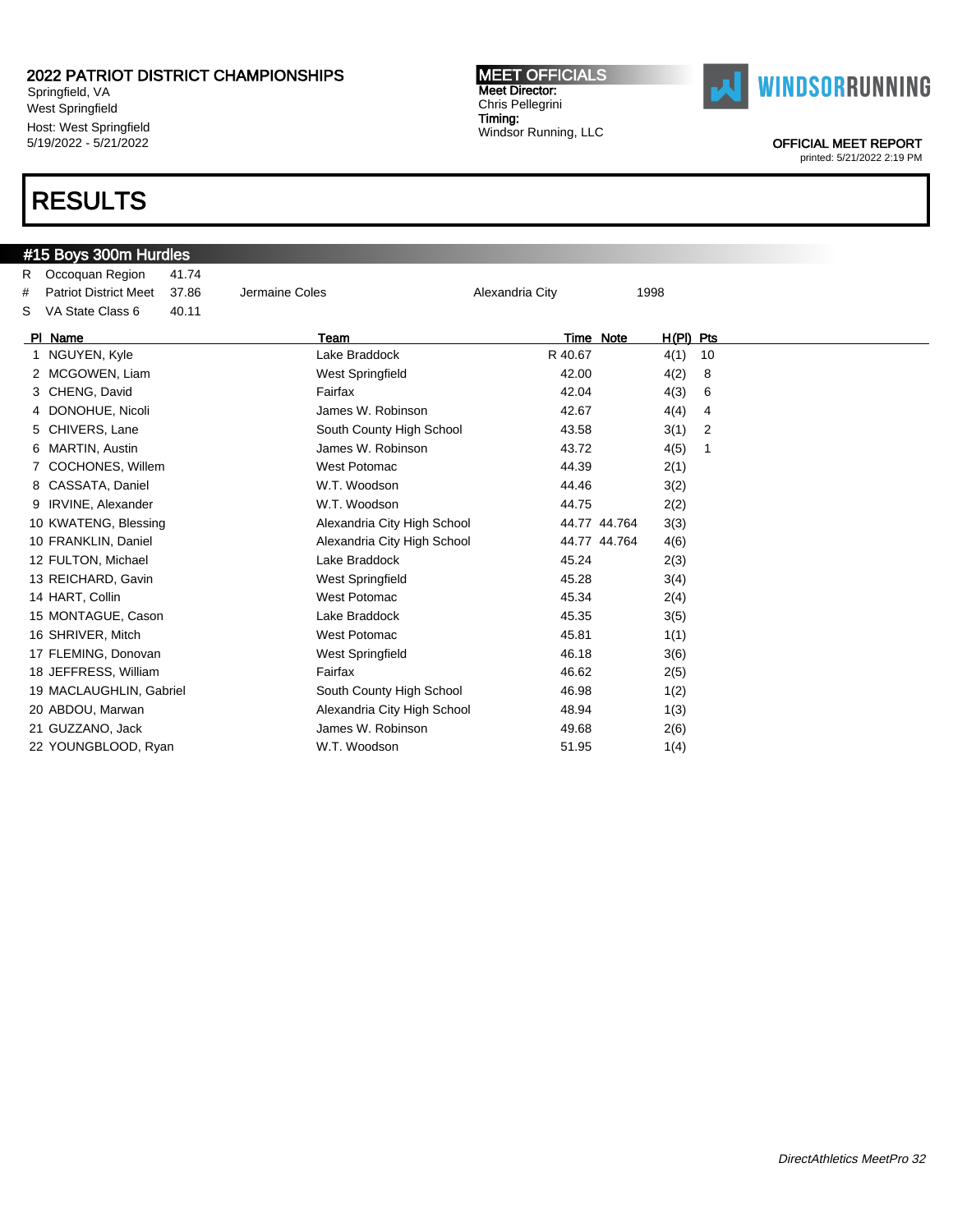Springfield, VA West Springfield Host: West Springfield 5/19/2022 - 5/21/2022

### RESULTS

### #15 Boys 300m Hurdles R Occoquan Region 41.74 # Patriot District Meet 37.86 Jermaine Coles Alexandria City 1998 S VA State Class 6 40.11 PI Name Team Team Team Team Team Time Note H(PI) Pts 1 NGUYEN, Kyle **Randall Lake Braddock** R 40.67 4(1) 10 2 MCGOWEN, Liam **West Springfield** 42.00 4(2) 8 3 CHENG, David Fairfax 42.04 4(3) 6 4 DONOHUE, Nicoli **1988** 10 James W. Robinson 12.67 4(4) 4 5 CHIVERS, Lane South County High School 43.58 3(1) 2 6 MARTIN, Austin James W. Robinson 43.72 4(5) 1 7 COCHONES, Willem West Potomac 44.39 2(1) 8 CASSATA, Daniel W.T. Woodson 44.46 3(2) 9 IRVINE, Alexander W.T. Woodson 44.75 2(2) 10 KWATENG, Blessing **Alexandria City High School** 44.77 44.764 3(3) 10 FRANKLIN, Daniel Alexandria City High School 44.77 44.764 4(6) 12 FULTON, Michael **Lake Braddock** 45.24 45.24 2(3) 13 REICHARD, Gavin **12 Community** West Springfield **13 REICHARD, Gavin** 3(4) 14 HART, Collin West Potomac 45.34 2(4) 15 MONTAGUE, Cason **Lake Braddock** 45.35 3(5) 16 SHRIVER, Mitch West Potomac 45.81 1(1) 17 FLEMING, Donovan **Matter Springfield** 46.18 46.18 3(6) 18 JEFFRESS, William **Fairfax** Fairfax 46.62 2(5) 19 MACLAUGHLIN, Gabriel South County High School 46.98 1(2) 20 ABDOU, Marwan **Alexandria City High School** 48.94 1(3) 21 GUZZANO, Jack 2(6) 32 James W. Robinson 49.68 2(6)

22 YOUNGBLOOD, Ryan W.T. Woodson 51.95 1(4)



OFFICIAL MEET REPORT printed: 5/21/2022 2:19 PM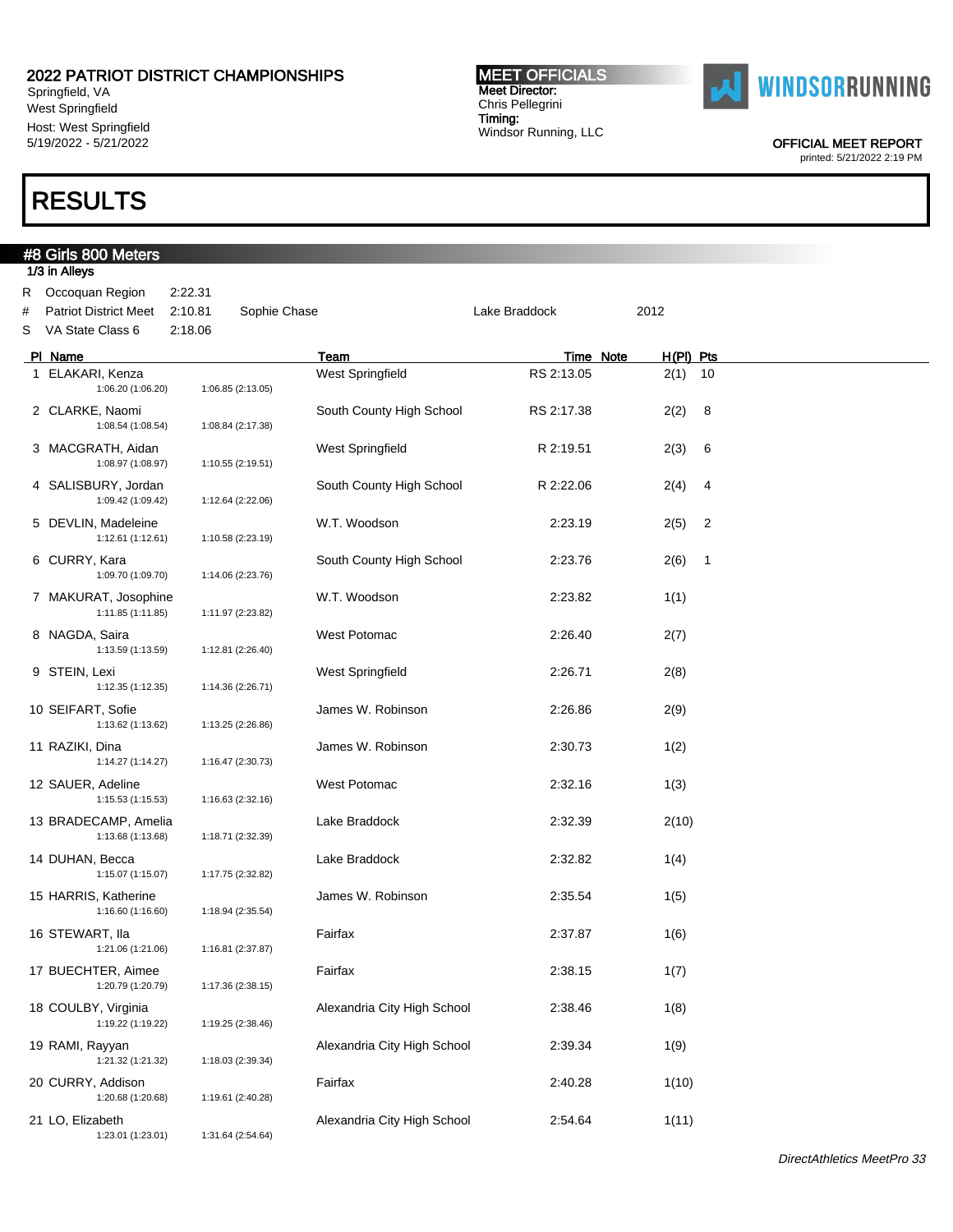Springfield, VA West Springfield Host: West Springfield 5/19/2022 - 5/21/2022

## RESULTS

#8 Girls 800 Meters

1/3 in Alleys

# Chris Pellegrini Timing: Windsor Running, LLC

MEET OFFICIALS Meet Director:



OFFICIAL MEET REPORT

|        | ,,,,,,,,,,,                                                    |                               |                   |                             |               |             |                |
|--------|----------------------------------------------------------------|-------------------------------|-------------------|-----------------------------|---------------|-------------|----------------|
| #<br>S | R Occoquan Region<br>Patriot District Meet<br>VA State Class 6 | 2:22.31<br>2:10.81<br>2:18.06 | Sophie Chase      |                             | Lake Braddock | 2012        |                |
|        | PI Name                                                        |                               |                   | Team                        | Time Note     | $H(PI)$ Pts |                |
|        | 1 ELAKARI, Kenza<br>1:06.20 (1:06.20)                          |                               | 1:06.85 (2:13.05) | West Springfield            | RS 2:13.05    | $2(1)$ 10   |                |
|        | 2 CLARKE, Naomi<br>1:08.54 (1:08.54)                           |                               | 1:08.84 (2:17.38) | South County High School    | RS 2:17.38    | 2(2)        | 8              |
|        | 3 MACGRATH, Aidan<br>1:08.97 (1:08.97)                         |                               | 1:10.55 (2:19.51) | West Springfield            | R 2:19.51     | 2(3)        | 6              |
|        | 4 SALISBURY, Jordan<br>1:09.42 (1:09.42)                       |                               | 1:12.64 (2:22.06) | South County High School    | R 2:22.06     | 2(4)        | 4              |
|        | 5 DEVLIN, Madeleine<br>1:12.61 (1:12.61)                       |                               | 1:10.58 (2:23.19) | W.T. Woodson                | 2:23.19       | 2(5)        | $\overline{c}$ |
|        | 6 CURRY, Kara<br>1:09.70 (1:09.70)                             |                               | 1:14.06 (2:23.76) | South County High School    | 2:23.76       | 2(6)        | $\overline{1}$ |
|        | 7 MAKURAT, Josophine<br>1:11.85 (1:11.85)                      |                               | 1:11.97 (2:23.82) | W.T. Woodson                | 2:23.82       | 1(1)        |                |
|        | 8 NAGDA, Saira<br>1:13.59 (1:13.59)                            |                               | 1:12.81 (2:26.40) | West Potomac                | 2:26.40       | 2(7)        |                |
|        | 9 STEIN, Lexi<br>1:12.35 (1:12.35)                             |                               | 1:14.36 (2:26.71) | West Springfield            | 2:26.71       | 2(8)        |                |
|        | 10 SEIFART, Sofie<br>1:13.62 (1:13.62)                         |                               | 1:13.25 (2:26.86) | James W. Robinson           | 2:26.86       | 2(9)        |                |
|        | 11 RAZIKI, Dina<br>1:14.27 (1:14.27)                           |                               | 1:16.47 (2:30.73) | James W. Robinson           | 2:30.73       | 1(2)        |                |
|        | 12 SAUER, Adeline<br>1:15.53 (1:15.53)                         |                               | 1:16.63 (2:32.16) | West Potomac                | 2:32.16       | 1(3)        |                |
|        | 13 BRADECAMP, Amelia<br>1:13.68 (1:13.68)                      |                               | 1:18.71 (2:32.39) | Lake Braddock               | 2:32.39       | 2(10)       |                |
|        | 14 DUHAN, Becca<br>1:15.07 (1:15.07)                           |                               | 1:17.75 (2:32.82) | Lake Braddock               | 2:32.82       | 1(4)        |                |
|        | 15 HARRIS, Katherine<br>1:16.60 (1:16.60)                      |                               | 1:18.94 (2:35.54) | James W. Robinson           | 2:35.54       | 1(5)        |                |
|        | 16 STEWART, Ila<br>1:21.06 (1:21.06)                           |                               | 1:16.81 (2:37.87) | Fairfax                     | 2:37.87       | 1(6)        |                |
|        | 17 BUECHTER, Aimee<br>1:20.79 (1:20.79)                        |                               | 1:17.36 (2:38.15) | Fairfax                     | 2:38.15       | 1(7)        |                |
|        | 18 COULBY, Virginia<br>1:19.22 (1:19.22)                       |                               | 1:19.25 (2:38.46) | Alexandria City High School | 2:38.46       | 1(8)        |                |
|        | 19 RAMI, Rayyan<br>1:21.32 (1:21.32)                           |                               | 1:18.03 (2:39.34) | Alexandria City High School | 2:39.34       | 1(9)        |                |
|        | 20 CURRY, Addison<br>1:20.68 (1:20.68)                         |                               | 1:19.61 (2:40.28) | Fairfax                     | 2:40.28       | 1(10)       |                |
|        | 21 LO, Elizabeth<br>1:23.01 (1:23.01)                          |                               | 1:31.64 (2:54.64) | Alexandria City High School | 2:54.64       | 1(11)       |                |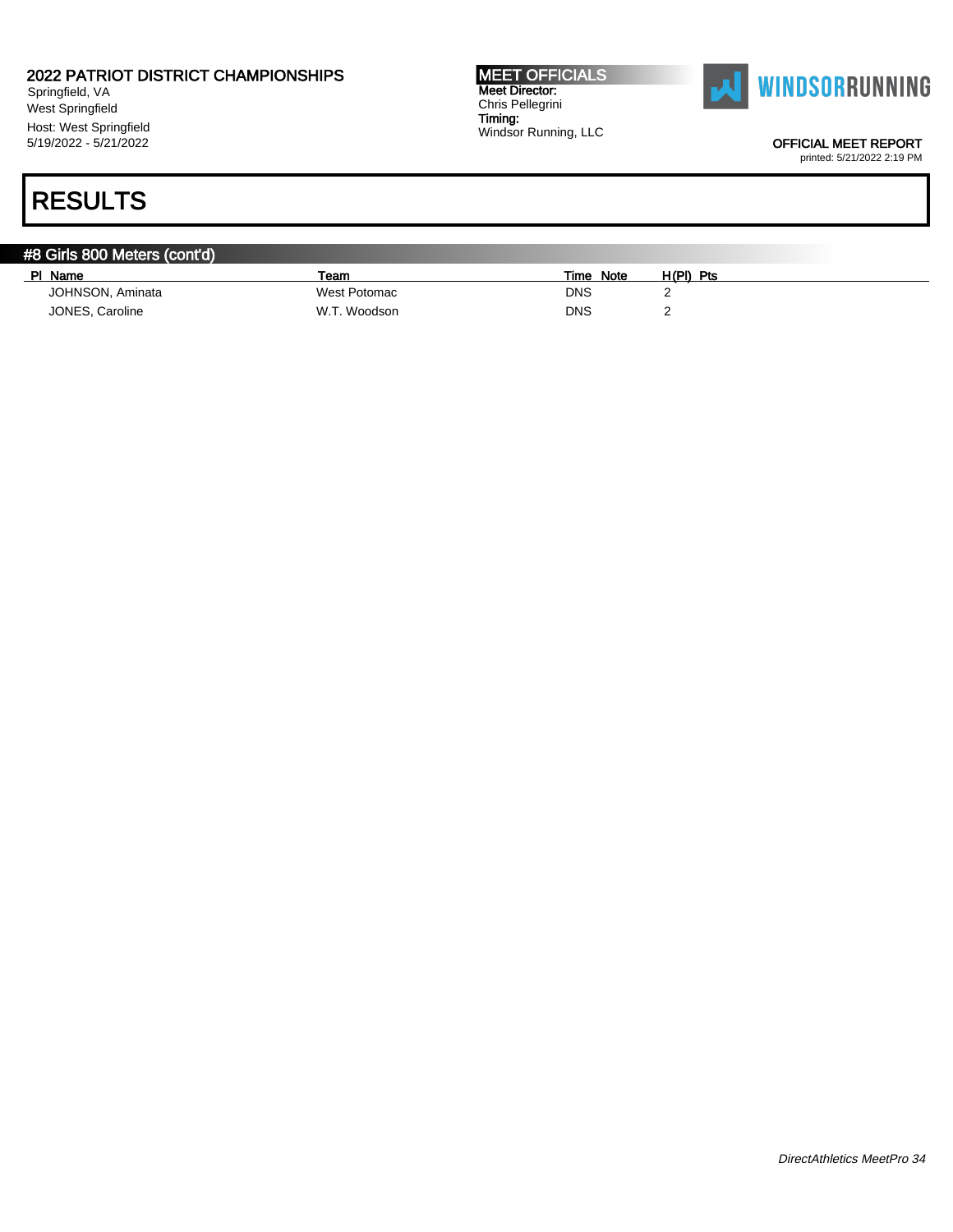Springfield, VA West Springfield Host: West Springfield 5/19/2022 - 5/21/2022

MEET OFFICIALS Meet Director: Chris Pellegrini Timing: Windsor Running, LLC



OFFICIAL MEET REPORT

printed: 5/21/2022 2:19 PM

| #8 Girls 800 Meters (cont'd) |              |                     |             |  |
|------------------------------|--------------|---------------------|-------------|--|
| Name<br><b>PI</b>            | Team         | <b>Note</b><br>Time | $H(PI)$ Pts |  |
| JOHNSON, Aminata             | West Potomac | <b>DNS</b>          |             |  |
| JONES, Caroline              | W.T. Woodson | <b>DNS</b>          |             |  |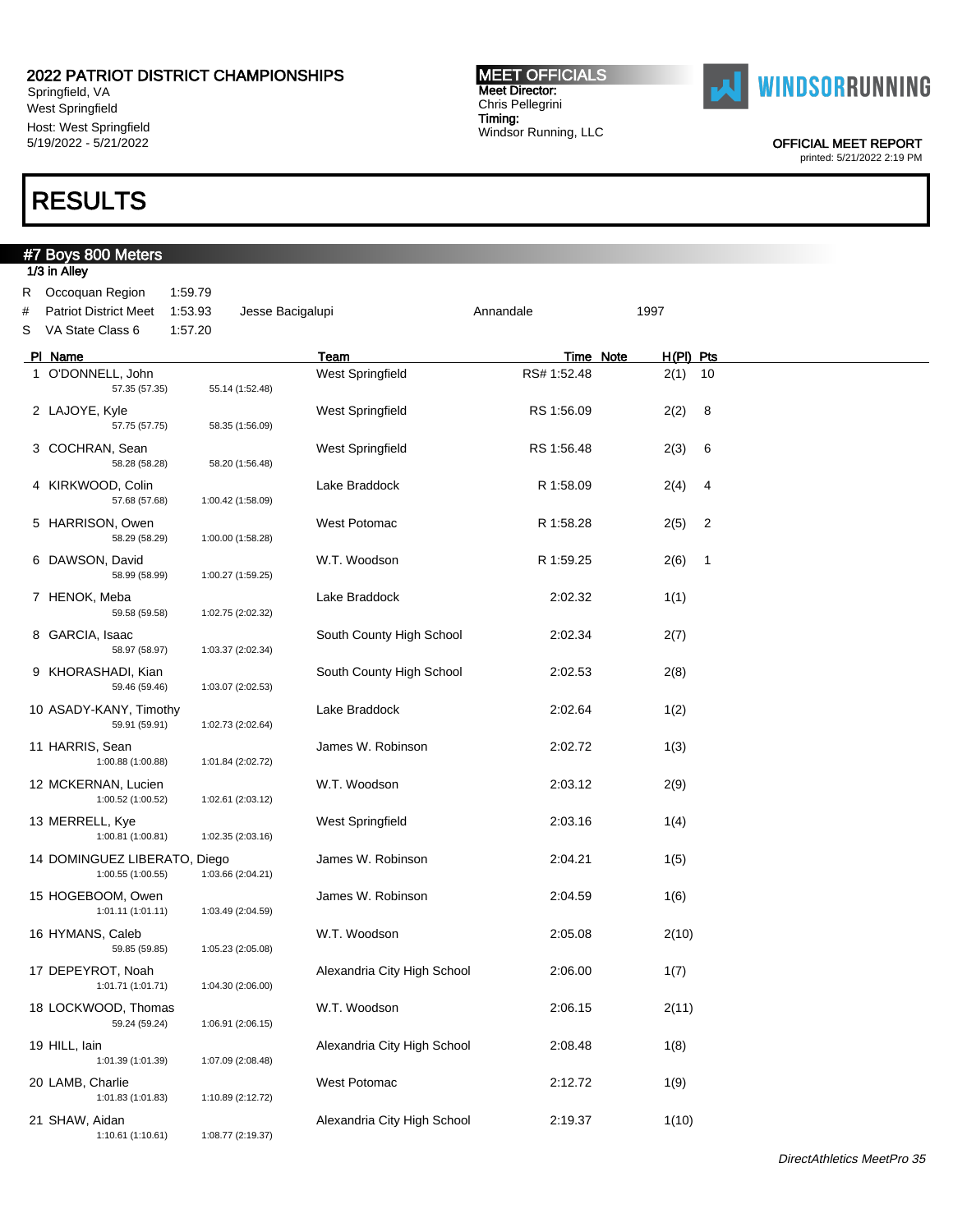Springfield, VA West Springfield Host: West Springfield 5/19/2022 - 5/21/2022

## RESULTS

### #7 Boys 800 Meters 1/3 in Alley R Occoquan Region 1:59.79 # Patriot District Meet 1:53.93 Jesse Bacigalupi **Annandale** Annandale 1997 S VA State Class 6 1:57.20 PI Name Team Team Team Team Team Time Note H(PI) Pts 1 O'DONNELL, John West Springfield RS# 1:52.48 2(1) 10 57.35 (57.35) 55.14 (1:52.48) 2 LAJOYE, Kyle **CONFING A CONTROL** West Springfield **RS 1:56.09** 2(2) 8 57.75 (57.75) 58.35 (1:56.09) 3 COCHRAN, Sean West Springfield RS 1:56.48 2(3) 6 58.28 (58.28) 58.20 (1:56.48) 4 KIRKWOOD, Colin **Lake Braddock** R 1:58.09 2(4) 4 57.68 (57.68) 1:00.42 (1:58.09) 5 HARRISON, Owen West Potomac R 1:58.28 2(5) 2<br>58.29 58.29 58.29 1:00.00 (1:58.28) 58.29 (58.29) 1:00.00 (1:58.28) 6 DAWSON, David W.T. Woodson R 1:59.25 2(6) 1 58.99 (58.99) 1:00.27 (1:59.25) 7 HENOK, Meba 2:02.32 1(1) 59.58 (59.58) 1:02.75 (2:02.32) 8 GARCIA, Isaac South County High School 2:02.34 2(7)<br>58.97 (58.97) 1:03.37 (2:02.34) 58.97 (58.97) 1:03.37 (2:02.34) 9 KHORASHADI, Kian  $\sim$  South County High School  $\sim$  2:02.53 2(8) 59.46 (59.46) 1:03.07 (2:02.53) 10 ASADY-KANY, Timothy Lake Braddock 2:02.64 1(2) 59.91 (59.91) 1:02.73 (2:02.64) 11 HARRIS, Sean **11 Sean 11 Sean 11 Sean 11 Sean 11 Sean 12:02.72** 11 James W. Robinson 11 2:02.72 11 13 1:00.88 (1:00.88) 1:01.84 (2:02.72) 12 MCKERNAN, Lucien W.T. Woodson 2:03.12 2(9) 1:00.52 (1:00.52) 1:02.61 (2:03.12) 13 MERRELL, Kye West Springfield 2:03.16 1(4) 1:00.81 (1:00.81) 1:02.35 (2:03.16) 14 DOMINGUEZ LIBERATO, Diego James W. Robinson 2:04.21 1(5) 1:00.55 (1:00.55) 1:03.66 (2:04.21) 15 HOGEBOOM, Owen **16** James W. Robinson 2:04.59 1(6) 1:01.11 (1:01.11) 1:03.49 (2:04.59) 16 HYMANS, Caleb W.T. Woodson 2:05.08 2(10) 59.85 (59.85) 1:05.23 (2:05.08) 17 DEPEYROT, Noah **Alexandria City High School** 2:06.00 1(7) 1:01.71 (1:01.71) 1:04.30 (2:06.00) 18 LOCKWOOD, Thomas W.T. Woodson 2:06.15 2(11) 59.24 (59.24) 1:06.91 (2:06.15) 19 HILL, Iain 1:01.39 (1:01.39) 1:07.09 (2:08.48 Alexandria City High School 1:08.48 1(8) 1:07.09 (2:08.48) 20 LAMB, Charlie West Potomac 2:12.72 1(9) 1:01.83 (1:01.83) 1:10.89 (2:12.72)

21 SHAW, Aidan Alexandria City High School 2:19.37 1(10)

1:10.61 (1:10.61) 1:08.77 (2:19.37)

DirectAthletics MeetPro 35



MEET OFFICIALS Meet Director: Chris Pellegrini Timing:

Windsor Running, LLC

**WINDSORRUNNING** 

OFFICIAL MEET REPORT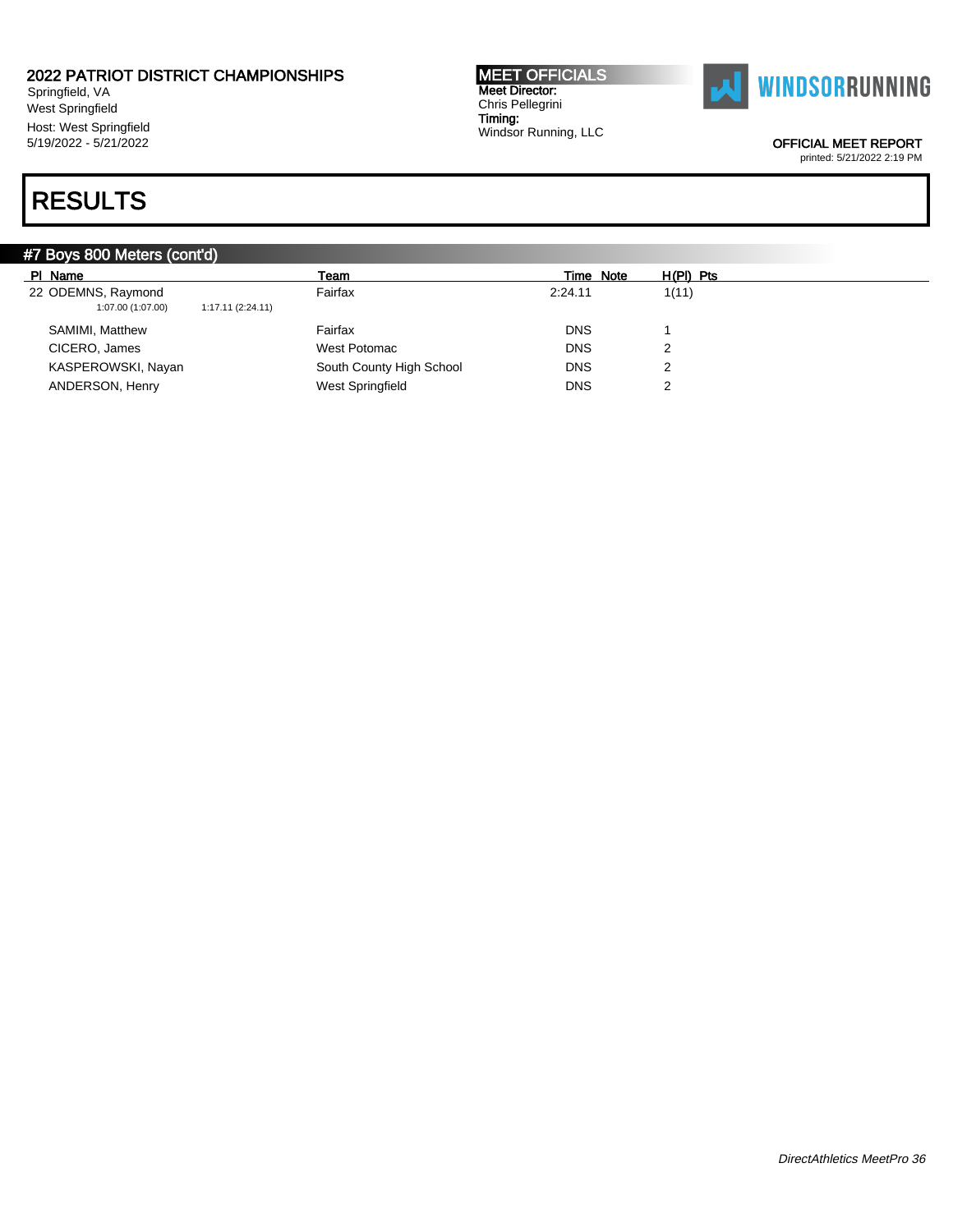Springfield, VA West Springfield Host: West Springfield 5/19/2022 - 5/21/2022

#### MEET OFFICIALS Meet Director: Chris Pellegrini Timing: Windsor Running, LLC



OFFICIAL MEET REPORT

printed: 5/21/2022 2:19 PM

| #7 Boys 800 Meters (cont'd)                                 |                          |            |             |  |  |  |  |  |
|-------------------------------------------------------------|--------------------------|------------|-------------|--|--|--|--|--|
| PI Name                                                     | Team                     | Time Note  | $H(PI)$ Pts |  |  |  |  |  |
| 22 ODEMNS, Raymond<br>1:07.00 (1:07.00)<br>1:17.11(2:24.11) | Fairfax                  | 2:24.11    | 1(11)       |  |  |  |  |  |
| SAMIMI, Matthew                                             | Fairfax                  | <b>DNS</b> |             |  |  |  |  |  |
| CICERO, James                                               | West Potomac             | <b>DNS</b> | ◠           |  |  |  |  |  |
| KASPEROWSKI, Nayan                                          | South County High School | <b>DNS</b> | ◠           |  |  |  |  |  |
| ANDERSON, Henry                                             | West Springfield         | <b>DNS</b> | ◠           |  |  |  |  |  |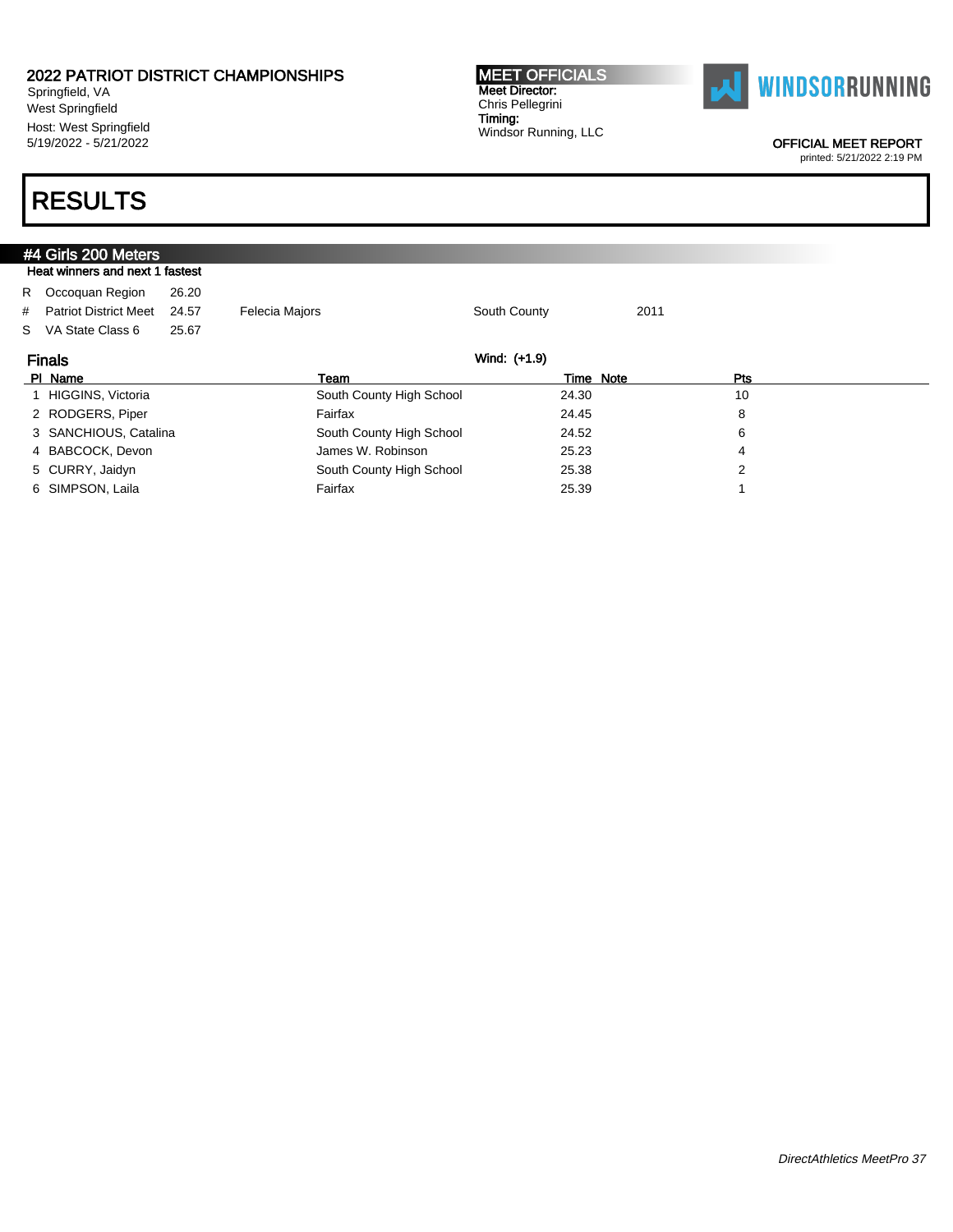Springfield, VA West Springfield Host: West Springfield 5/19/2022 - 5/21/2022

#### MEET OFFICIALS Meet Director: Chris Pellegrini Timing: Windsor Running, LLC



OFFICIAL MEET REPORT

printed: 5/21/2022 2:19 PM

|                                 | #4 Girls 200 Meters           |       |                          |              |      |     |  |  |  |
|---------------------------------|-------------------------------|-------|--------------------------|--------------|------|-----|--|--|--|
| Heat winners and next 1 fastest |                               |       |                          |              |      |     |  |  |  |
|                                 | R Occoquan Region             | 26.20 |                          |              |      |     |  |  |  |
|                                 | # Patriot District Meet       | 24.57 | <b>Felecia Majors</b>    | South County | 2011 |     |  |  |  |
|                                 | S VA State Class 6            | 25.67 |                          |              |      |     |  |  |  |
|                                 | Wind: (+1.9)<br><b>Finals</b> |       |                          |              |      |     |  |  |  |
|                                 | PI Name                       |       | Team                     | Time Note    |      | Pts |  |  |  |
|                                 | 1 HIGGINS, Victoria           |       | South County High School | 24.30        |      | 10  |  |  |  |
|                                 | 2 RODGERS, Piper              |       | Fairfax                  | 24.45        |      | 8   |  |  |  |
|                                 | 3 SANCHIOUS, Catalina         |       | South County High School | 24.52        |      | 6   |  |  |  |
|                                 | 4 BABCOCK, Devon              |       | James W. Robinson        | 25.23        |      | 4   |  |  |  |
|                                 | 5 CURRY, Jaidyn               |       | South County High School | 25.38        |      | 2   |  |  |  |
|                                 | 6 SIMPSON, Laila              |       | Fairfax                  | 25.39        |      |     |  |  |  |
|                                 |                               |       |                          |              |      |     |  |  |  |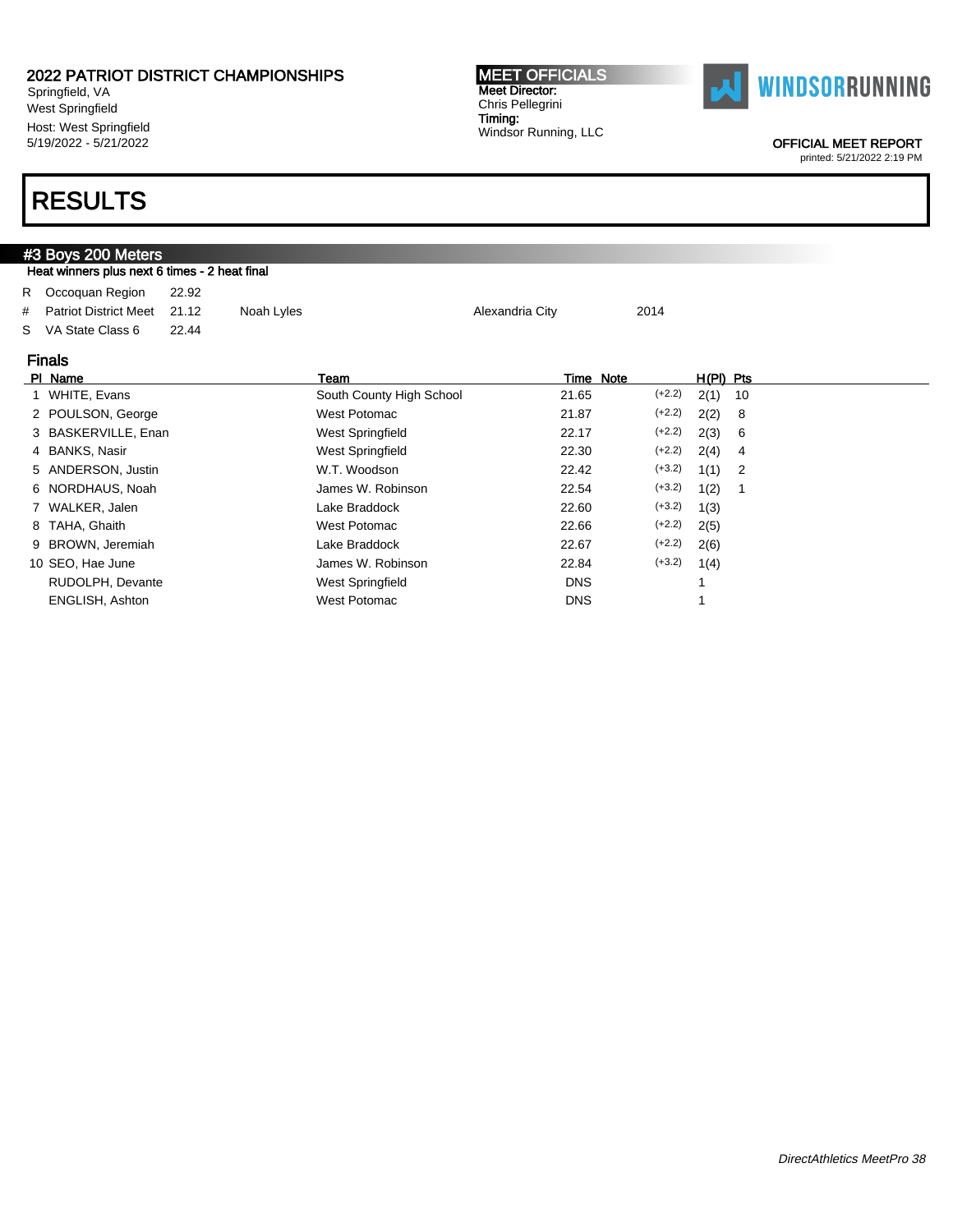Springfield, VA West Springfield Host: West Springfield 5/19/2022 - 5/21/2022

#### MEET OFFICIALS Meet Director: Chris Pellegrini Timing: Windsor Running, LLC



OFFICIAL MEET REPORT

printed: 5/21/2022 2:19 PM

|   | #3 Boys 200 Meters                                         |       |            |                          |                 |          |      |    |  |  |  |  |  |  |
|---|------------------------------------------------------------|-------|------------|--------------------------|-----------------|----------|------|----|--|--|--|--|--|--|
|   | Heat winners plus next 6 times - 2 heat final              |       |            |                          |                 |          |      |    |  |  |  |  |  |  |
| R | Occoquan Region                                            | 22.92 |            |                          |                 |          |      |    |  |  |  |  |  |  |
| # | <b>Patriot District Meet</b>                               | 21.12 | Noah Lyles |                          | Alexandria City | 2014     |      |    |  |  |  |  |  |  |
| S | VA State Class 6                                           | 22.44 |            |                          |                 |          |      |    |  |  |  |  |  |  |
|   |                                                            |       |            |                          |                 |          |      |    |  |  |  |  |  |  |
|   | <b>Finals</b><br>Time Note<br>H(PI) Pts<br>PI Name<br>Team |       |            |                          |                 |          |      |    |  |  |  |  |  |  |
|   | WHITE, Evans                                               |       |            | South County High School | 21.65           | $(+2.2)$ | 2(1) | 10 |  |  |  |  |  |  |
|   | POULSON, George                                            |       |            | West Potomac             | 21.87           | $(+2.2)$ | 2(2) | 8  |  |  |  |  |  |  |
|   | BASKERVILLE, Enan                                          |       |            | West Springfield         | 22.17           | $(+2.2)$ | 2(3) | 6  |  |  |  |  |  |  |
| 4 | <b>BANKS, Nasir</b>                                        |       |            | West Springfield         | 22.30           | $(+2.2)$ | 2(4) | 4  |  |  |  |  |  |  |
| 5 | ANDERSON, Justin                                           |       |            | W.T. Woodson             | 22.42           | $(+3.2)$ | 1(1) | 2  |  |  |  |  |  |  |
| 6 | NORDHAUS, Noah                                             |       |            | James W. Robinson        | 22.54           | $(+3.2)$ | 1(2) | 1  |  |  |  |  |  |  |
|   | WALKER, Jalen                                              |       |            | Lake Braddock            | 22.60           | $(+3.2)$ | 1(3) |    |  |  |  |  |  |  |
| 8 | TAHA, Ghaith                                               |       |            | West Potomac             | 22.66           | $(+2.2)$ | 2(5) |    |  |  |  |  |  |  |
| 9 | BROWN, Jeremiah                                            |       |            | Lake Braddock            | 22.67           | $(+2.2)$ | 2(6) |    |  |  |  |  |  |  |
|   | 10 SEO, Hae June                                           |       |            | James W. Robinson        | 22.84           | $(+3.2)$ | 1(4) |    |  |  |  |  |  |  |
|   | RUDOLPH, Devante                                           |       |            | West Springfield         | <b>DNS</b>      |          | 1    |    |  |  |  |  |  |  |
|   | <b>ENGLISH, Ashton</b>                                     |       |            | West Potomac             | <b>DNS</b>      |          |      |    |  |  |  |  |  |  |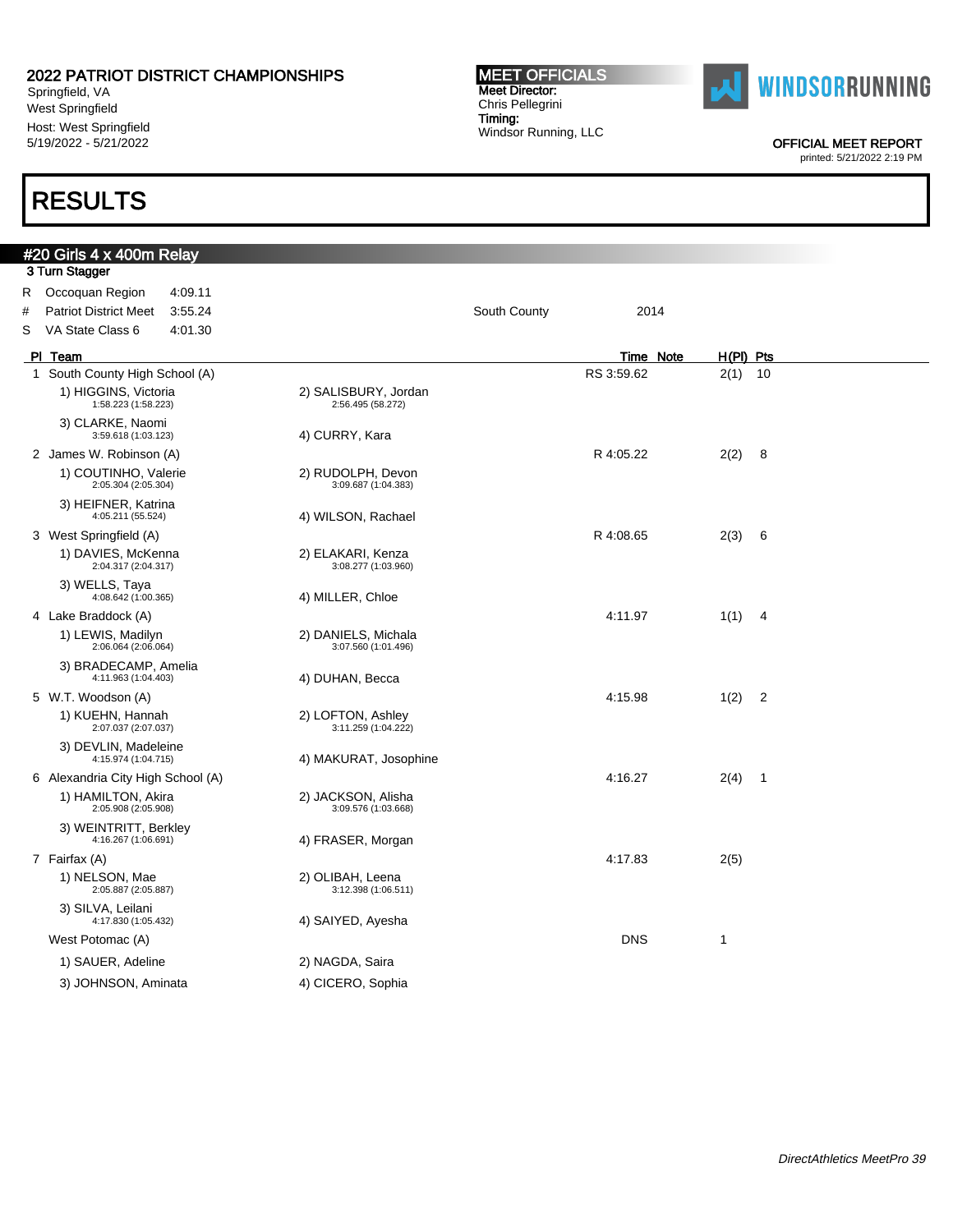Springfield, VA West Springfield Host: West Springfield 5/19/2022 - 5/21/2022

## RESULTS

 $2.7$ 

#20 Girls 4 x 400m Relay

#### MEET OFFICIALS Meet Director: Chris Pellegrini Timing: Windsor Running, LLC



OFFICIAL MEET REPORT

|   | ə Turli əlayyət                              |                                            |                      |                                 |                |
|---|----------------------------------------------|--------------------------------------------|----------------------|---------------------------------|----------------|
| R | Occoquan Region<br>4:09.11                   |                                            |                      |                                 |                |
| # | <b>Patriot District Meet</b><br>3:55.24      |                                            | South County<br>2014 |                                 |                |
| S | VA State Class 6<br>4:01.30                  |                                            |                      |                                 |                |
|   | PI Team                                      |                                            |                      | $H(PI)$ Pts<br><b>Time Note</b> |                |
|   | 1 South County High School (A)               |                                            | RS 3:59.62           | 2(1)                            | 10             |
|   | 1) HIGGINS, Victoria<br>1:58.223 (1:58.223)  | 2) SALISBURY, Jordan<br>2:56.495 (58.272)  |                      |                                 |                |
|   | 3) CLARKE, Naomi<br>3:59.618 (1:03.123)      | 4) CURRY, Kara                             |                      |                                 |                |
|   | 2 James W. Robinson (A)                      |                                            | R 4:05.22            | 2(2)                            | 8              |
|   | 1) COUTINHO, Valerie<br>2:05.304 (2:05.304)  | 2) RUDOLPH, Devon<br>3:09.687 (1:04.383)   |                      |                                 |                |
|   | 3) HEIFNER, Katrina<br>4:05.211 (55.524)     | 4) WILSON, Rachael                         |                      |                                 |                |
|   | 3 West Springfield (A)                       |                                            | R 4:08.65            | 2(3)                            | 6              |
|   | 1) DAVIES, McKenna<br>2:04.317 (2:04.317)    | 2) ELAKARI, Kenza<br>3:08.277 (1:03.960)   |                      |                                 |                |
|   | 3) WELLS, Taya<br>4:08.642 (1:00.365)        | 4) MILLER, Chloe                           |                      |                                 |                |
|   | 4 Lake Braddock (A)                          |                                            | 4:11.97              | 1(1)                            | 4              |
|   | 1) LEWIS, Madilyn<br>2:06.064 (2:06.064)     | 2) DANIELS, Michala<br>3:07.560 (1:01.496) |                      |                                 |                |
|   | 3) BRADECAMP, Amelia<br>4:11.963 (1:04.403)  | 4) DUHAN, Becca                            |                      |                                 |                |
|   | 5 W.T. Woodson (A)                           |                                            | 4:15.98              | 1(2)                            | $\overline{2}$ |
|   | 1) KUEHN, Hannah<br>2:07.037 (2:07.037)      | 2) LOFTON, Ashley<br>3:11.259 (1:04.222)   |                      |                                 |                |
|   | 3) DEVLIN, Madeleine<br>4:15.974 (1:04.715)  | 4) MAKURAT, Josophine                      |                      |                                 |                |
|   | 6 Alexandria City High School (A)            |                                            | 4:16.27              | $2(4)$ 1                        |                |
|   | 1) HAMILTON, Akira<br>2:05.908 (2:05.908)    | 2) JACKSON, Alisha<br>3:09.576 (1:03.668)  |                      |                                 |                |
|   | 3) WEINTRITT, Berkley<br>4:16.267 (1:06.691) | 4) FRASER, Morgan                          |                      |                                 |                |
|   | 7 Fairfax (A)                                |                                            | 4:17.83              | 2(5)                            |                |
|   | 1) NELSON, Mae<br>2:05.887 (2:05.887)        | 2) OLIBAH, Leena<br>3:12.398 (1:06.511)    |                      |                                 |                |
|   | 3) SILVA, Leilani<br>4:17.830 (1:05.432)     | 4) SAIYED, Ayesha                          |                      |                                 |                |
|   | West Potomac (A)                             |                                            | <b>DNS</b>           | 1                               |                |
|   | 1) SAUER, Adeline                            | 2) NAGDA, Saira                            |                      |                                 |                |
|   | 3) JOHNSON, Aminata                          | 4) CICERO, Sophia                          |                      |                                 |                |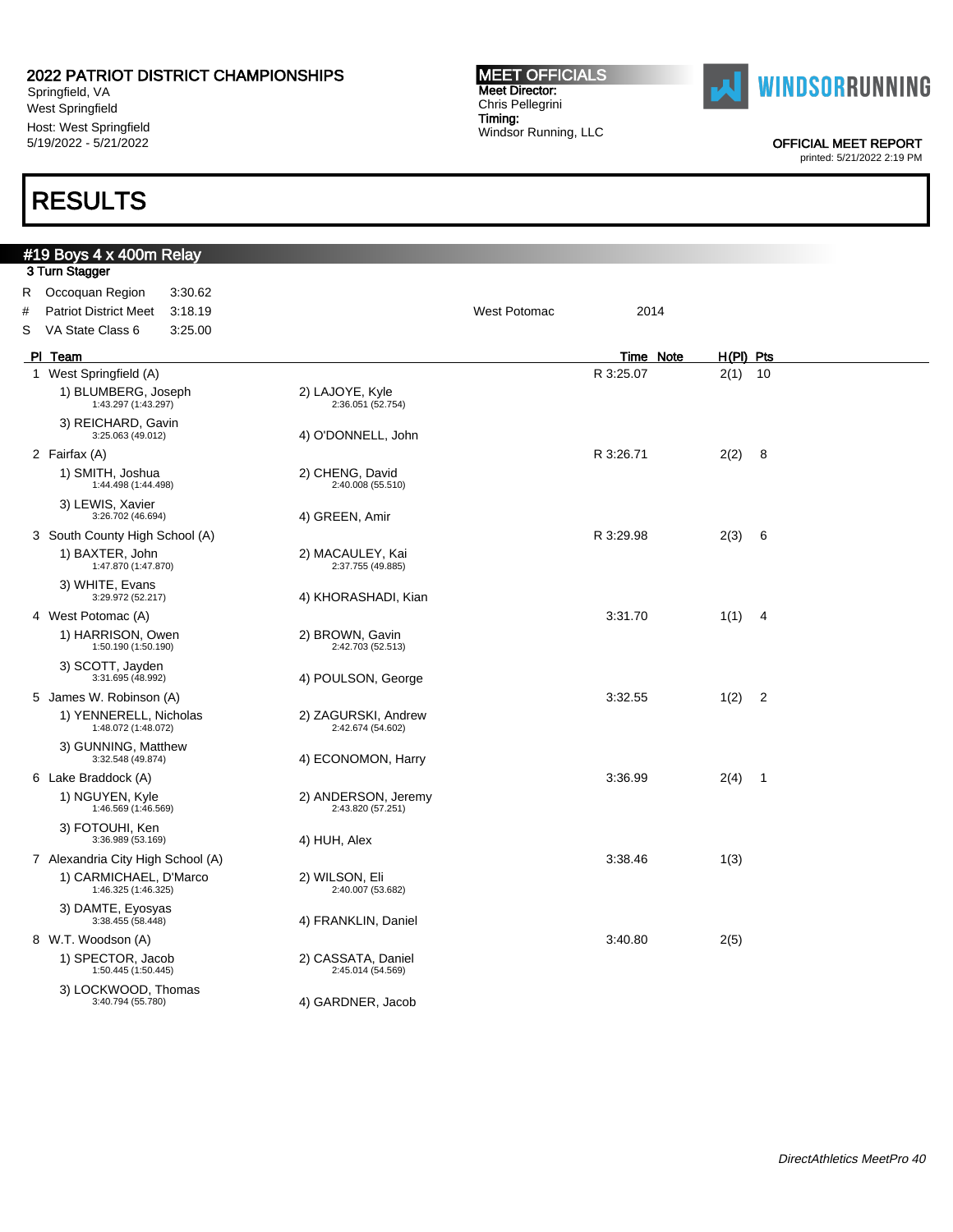Springfield, VA West Springfield Host: West Springfield 5/19/2022 - 5/21/2022

## RESULTS

#19 Boys 4 x 400m Relay

#### MEET OFFICIALS Meet Director: Chris Pellegrini Timing: Windsor Running, LLC



OFFICIAL MEET REPORT

|   | 3 Turn Stagger                                |                                          |              |           |           |                            |
|---|-----------------------------------------------|------------------------------------------|--------------|-----------|-----------|----------------------------|
| R | Occoquan Region<br>3:30.62                    |                                          |              |           |           |                            |
| # | <b>Patriot District Meet</b><br>3:18.19       |                                          | West Potomac | 2014      |           |                            |
| S | VA State Class 6<br>3:25.00                   |                                          |              |           |           |                            |
|   | PI Team                                       |                                          |              | Time Note | H(PI) Pts |                            |
|   | 1 West Springfield (A)                        |                                          |              | R 3:25.07 | 2(1)      | 10                         |
|   | 1) BLUMBERG, Joseph<br>1:43.297 (1:43.297)    | 2) LAJOYE, Kyle<br>2:36.051 (52.754)     |              |           |           |                            |
|   | 3) REICHARD, Gavin<br>3:25.063 (49.012)       | 4) O'DONNELL, John                       |              |           |           |                            |
|   | 2 Fairfax (A)                                 |                                          |              | R 3:26.71 | 2(2)      | - 8                        |
|   | 1) SMITH, Joshua<br>1:44.498 (1:44.498)       | 2) CHENG, David<br>2:40.008 (55.510)     |              |           |           |                            |
|   | 3) LEWIS, Xavier<br>3:26.702 (46.694)         | 4) GREEN, Amir                           |              |           |           |                            |
|   | 3 South County High School (A)                |                                          |              | R 3:29.98 | 2(3)      | - 6                        |
|   | 1) BAXTER, John<br>1:47.870 (1:47.870)        | 2) MACAULEY, Kai<br>2:37.755 (49.885)    |              |           |           |                            |
|   | 3) WHITE, Evans<br>3:29.972 (52.217)          | 4) KHORASHADI, Kian                      |              |           |           |                            |
|   | 4 West Potomac (A)                            |                                          |              | 3:31.70   | 1(1)      | $\overline{4}$             |
|   | 1) HARRISON, Owen<br>1:50.190 (1:50.190)      | 2) BROWN, Gavin<br>2:42.703 (52.513)     |              |           |           |                            |
|   | 3) SCOTT, Jayden<br>3:31.695 (48.992)         | 4) POULSON, George                       |              |           |           |                            |
|   | 5 James W. Robinson (A)                       |                                          |              | 3:32.55   | 1(2)      | $\overline{\phantom{0}}^2$ |
|   | 1) YENNERELL, Nicholas<br>1:48.072 (1:48.072) | 2) ZAGURSKI, Andrew<br>2:42.674 (54.602) |              |           |           |                            |
|   | 3) GUNNING, Matthew<br>3:32.548 (49.874)      | 4) ECONOMON, Harry                       |              |           |           |                            |
|   | 6 Lake Braddock (A)                           |                                          |              | 3:36.99   | $2(4)$ 1  |                            |
|   | 1) NGUYEN, Kyle<br>1:46.569 (1:46.569)        | 2) ANDERSON, Jeremy<br>2:43.820 (57.251) |              |           |           |                            |
|   | 3) FOTOUHI, Ken<br>3:36.989 (53.169)          | 4) HUH, Alex                             |              |           |           |                            |
|   | 7 Alexandria City High School (A)             |                                          |              | 3:38.46   | 1(3)      |                            |
|   | 1) CARMICHAEL, D'Marco<br>1:46.325 (1:46.325) | 2) WILSON, Eli<br>2:40.007 (53.682)      |              |           |           |                            |
|   | 3) DAMTE, Eyosyas<br>3:38.455 (58.448)        | 4) FRANKLIN, Daniel                      |              |           |           |                            |
|   | 8 W.T. Woodson (A)                            |                                          |              | 3:40.80   | 2(5)      |                            |
|   | 1) SPECTOR, Jacob<br>1:50.445 (1:50.445)      | 2) CASSATA, Daniel<br>2:45.014 (54.569)  |              |           |           |                            |
|   | 3) LOCKWOOD, Thomas<br>3:40.794 (55.780)      | 4) GARDNER, Jacob                        |              |           |           |                            |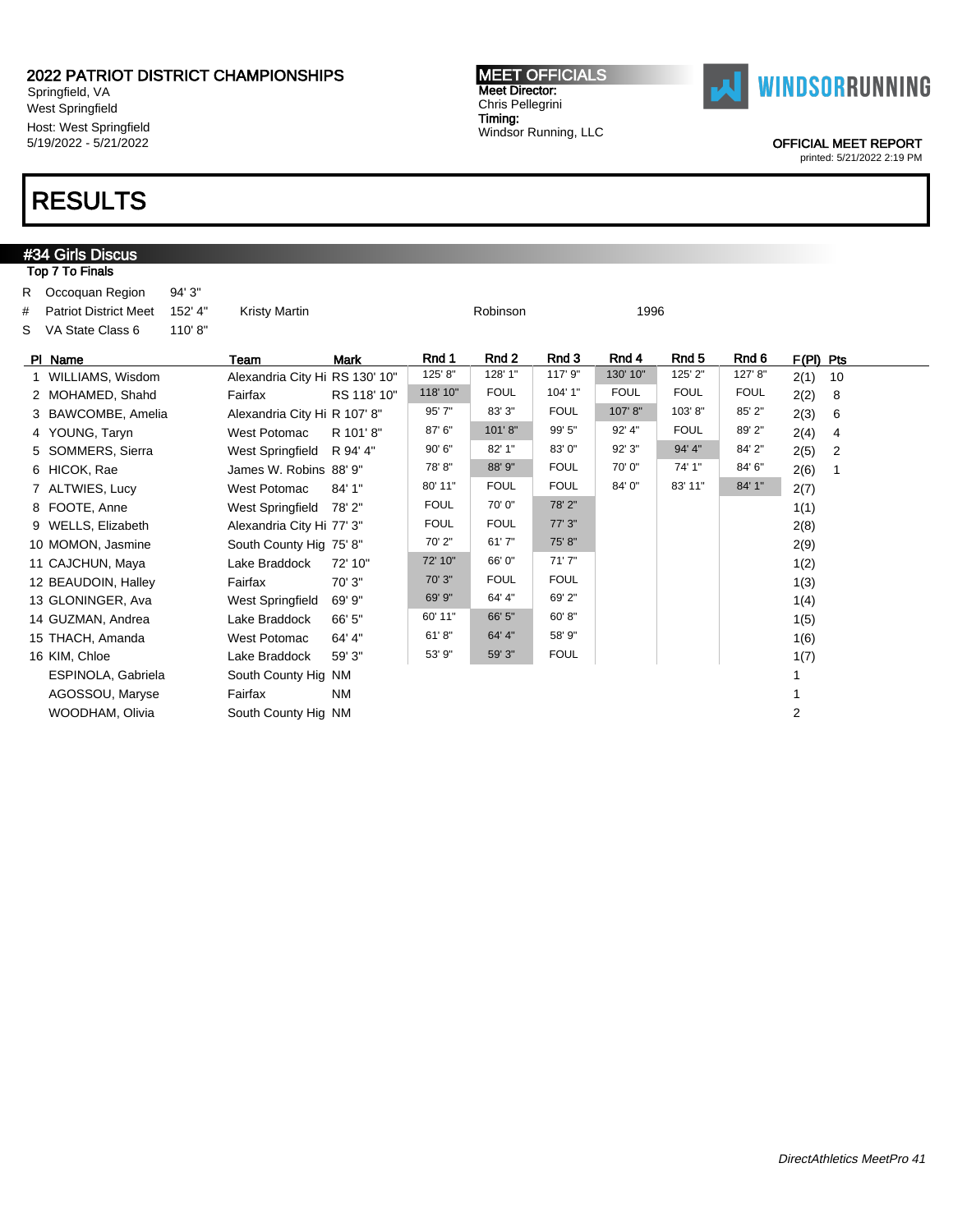Springfield, VA West Springfield Host: West Springfield 5/19/2022 - 5/21/2022

# RESULTS

#34 Girls Discus Top 7 To Finals

#### MEET OFFICIALS Meet Director: Chris Pellegrini Timing: Windsor Running, LLC



OFFICIAL MEET REPORT

| #<br>s | R Occoquan Region<br><b>Patriot District Meet</b><br>VA State Class 6 | 94' 3"<br>152' 4"<br>110'8" | <b>Kristy Martin</b>           |             |             | Robinson         |             | 1996        |             |             |                |    |
|--------|-----------------------------------------------------------------------|-----------------------------|--------------------------------|-------------|-------------|------------------|-------------|-------------|-------------|-------------|----------------|----|
|        | PI Name                                                               |                             | Team                           | <b>Mark</b> | Rnd 1       | Rnd <sub>2</sub> | Rnd 3       | Rnd 4       | Rnd 5       | Rnd 6       | $F(PI)$ Pts    |    |
|        | 1 WILLIAMS, Wisdom                                                    |                             | Alexandria City Hi RS 130' 10" |             | 125' 8"     | 128' 1"          | 117' 9"     | 130' 10"    | 125' 2"     | 127' 8"     | 2(1)           | 10 |
|        | 2 MOHAMED, Shahd                                                      |                             | Fairfax                        | RS 118' 10" | 118' 10"    | <b>FOUL</b>      | 104' 1"     | <b>FOUL</b> | <b>FOUL</b> | <b>FOUL</b> | 2(2)           | 8  |
|        | 3 BAWCOMBE, Amelia                                                    |                             | Alexandria City Hi R 107' 8"   |             | 95' 7"      | 83' 3"           | <b>FOUL</b> | 107' 8"     | 103'8"      | 85' 2"      | 2(3)           | 6  |
|        | 4 YOUNG, Taryn                                                        |                             | <b>West Potomac</b>            | R 101'8"    | 87' 6"      | 101'8''          | 99' 5"      | 92' 4"      | <b>FOUL</b> | 89' 2"      | 2(4)           | 4  |
|        | 5 SOMMERS, Sierra                                                     |                             | West Springfield               | R 94' 4"    | 90' 6"      | 82' 1"           | 83' 0"      | 92' 3"      | 94' 4"      | 84' 2"      | 2(5)           | 2  |
|        | 6 HICOK, Rae                                                          |                             | James W. Robins 88' 9"         |             | 78'8"       | 88' 9"           | <b>FOUL</b> | 70'0"       | 74' 1"      | 84' 6"      | 2(6)           |    |
|        | 7 ALTWIES, Lucy                                                       |                             | <b>West Potomac</b>            | 84' 1"      | 80' 11"     | <b>FOUL</b>      | <b>FOUL</b> | 84' 0"      | 83' 11"     | 84' 1"      | 2(7)           |    |
|        | 8 FOOTE, Anne                                                         |                             | West Springfield               | 78'2"       | <b>FOUL</b> | 70'0"            | 78' 2"      |             |             |             | 1(1)           |    |
|        | 9 WELLS, Elizabeth                                                    |                             | Alexandria City Hi 77' 3"      |             | <b>FOUL</b> | <b>FOUL</b>      | 77' 3"      |             |             |             | 2(8)           |    |
|        | 10 MOMON, Jasmine                                                     |                             | South County Hig 75' 8"        |             | 70' 2"      | 61'7''           | 75' 8"      |             |             |             | 2(9)           |    |
|        | 11 CAJCHUN, Maya                                                      |                             | Lake Braddock                  | 72' 10"     | 72' 10"     | 66' 0"           | 71'7"       |             |             |             | 1(2)           |    |
|        | 12 BEAUDOIN, Halley                                                   |                             | Fairfax                        | 70' 3"      | 70' 3"      | <b>FOUL</b>      | <b>FOUL</b> |             |             |             | 1(3)           |    |
|        | 13 GLONINGER, Ava                                                     |                             | <b>West Springfield</b>        | 69' 9"      | 69' 9"      | 64' 4"           | 69' 2"      |             |             |             | 1(4)           |    |
|        | 14 GUZMAN, Andrea                                                     |                             | Lake Braddock                  | 66' 5"      | 60' 11"     | 66' 5"           | 60' 8"      |             |             |             | 1(5)           |    |
|        | 15 THACH, Amanda                                                      |                             | <b>West Potomac</b>            | 64' 4"      | 61' 8''     | 64' 4"           | 58' 9"      |             |             |             | 1(6)           |    |
|        | 16 KIM, Chloe                                                         |                             | Lake Braddock                  | 59' 3"      | 53' 9"      | 59' 3"           | <b>FOUL</b> |             |             |             | 1(7)           |    |
|        | ESPINOLA, Gabriela                                                    |                             | South County Hig NM            |             |             |                  |             |             |             |             | 1              |    |
|        | AGOSSOU, Maryse                                                       |                             | Fairfax                        | <b>NM</b>   |             |                  |             |             |             |             | 1              |    |
|        | WOODHAM, Olivia                                                       |                             | South County Hig NM            |             |             |                  |             |             |             |             | $\overline{2}$ |    |
|        |                                                                       |                             |                                |             |             |                  |             |             |             |             |                |    |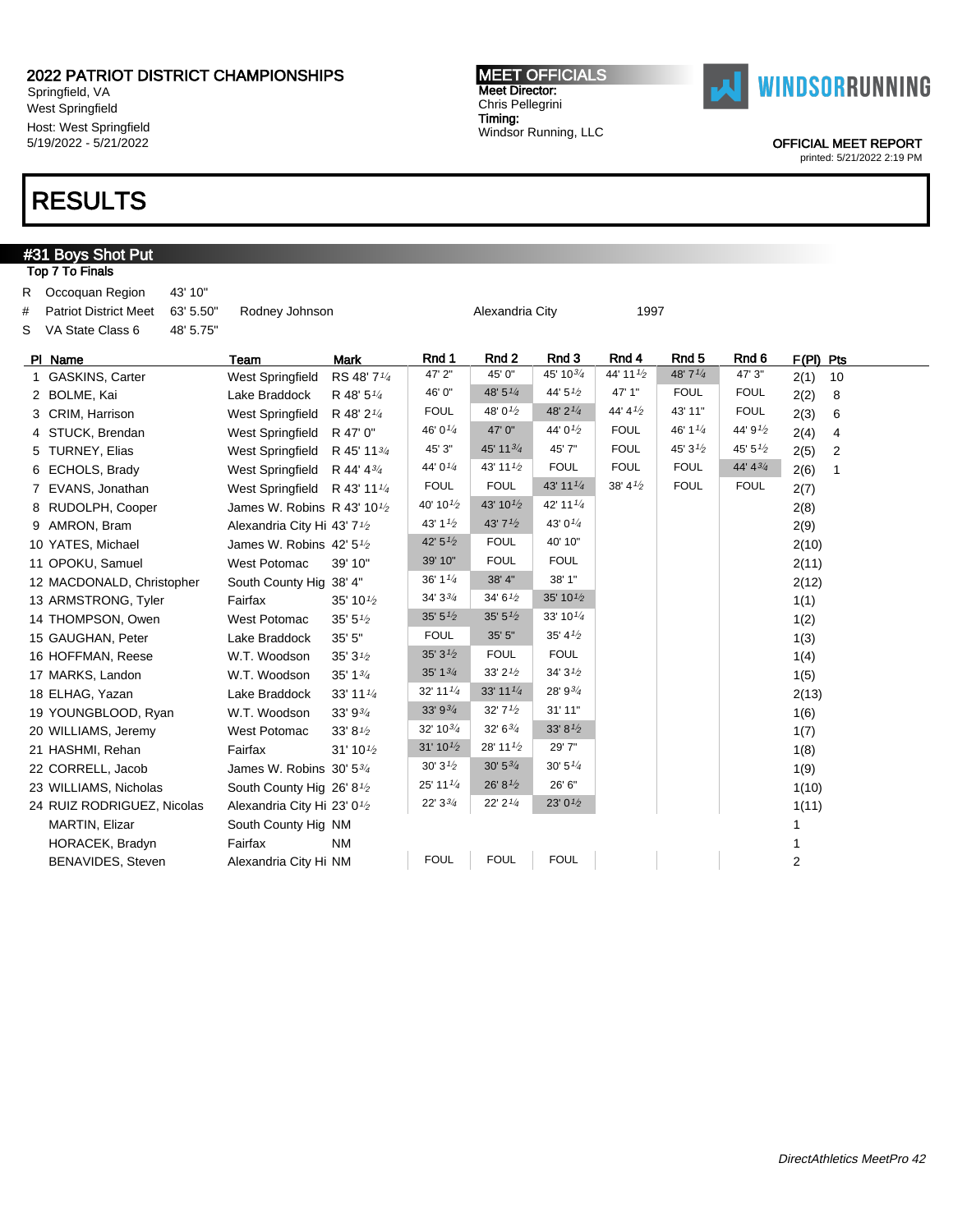Springfield, VA West Springfield Host: West Springfield 5/19/2022 - 5/21/2022

## RESULTS

#31 Boys Shot Put

#### MEET OFFICIALS Meet Director: Chris Pellegrini Timing: Windsor Running, LLC



OFFICIAL MEET REPORT

| Top 7 To Finals          |                                                                                                                                                                                                                                                                                                                                                                                                                                                                                                                                                                                                             |                        |                                                                                                                                                                                                                                                                                                                                                                  |                      |                      |                      |                     |                     |                        |
|--------------------------|-------------------------------------------------------------------------------------------------------------------------------------------------------------------------------------------------------------------------------------------------------------------------------------------------------------------------------------------------------------------------------------------------------------------------------------------------------------------------------------------------------------------------------------------------------------------------------------------------------------|------------------------|------------------------------------------------------------------------------------------------------------------------------------------------------------------------------------------------------------------------------------------------------------------------------------------------------------------------------------------------------------------|----------------------|----------------------|----------------------|---------------------|---------------------|------------------------|
| 43' 10"                  |                                                                                                                                                                                                                                                                                                                                                                                                                                                                                                                                                                                                             |                        |                                                                                                                                                                                                                                                                                                                                                                  |                      |                      |                      |                     |                     |                        |
|                          |                                                                                                                                                                                                                                                                                                                                                                                                                                                                                                                                                                                                             |                        |                                                                                                                                                                                                                                                                                                                                                                  |                      |                      |                      |                     |                     |                        |
|                          |                                                                                                                                                                                                                                                                                                                                                                                                                                                                                                                                                                                                             |                        |                                                                                                                                                                                                                                                                                                                                                                  |                      |                      |                      |                     |                     |                        |
|                          | Team                                                                                                                                                                                                                                                                                                                                                                                                                                                                                                                                                                                                        | <b>Mark</b>            | Rnd 1                                                                                                                                                                                                                                                                                                                                                            | Rnd <sub>2</sub>     | Rnd 3                | Rnd 4                | Rnd <sub>5</sub>    | Rnd 6               | F(PI) Pts              |
|                          | West Springfield                                                                                                                                                                                                                                                                                                                                                                                                                                                                                                                                                                                            | RS 48' 71/4            | 47' 2"                                                                                                                                                                                                                                                                                                                                                           | 45' 0"               | 45' 10 $\frac{3}{4}$ | 44' 11 $\frac{1}{2}$ | 48' 71/4            | 47' 3"              | 2(1)<br>10             |
|                          | Lake Braddock                                                                                                                                                                                                                                                                                                                                                                                                                                                                                                                                                                                               | R 48' 51/4             | 46' 0"                                                                                                                                                                                                                                                                                                                                                           | 48' 5 $\frac{1}{4}$  | 44' 5 $\frac{1}{2}$  | 47' 1"               | <b>FOUL</b>         | <b>FOUL</b>         | 2(2)<br>8              |
|                          | West Springfield                                                                                                                                                                                                                                                                                                                                                                                                                                                                                                                                                                                            | R 48' 21/4             | <b>FOUL</b>                                                                                                                                                                                                                                                                                                                                                      | 48' 01/2             | 48' 2 $1/4$          | 44' 41/2             | 43' 11"             | <b>FOUL</b>         | 2(3)<br>6              |
|                          | <b>West Springfield</b>                                                                                                                                                                                                                                                                                                                                                                                                                                                                                                                                                                                     | R 47' 0"               | 46' 0 $\frac{1}{4}$                                                                                                                                                                                                                                                                                                                                              | 47' 0"               | 44' 0 <sup>1/2</sup> | <b>FOUL</b>          | 46' 1 $\frac{1}{4}$ | 44' 91/2            | 2(4)<br>4              |
|                          | West Springfield                                                                                                                                                                                                                                                                                                                                                                                                                                                                                                                                                                                            | R 45' 1134             | 45' 3"                                                                                                                                                                                                                                                                                                                                                           | 45' 11 3/4           | 45' 7"               | <b>FOUL</b>          | 45' 3 $\frac{1}{2}$ | 45' 5 $\frac{1}{2}$ | 2(5)<br>$\overline{2}$ |
|                          | West Springfield                                                                                                                                                                                                                                                                                                                                                                                                                                                                                                                                                                                            | R 44' 43/4             | 44' 01/4                                                                                                                                                                                                                                                                                                                                                         | 43' 111⁄2            | <b>FOUL</b>          | <b>FOUL</b>          | <b>FOUL</b>         | 44' 43/4            | 2(6)<br>1              |
|                          | West Springfield                                                                                                                                                                                                                                                                                                                                                                                                                                                                                                                                                                                            | R 43' 111/4            | <b>FOUL</b>                                                                                                                                                                                                                                                                                                                                                      | <b>FOUL</b>          | 43' 11 $\frac{1}{4}$ | 38' 4'2              | <b>FOUL</b>         | <b>FOUL</b>         | 2(7)                   |
|                          |                                                                                                                                                                                                                                                                                                                                                                                                                                                                                                                                                                                                             |                        | 40' 10 $\frac{1}{2}$                                                                                                                                                                                                                                                                                                                                             | 43' 10 $\frac{1}{2}$ | 42' 11 $\frac{1}{4}$ |                      |                     |                     | 2(8)                   |
|                          |                                                                                                                                                                                                                                                                                                                                                                                                                                                                                                                                                                                                             |                        | 43' 11/2                                                                                                                                                                                                                                                                                                                                                         | 43' 71/2             | 43' 0 $\frac{1}{4}$  |                      |                     |                     | 2(9)                   |
|                          |                                                                                                                                                                                                                                                                                                                                                                                                                                                                                                                                                                                                             |                        | 42' $5^{1/2}$                                                                                                                                                                                                                                                                                                                                                    | <b>FOUL</b>          | 40' 10"              |                      |                     |                     | 2(10)                  |
|                          | West Potomac                                                                                                                                                                                                                                                                                                                                                                                                                                                                                                                                                                                                | 39' 10"                | 39' 10"                                                                                                                                                                                                                                                                                                                                                          | <b>FOUL</b>          | <b>FOUL</b>          |                      |                     |                     | 2(11)                  |
|                          |                                                                                                                                                                                                                                                                                                                                                                                                                                                                                                                                                                                                             |                        | 36' 1 <sup>1</sup> / <sub>4</sub>                                                                                                                                                                                                                                                                                                                                | 38' 4"               | 38' 1"               |                      |                     |                     | 2(12)                  |
|                          | Fairfax                                                                                                                                                                                                                                                                                                                                                                                                                                                                                                                                                                                                     | 35' 10 $\frac{1}{2}$   | $34'3\frac{3}{4}$                                                                                                                                                                                                                                                                                                                                                | 34' 61/2             | 35' 10 $\frac{1}{2}$ |                      |                     |                     | 1(1)                   |
|                          | West Potomac                                                                                                                                                                                                                                                                                                                                                                                                                                                                                                                                                                                                | $35'$ 5 $\frac{1}{2}$  | 35' 5'2                                                                                                                                                                                                                                                                                                                                                          | 35' 5'2              | 33' 10 $\frac{1}{4}$ |                      |                     |                     | 1(2)                   |
|                          | Lake Braddock                                                                                                                                                                                                                                                                                                                                                                                                                                                                                                                                                                                               | 35' 5"                 | <b>FOUL</b>                                                                                                                                                                                                                                                                                                                                                      | 35' 5"               | 35' $4\frac{1}{2}$   |                      |                     |                     | 1(3)                   |
|                          | W.T. Woodson                                                                                                                                                                                                                                                                                                                                                                                                                                                                                                                                                                                                | $35'3\frac{1}{2}$      | 35'3'2                                                                                                                                                                                                                                                                                                                                                           | <b>FOUL</b>          | <b>FOUL</b>          |                      |                     |                     | 1(4)                   |
|                          | W.T. Woodson                                                                                                                                                                                                                                                                                                                                                                                                                                                                                                                                                                                                | 35' 13'                | 35' $1^{3/4}$                                                                                                                                                                                                                                                                                                                                                    | $33'$ 2 $1/2$        | 34'3'2               |                      |                     |                     | 1(5)                   |
|                          | Lake Braddock                                                                                                                                                                                                                                                                                                                                                                                                                                                                                                                                                                                               | 33' 11 1/4             | 32' 11 $\frac{1}{4}$                                                                                                                                                                                                                                                                                                                                             | 33' 11 $\frac{1}{4}$ | 28' 93/4             |                      |                     |                     | 2(13)                  |
|                          | W.T. Woodson                                                                                                                                                                                                                                                                                                                                                                                                                                                                                                                                                                                                | 33' 934                | $33'9^{3/4}$                                                                                                                                                                                                                                                                                                                                                     | $32'$ 7 $1/2$        | 31' 11"              |                      |                     |                     | 1(6)                   |
|                          | West Potomac                                                                                                                                                                                                                                                                                                                                                                                                                                                                                                                                                                                                | 33' $8\frac{1}{2}$     | 32' $10^{3/4}$                                                                                                                                                                                                                                                                                                                                                   | $32' 6\frac{3}{4}$   | 33' 81/2             |                      |                     |                     | 1(7)                   |
|                          | Fairfax                                                                                                                                                                                                                                                                                                                                                                                                                                                                                                                                                                                                     | 31' 101/2              | 31' 10 $\frac{1}{2}$                                                                                                                                                                                                                                                                                                                                             | 28' 11 $\frac{1}{2}$ | 29' 7"               |                      |                     |                     | 1(8)                   |
|                          |                                                                                                                                                                                                                                                                                                                                                                                                                                                                                                                                                                                                             |                        | 30'3'2                                                                                                                                                                                                                                                                                                                                                           | $30' 5\frac{3}{4}$   | 30' 5''/4            |                      |                     |                     | 1(9)                   |
|                          |                                                                                                                                                                                                                                                                                                                                                                                                                                                                                                                                                                                                             |                        | 25' 11 $\frac{1}{4}$                                                                                                                                                                                                                                                                                                                                             | 26' 81/2             | 26' 6"               |                      |                     |                     | 1(10)                  |
|                          |                                                                                                                                                                                                                                                                                                                                                                                                                                                                                                                                                                                                             |                        | 22' 33/4                                                                                                                                                                                                                                                                                                                                                         | 22' 21/4             | 23' $0\frac{1}{2}$   |                      |                     |                     | 1(11)                  |
| MARTIN, Elizar           |                                                                                                                                                                                                                                                                                                                                                                                                                                                                                                                                                                                                             |                        |                                                                                                                                                                                                                                                                                                                                                                  |                      |                      |                      |                     |                     | 1                      |
| HORACEK, Bradyn          | Fairfax                                                                                                                                                                                                                                                                                                                                                                                                                                                                                                                                                                                                     | <b>NM</b>              |                                                                                                                                                                                                                                                                                                                                                                  |                      |                      |                      |                     |                     | 1                      |
| <b>BENAVIDES, Steven</b> |                                                                                                                                                                                                                                                                                                                                                                                                                                                                                                                                                                                                             |                        | <b>FOUL</b>                                                                                                                                                                                                                                                                                                                                                      | <b>FOUL</b>          | <b>FOUL</b>          |                      |                     |                     | $\overline{2}$         |
| $\mathbf{1}$             | Occoquan Region<br><b>Patriot District Meet</b><br>VA State Class 6<br>PI Name<br>GASKINS, Carter<br>2 BOLME, Kai<br>3 CRIM, Harrison<br>4 STUCK, Brendan<br>5 TURNEY, Elias<br>6 ECHOLS, Brady<br>7 EVANS, Jonathan<br>8 RUDOLPH, Cooper<br>9 AMRON, Bram<br>10 YATES, Michael<br>11 OPOKU, Samuel<br>12 MACDONALD, Christopher<br>13 ARMSTRONG, Tyler<br>14 THOMPSON, Owen<br>15 GAUGHAN, Peter<br>16 HOFFMAN, Reese<br>17 MARKS, Landon<br>18 ELHAG, Yazan<br>19 YOUNGBLOOD, Ryan<br>20 WILLIAMS, Jeremy<br>21 HASHMI, Rehan<br>22 CORRELL, Jacob<br>23 WILLIAMS, Nicholas<br>24 RUIZ RODRIGUEZ, Nicolas | 63' 5.50"<br>48' 5.75" | Rodney Johnson<br>James W. Robins R 43' $10\frac{1}{2}$<br>Alexandria City Hi 43' 7 <sup>1</sup> / <sub>2</sub><br>James W. Robins 42' 5 <sup>1</sup> /2<br>South County Hig 38' 4"<br>James W. Robins 30' 534<br>South County Hig 26' 8 <sup>1</sup> / <sub>2</sub><br>Alexandria City Hi 23' 0 <sup>1</sup> /2<br>South County Hig NM<br>Alexandria City Hi NM |                      |                      | Alexandria City      |                     | 1997                |                        |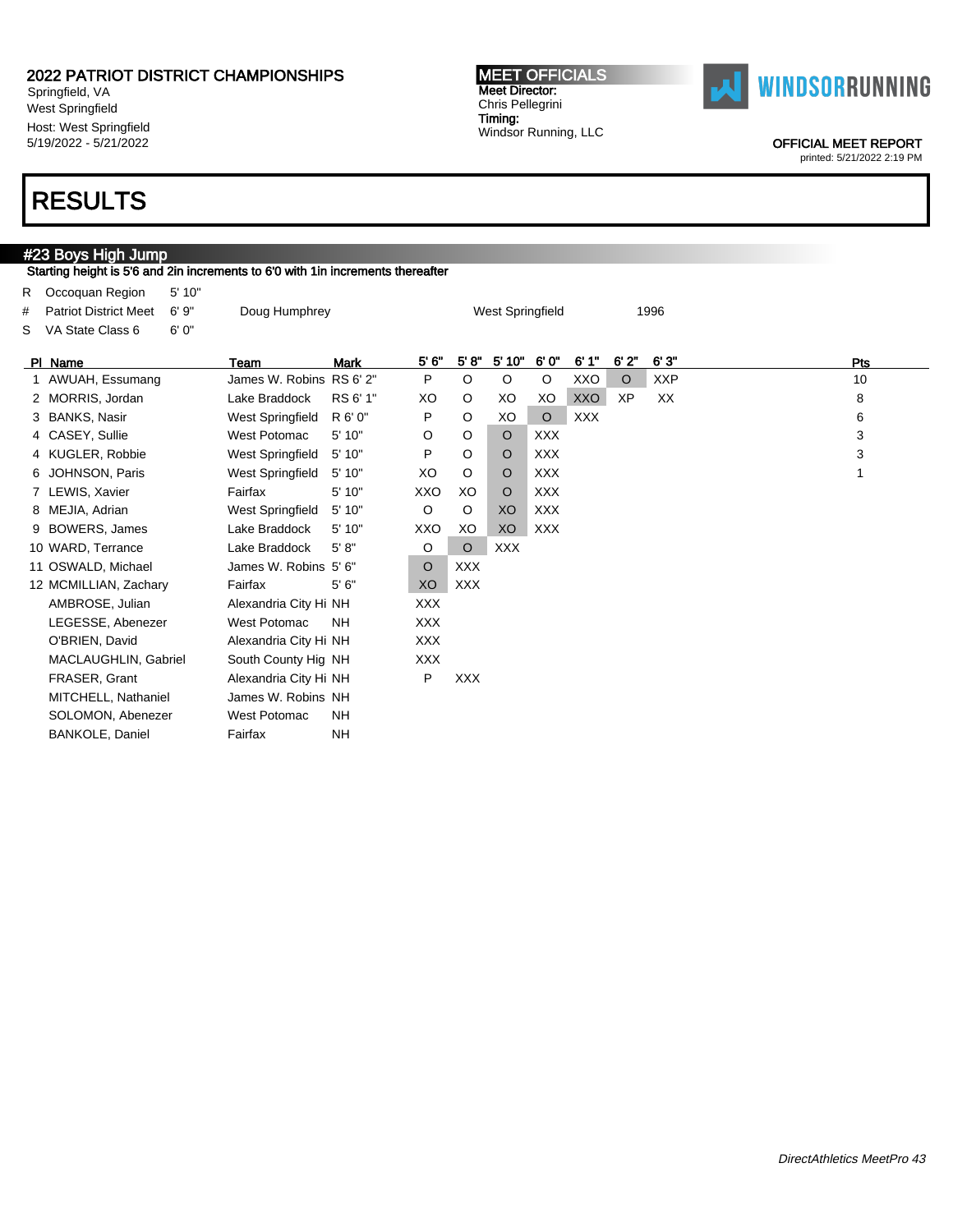Springfield, VA West Springfield Host: West Springfield 5/19/2022 - 5/21/2022

#### MEET OFFICIALS Meet Director: Chris Pellegrini Timing: Windsor Running, LLC



OFFICIAL MEET REPORT

printed: 5/21/2022 2:19 PM

### RESULTS

### #23 Boys High Jump

Starting height is 5'6 and 2in increments to 6'0 with 1in increments thereafter

| R.<br>#<br>s | Occoquan Region<br><b>Patriot District Meet</b><br>VA State Class 6 | 5' 10"<br>6'9''<br>6'0'' | Doug Humphrey            |             |            |            | West Springfield |            |            |         | 1996       |     |  |
|--------------|---------------------------------------------------------------------|--------------------------|--------------------------|-------------|------------|------------|------------------|------------|------------|---------|------------|-----|--|
|              | PI Name                                                             |                          | Team                     | <b>Mark</b> | 5' 6"      | 5' 8''     | 5' 10"           | 6'0"       | 6'1''      | 6'2"    | 6'3'       | Pts |  |
|              | 1 AWUAH, Essumang                                                   |                          | James W. Robins RS 6' 2" |             | P          | O          | O                | O          | XXO        | $\circ$ | <b>XXP</b> | 10  |  |
|              | 2 MORRIS, Jordan                                                    |                          | Lake Braddock            | RS 6' 1"    | XO         | O          | XO               | XO         | XXO        | XP      | XX         | 8   |  |
|              | 3 BANKS, Nasir                                                      |                          | West Springfield         | R 6' 0"     | P          | O          | XO               | $\circ$    | <b>XXX</b> |         |            | 6   |  |
|              | 4 CASEY, Sullie                                                     |                          | West Potomac             | 5' 10"      | O          | O          | $\circ$          | <b>XXX</b> |            |         |            | 3   |  |
|              | 4 KUGLER, Robbie                                                    |                          | West Springfield         | 5' 10"      | P          | O          | $\circ$          | <b>XXX</b> |            |         |            | 3   |  |
|              | 6 JOHNSON, Paris                                                    |                          | West Springfield         | 5' 10"      | XO         | $\circ$    | $\circ$          | <b>XXX</b> |            |         |            |     |  |
|              | 7 LEWIS, Xavier                                                     |                          | Fairfax                  | 5' 10"      | XXO        | XO         | $\circ$          | <b>XXX</b> |            |         |            |     |  |
|              | 8 MEJIA, Adrian                                                     |                          | West Springfield         | 5' 10"      | O          | O          | XO               | <b>XXX</b> |            |         |            |     |  |
|              | 9 BOWERS, James                                                     |                          | Lake Braddock            | 5'10"       | XXO        | XO         | XO               | <b>XXX</b> |            |         |            |     |  |
|              | 10 WARD, Terrance                                                   |                          | Lake Braddock            | 5' 8''      | O          | $\circ$    | <b>XXX</b>       |            |            |         |            |     |  |
|              | 11 OSWALD, Michael                                                  |                          | James W. Robins 5' 6"    |             | $\circ$    | <b>XXX</b> |                  |            |            |         |            |     |  |
|              | 12 MCMILLIAN, Zachary                                               |                          | Fairfax                  | 5'6''       | XO         | <b>XXX</b> |                  |            |            |         |            |     |  |
|              | AMBROSE, Julian                                                     |                          | Alexandria City Hi NH    |             | <b>XXX</b> |            |                  |            |            |         |            |     |  |
|              | LEGESSE, Abenezer                                                   |                          | West Potomac             | <b>NH</b>   | <b>XXX</b> |            |                  |            |            |         |            |     |  |
|              | O'BRIEN, David                                                      |                          | Alexandria City Hi NH    |             | <b>XXX</b> |            |                  |            |            |         |            |     |  |
|              | MACLAUGHLIN, Gabriel                                                |                          | South County Hig NH      |             | <b>XXX</b> |            |                  |            |            |         |            |     |  |
|              | FRASER, Grant                                                       |                          | Alexandria City Hi NH    |             | P          | <b>XXX</b> |                  |            |            |         |            |     |  |
|              | MITCHELL, Nathaniel                                                 |                          | James W. Robins NH       |             |            |            |                  |            |            |         |            |     |  |
|              | SOLOMON, Abenezer                                                   |                          | <b>West Potomac</b>      | <b>NH</b>   |            |            |                  |            |            |         |            |     |  |
|              | <b>BANKOLE, Daniel</b>                                              |                          | Fairfax                  | <b>NH</b>   |            |            |                  |            |            |         |            |     |  |
|              |                                                                     |                          |                          |             |            |            |                  |            |            |         |            |     |  |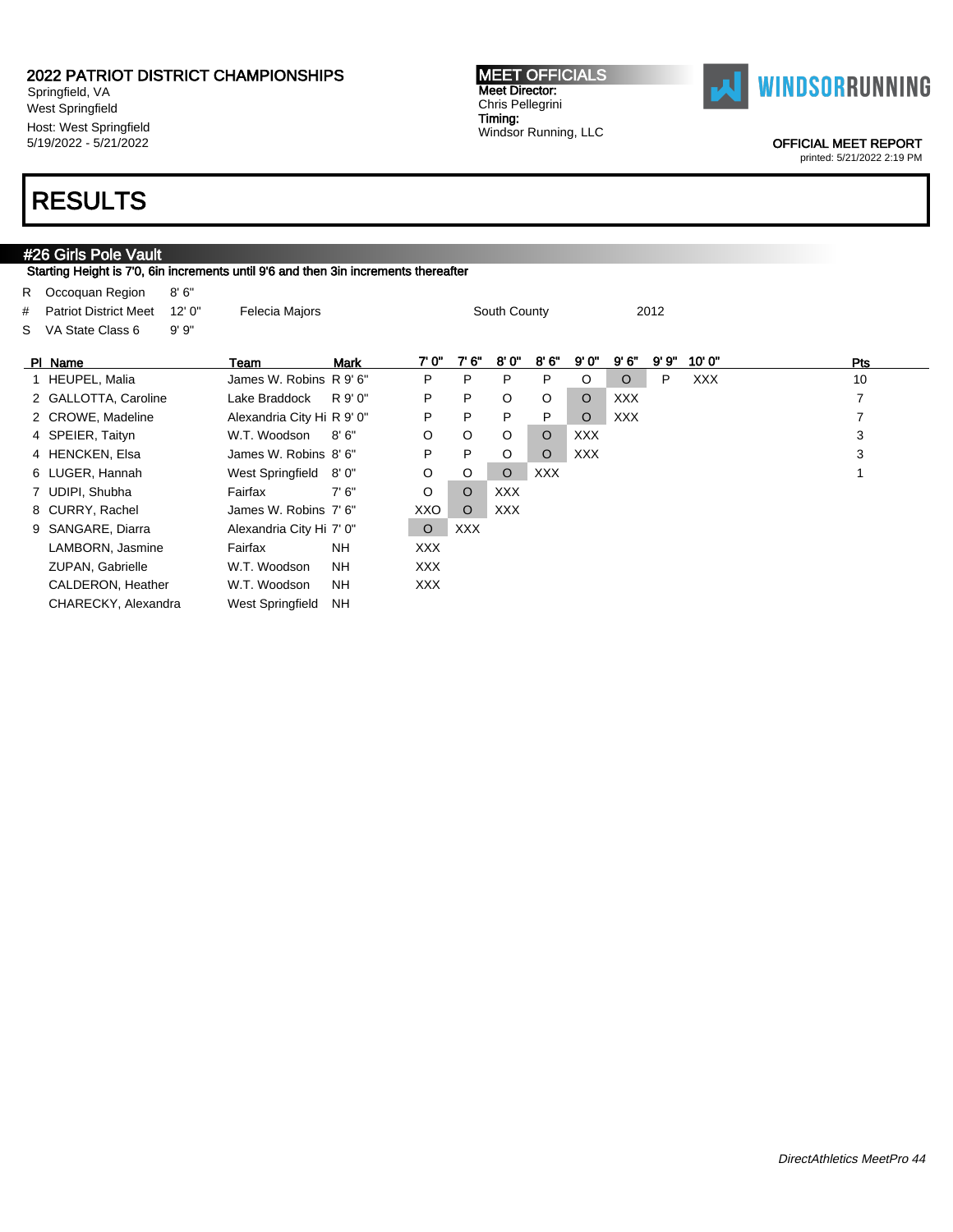Springfield, VA West Springfield Host: West Springfield 5/19/2022 - 5/21/2022

#### MEET OFFICIALS Meet Director: Chris Pellegrini Timing: Windsor Running, LLC



OFFICIAL MEET REPORT

printed: 5/21/2022 2:19 PM

## RESULTS

### #26 Girls Pole Vault

Starting Height is 7'0, 6in increments until 9'6 and then 3in increments thereafter

| R.<br>#<br>S | Occoquan Region<br><b>Patriot District Meet</b><br>VA State Class 6 | 8'6''<br>12'0''<br>9'9'' | Felecia Majors             |           |            |            | South County |            |            |            | 2012 |            |     |
|--------------|---------------------------------------------------------------------|--------------------------|----------------------------|-----------|------------|------------|--------------|------------|------------|------------|------|------------|-----|
|              | PI Name                                                             |                          | Team                       | Mark      | 7' 0"      | 7'6''      | 8'0"         | 8'6''      | 9'0''      | 9'6''      | 9'9" | 10'0''     | Pts |
|              | 1 HEUPEL, Malia                                                     |                          | James W. Robins R 9' 6"    |           | P          | P          | P            | P          | O          | $\circ$    | P    | <b>XXX</b> | 10  |
|              | 2 GALLOTTA, Caroline                                                |                          | Lake Braddock              | R 9' 0"   | P          | P          | O            | O          | $\circ$    | <b>XXX</b> |      |            | 7   |
|              | 2 CROWE, Madeline                                                   |                          | Alexandria City Hi R 9' 0" |           | P          | P          | P            | P          | $\circ$    | <b>XXX</b> |      |            |     |
|              | 4 SPEIER, Taityn                                                    |                          | W.T. Woodson               | 8'6''     | O          | $\circ$    | $\circ$      | $\circ$    | <b>XXX</b> |            |      |            | 3   |
|              | 4 HENCKEN, Elsa                                                     |                          | James W. Robins 8'6"       |           | P          | P          | $\circ$      | $\circ$    | <b>XXX</b> |            |      |            | 3   |
|              | 6 LUGER, Hannah                                                     |                          | West Springfield           | 8' 0"     | $\circ$    | $\circ$    | $\circ$      | <b>XXX</b> |            |            |      |            |     |
|              | 7 UDIPI, Shubha                                                     |                          | Fairfax                    | 7'6''     | O          | $\circ$    | <b>XXX</b>   |            |            |            |      |            |     |
|              | 8 CURRY, Rachel                                                     |                          | James W. Robins 7' 6"      |           | XXO        | $\circ$    | <b>XXX</b>   |            |            |            |      |            |     |
|              | 9 SANGARE, Diarra                                                   |                          | Alexandria City Hi 7' 0"   |           | $\circ$    | <b>XXX</b> |              |            |            |            |      |            |     |
|              | LAMBORN, Jasmine                                                    |                          | Fairfax                    | <b>NH</b> | XXX        |            |              |            |            |            |      |            |     |
|              | ZUPAN, Gabrielle                                                    |                          | W.T. Woodson               | NH.       | XXX.       |            |              |            |            |            |      |            |     |
|              | CALDERON, Heather                                                   |                          | W.T. Woodson               | <b>NH</b> | <b>XXX</b> |            |              |            |            |            |      |            |     |
|              | CHARECKY, Alexandra                                                 |                          | West Springfield           | <b>NH</b> |            |            |              |            |            |            |      |            |     |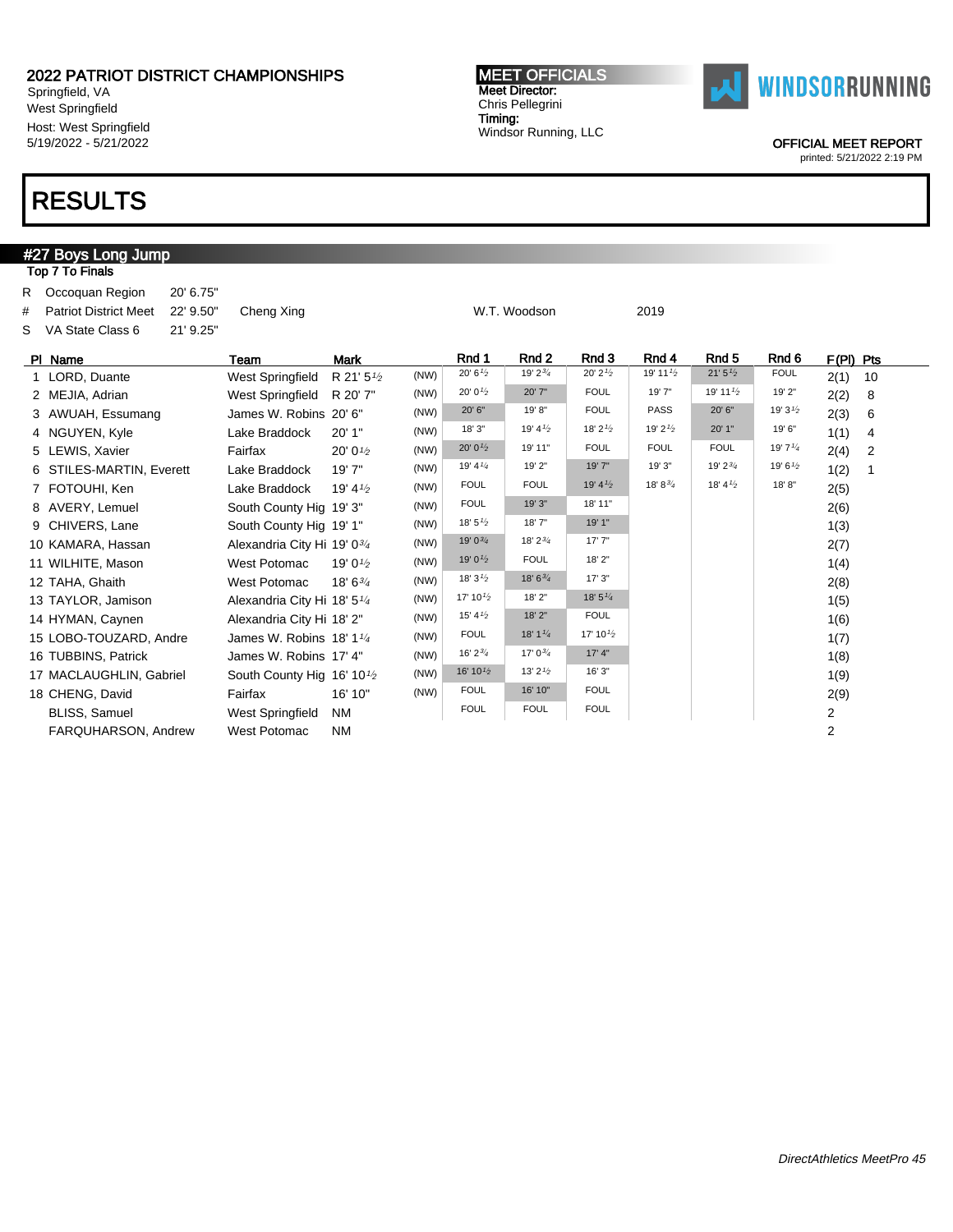Springfield, VA West Springfield Host: West Springfield 5/19/2022 - 5/21/2022

## RESULTS

#### #27 Boys Long Jump Top 7 To Finals R Occoquan Region 20' 6.75" # Patriot District Meet 22' 9.50" Cheng Xing W.T. Woodson 2019 S VA State Class 6 21' 9.25" Pl Name Team Mark Rnd 1 Rnd 2 Rnd 3 Rnd 4 Rnd 5 Rnd 6 F(Pl) Pts 1 LORD, Duante West Springfield R 21' 5<sup>1/2</sup>  $(NW)$  20' 6<sup>1</sup>/<sub>2</sub> 19' 2<sup>3/</sup><sub>4</sub> 20' 2<sup>1</sup>/<sub>2</sub> 19' 11<sup>1</sup>/<sub>2</sub> 21' 5<sup>1</sup>/<sub>2</sub> FOUL 2(1) 10 2 MEJIA, Adrian West Springfield R 20' 7" (NW) 20' 01/<sup>2</sup> 20' 7" FOUL 19' 7" 19' 111/<sup>2</sup> 19' 2" 2(2) 8 3 AWUAH, Essumang James W. Robins 20' 6" (NW) 20' 6" 19' 8" FOUL PASS 20' 6" 19' 3<sup>1/2</sup> 2(3) 6 4 NGUYEN, Kyle Lake Braddock 20' 1" (NW) 18' 3" 19' 41/<sup>2</sup> 18' 21/<sup>2</sup> 19' 21/<sup>2</sup> 20' 1" 19' 6" 1(1) 4 5 LEWIS, Xavier **Fairfax** 20' 0<sup>1/2</sup> (NW)  $20' 0^{1/2}$  19' 11" FOUL FOUL FOUL 19'  $7^{1/4}$  2(4) 2 6 STILES-MARTIN, Everett Lake Braddock 19'7" (NW) 19' 4<sup>1/4</sup> 19' 2" 19' 7" 19' 3" 19' 2<sup>3/</sup>4 19' 6<sup>1/2</sup> 1(2) 1 7 FOTOUHI, Ken Lake Braddock 19' 4<sup>1/2</sup> (NW) FOUL FOUL 19' 4<sup>1</sup>/<sub>2</sub> 18' 8<sup>3</sup>/<sub>4</sub> 18' 4<sup>1</sup>/<sub>2</sub> 18' 8" 2(5) 8 AVERY, Lemuel South County Hig 19' 3" (NW) FOUL 19' 3" 18' 11" 19' 11" 2(6) 9 CHIVERS, Lane South County Hig 19' 1"  $(NW)$   $18'5^{1/2}$   $18'7"$   $19'1"$   $10'1"$   $1(3)$ 10 KAMARA, Hassan Alexandria City Hi 19' 0<sup>3/4</sup> (NW)  $19' 0^{3/4}$   $18' 2^{3/4}$   $17' 7''$  2(7) 11 WILHITE, Mason West Potomac 19' 0<sup>1/2</sup> (NW)  $19'0^{1/2}$  FOUL  $18' 2''$  19' 1(4) 12 TAHA, Ghaith West Potomac 18' 6<sup>3/4</sup>  $(NW)$  18' 3<sup>1</sup><sup>2</sup> 18' 6<sup>3</sup><sup>4</sup> 17' 3" 2(8) 13 TAYLOR, Jamison Alexandria City Hi 18' 51/<sup>4</sup>  $(NW)$  17' 10<sup>1</sup><sup>2</sup> 18' 2" 18' 5<sup>1</sup><sup>4</sup> 1 14 HYMAN, Caynen Alexandria City Hi 18' 2"  $(NW)$   $15'4^{1/2}$   $18'2"$  FOUL 1(6) 15 LOBO-TOUZARD, Andre James W. Robins 18' 11/<sup>4</sup> (NW) FOUL 18' 1<sup>1'4</sup> 17' 10<sup>1'</sup><sub>2</sub> 1(7) 16 TUBBINS, Patrick James W. Robins 17' 4" (NW) 16' 2<sup>3/4</sup> 17' 0<sup>3/4</sup> 17' 4" 17' 4" 1(8) 17 MACLAUGHLIN, Gabriel South County Hig 16' 10<sup>1</sup>/2 (NW)  $16' 10^{1/2}$   $13' 2^{1/2}$   $16' 3''$  1 18 CHENG, David **Fairfax** 16' 10" (NW) FOUL 16' 10" FOUL FOUL 16' 10" POUL 2(9) BLISS, Samuel **West Springfield NM** FOUL FOUL FOUL FOUL **FOUL**

FARQUHARSON, Andrew West Potomac NM 2

OFFICIAL MEET REPORT

printed: 5/21/2022 2:19 PM

MEET OFFICIALS Meet Director: Chris Pellegrini Timing: Windsor Running, LLC

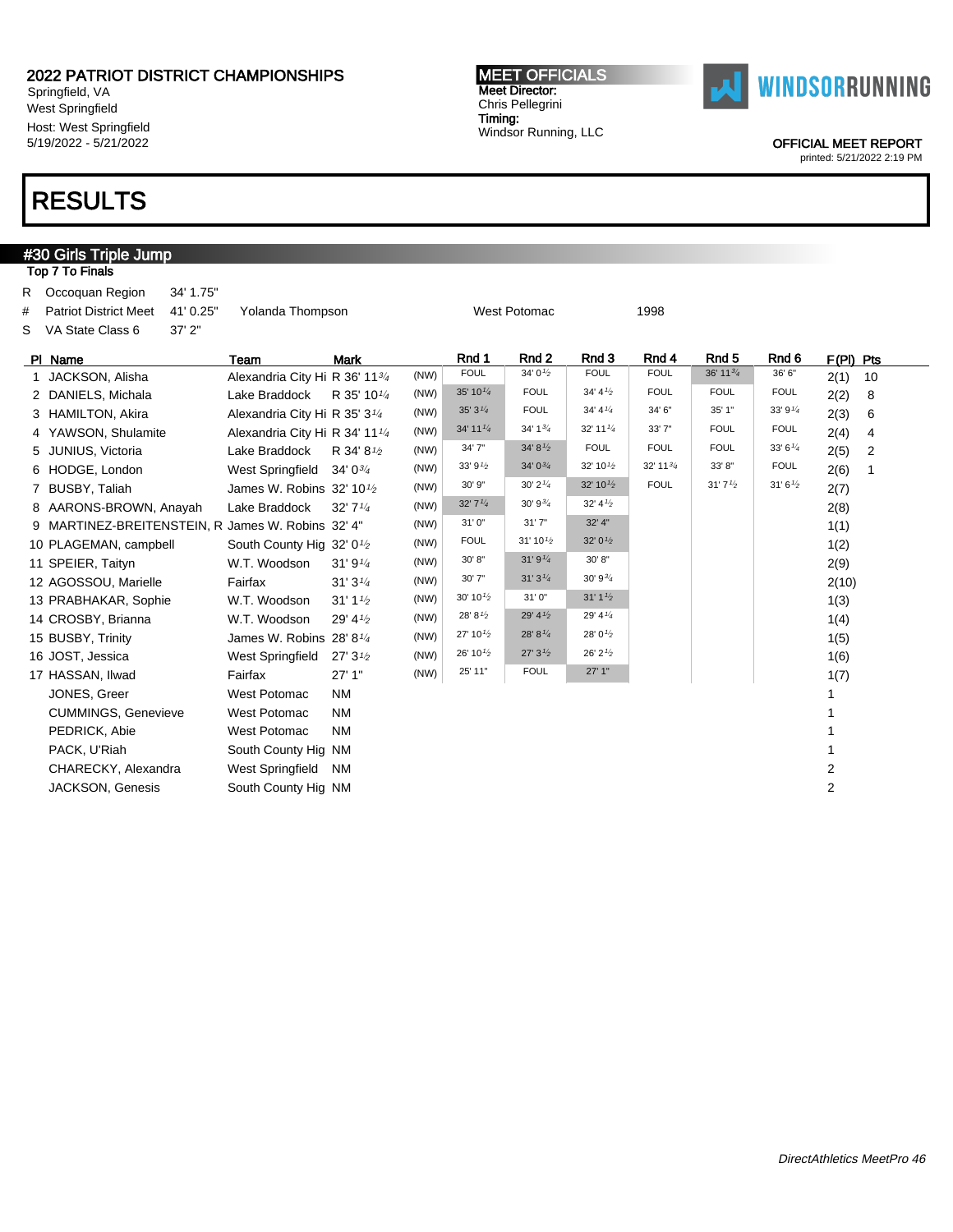Springfield, VA West Springfield Host: West Springfield 5/19/2022 - 5/21/2022

## RESULTS

**#30 Girls Triple Jump** 

Top 7 To Finals

#### MEET OFFICIALS Meet Director: Chris Pellegrini Timing: Windsor Running, LLC



OFFICIAL MEET REPORT

| R.<br>#<br>s | Occoquan Region<br><b>Patriot District Meet</b><br>VA State Class 6 | 34' 1.75"<br>41' 0.25"<br>37'2" | Yolanda Thompson                                   |                                   |      |                      | <b>West Potomac</b>                  |                                   | 1998                 |                      |                  |                        |  |
|--------------|---------------------------------------------------------------------|---------------------------------|----------------------------------------------------|-----------------------------------|------|----------------------|--------------------------------------|-----------------------------------|----------------------|----------------------|------------------|------------------------|--|
|              | PI Name                                                             |                                 | Team                                               | <b>Mark</b>                       |      | Rnd 1                | Rnd <sub>2</sub>                     | Rnd 3                             | Rnd 4                | Rnd <sub>5</sub>     | Rnd <sub>6</sub> | F(PI) Pts              |  |
| $\mathbf{1}$ | JACKSON, Alisha                                                     |                                 | Alexandria City Hi R 36' 1134                      |                                   | (NW) | <b>FOUL</b>          | 34'0'2                               | <b>FOUL</b>                       | <b>FOUL</b>          | 36' 11 $\frac{3}{4}$ | 36' 6"           | 2(1)<br>10             |  |
|              | 2 DANIELS, Michala                                                  |                                 | Lake Braddock                                      | R 35' 10 <sup>1/4</sup>           | (NW) | 35' 10 $\frac{1}{4}$ | <b>FOUL</b>                          | 34' 4'2                           | <b>FOUL</b>          | <b>FOUL</b>          | <b>FOUL</b>      | 2(2)<br>8              |  |
|              | 3 HAMILTON, Akira                                                   |                                 | Alexandria City Hi R 35' 3 <sup>1/4</sup>          |                                   | (NW) | 35'3''               | <b>FOUL</b>                          | 34' 4''                           | 34' 6"               | 35' 1"               | 33' 91/4         | 2(3)<br>6              |  |
|              | 4 YAWSON, Shulamite                                                 |                                 | Alexandria City Hi R 34' 11 <sup>1/4</sup>         |                                   | (NW) | 34' 11 $\frac{1}{4}$ | 34' 1 <sup>3</sup> / <sub>4</sub>    | 32' 11'4                          | 33' 7"               | <b>FOUL</b>          | <b>FOUL</b>      | 2(4)<br>$\overline{4}$ |  |
|              | 5 JUNIUS, Victoria                                                  |                                 | Lake Braddock                                      | R 34' 8 <sup>1/2</sup>            | (NW) | 34' 7"               | 34' 8'                               | <b>FOUL</b>                       | <b>FOUL</b>          | <b>FOUL</b>          | 33' $6^{1/4}$    | 2(5)<br>2              |  |
|              | 6 HODGE, London                                                     |                                 | West Springfield                                   | $34'0^{3/4}$                      | (NW) | 33' 91/2             | $34'0^{3/4}$                         | 32' 10 $\frac{1}{2}$              | 32' 11 $\frac{3}{4}$ | 33' 8"               | <b>FOUL</b>      | 2(6)<br>1              |  |
|              | 7 BUSBY, Taliah                                                     |                                 | James W. Robins $32'$ 10 $\frac{1}{2}$             |                                   | (NW) | 30' 9"               | $30' 2'$ <sup><math>1/4</math></sup> | 32' 10 $\frac{1}{2}$              | <b>FOUL</b>          | 31'7'' <sub>2</sub>  | 31'6'2           | 2(7)                   |  |
|              | 8 AARONS-BROWN, Anayah                                              |                                 | Lake Braddock                                      | $32'$ 7 $\frac{1}{4}$             | (NW) | 32'7''               | $30'9^{3/4}$                         | 32' 4'2                           |                      |                      |                  | 2(8)                   |  |
|              | 9 MARTINEZ-BREITENSTEIN, R James W. Robins 32' 4"                   |                                 |                                                    |                                   | (NW) | 31'0"                | 31'7''                               | 32' 4"                            |                      |                      |                  | 1(1)                   |  |
|              | 10 PLAGEMAN, campbell                                               |                                 | South County Hig 32' 0 <sup>1</sup> / <sub>2</sub> |                                   | (NW) | <b>FOUL</b>          | 31' 10'2                             | 32' $0\frac{1}{2}$                |                      |                      |                  | 1(2)                   |  |
|              | 11 SPEIER, Taityn                                                   |                                 | W.T. Woodson                                       | 31'9''                            | (NW) | 30' 8"               | 31'9''4                              | 30' 8"                            |                      |                      |                  | 2(9)                   |  |
|              | 12 AGOSSOU, Marielle                                                |                                 | Fairfax                                            | 31'3''                            | (NW) | 30' 7"               | 31'3''                               | $30'9^{3/4}$                      |                      |                      |                  | 2(10)                  |  |
|              | 13 PRABHAKAR, Sophie                                                |                                 | W.T. Woodson                                       | 31' 1 <sup>1</sup> / <sub>2</sub> | (NW) | 30' 10 $\frac{1}{2}$ | 31'0"                                | 31' 1 <sup>1</sup> / <sub>2</sub> |                      |                      |                  | 1(3)                   |  |
|              | 14 CROSBY, Brianna                                                  |                                 | W.T. Woodson                                       | 29' 41/2                          | (NW) | 28' 81/2             | 29' 4 $\frac{1}{2}$                  | 29' 4 $\frac{1}{4}$               |                      |                      |                  | 1(4)                   |  |
|              | 15 BUSBY, Trinity                                                   |                                 | James W. Robins 28' 8 <sup>1/4</sup>               |                                   | (NW) | 27' 10 $\frac{1}{2}$ | 28' 81/4                             | 28' 0 $\frac{1}{2}$               |                      |                      |                  | 1(5)                   |  |
|              | 16 JOST, Jessica                                                    |                                 | West Springfield                                   | 27'3'' <sub>2</sub>               | (NW) | 26' 10 $\frac{1}{2}$ | 27'3'' <sub>2</sub>                  | 26' 2'2                           |                      |                      |                  | 1(6)                   |  |
|              | 17 HASSAN, Ilwad                                                    |                                 | Fairfax                                            | 27'1"                             | (NW) | 25' 11"              | <b>FOUL</b>                          | 27'1"                             |                      |                      |                  | 1(7)                   |  |
|              | JONES, Greer                                                        |                                 | <b>West Potomac</b>                                | <b>NM</b>                         |      |                      |                                      |                                   |                      |                      |                  |                        |  |
|              | <b>CUMMINGS, Genevieve</b>                                          |                                 | <b>West Potomac</b>                                | <b>NM</b>                         |      |                      |                                      |                                   |                      |                      |                  |                        |  |
|              | PEDRICK, Abie                                                       |                                 | <b>West Potomac</b>                                | <b>NM</b>                         |      |                      |                                      |                                   |                      |                      |                  |                        |  |
|              | PACK, U'Riah                                                        |                                 | South County Hig NM                                |                                   |      |                      |                                      |                                   |                      |                      |                  | 1                      |  |
|              | CHARECKY, Alexandra                                                 |                                 | West Springfield                                   | <b>NM</b>                         |      |                      |                                      |                                   |                      |                      |                  | 2                      |  |
|              | <b>JACKSON, Genesis</b>                                             |                                 | South County Hig NM                                |                                   |      |                      |                                      |                                   |                      |                      |                  | 2                      |  |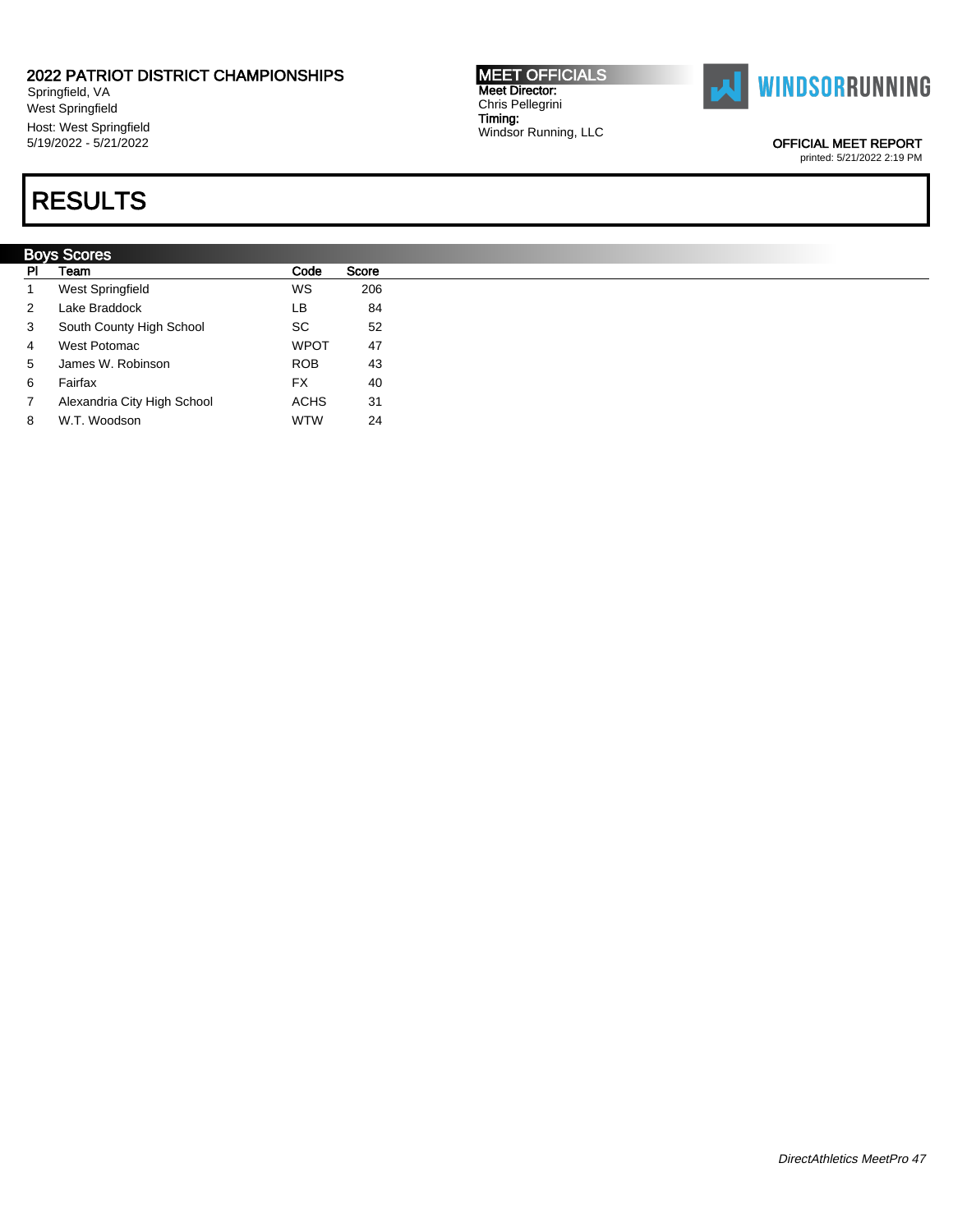Springfield, VA West Springfield Host: West Springfield 5/19/2022 - 5/21/2022

## RESULTS

|                | <b>Boys Scores</b>          |             |       |  |  |  |  |  |  |  |
|----------------|-----------------------------|-------------|-------|--|--|--|--|--|--|--|
| PI.            | Team                        | Code        | Score |  |  |  |  |  |  |  |
|                | West Springfield            | WS          | 206   |  |  |  |  |  |  |  |
| $\overline{2}$ | Lake Braddock               | LB.         | 84    |  |  |  |  |  |  |  |
| 3              | South County High School    | SC          | 52    |  |  |  |  |  |  |  |
| $\overline{4}$ | West Potomac                | <b>WPOT</b> | 47    |  |  |  |  |  |  |  |
| 5              | James W. Robinson           | <b>ROB</b>  | 43    |  |  |  |  |  |  |  |
| 6              | Fairfax                     | <b>FX</b>   | 40    |  |  |  |  |  |  |  |
| 7              | Alexandria City High School | <b>ACHS</b> | 31    |  |  |  |  |  |  |  |
| 8              | W.T. Woodson                | <b>WTW</b>  | 24    |  |  |  |  |  |  |  |



OFFICIAL MEET REPORT